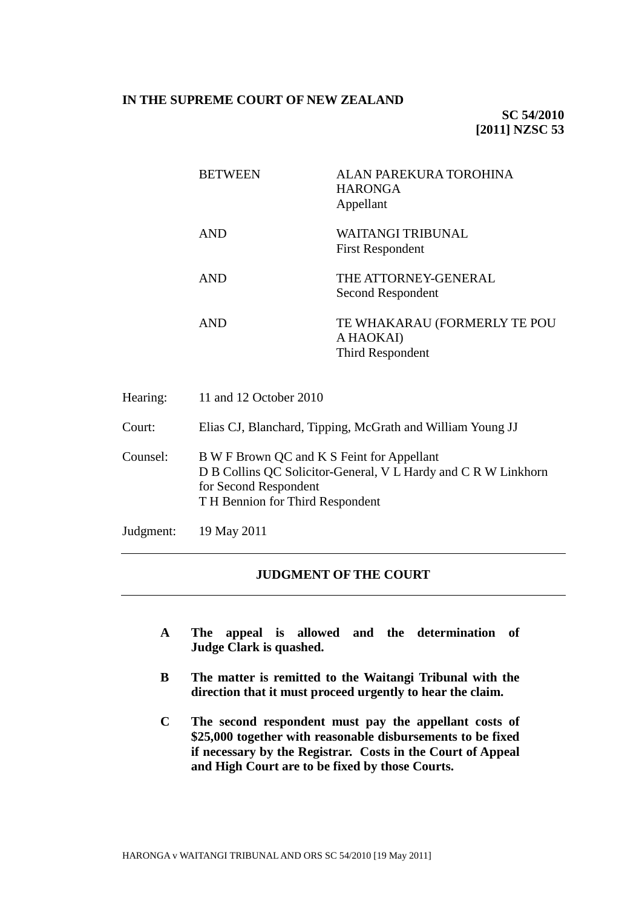# **IN THE SUPREME COURT OF NEW ZEALAND**

**SC 54/2010 [2011] NZSC 53**

| <b>BETWEEN</b> | ALAN PAREKURA TOROHINA<br><b>HARONGA</b><br>Appellant         |
|----------------|---------------------------------------------------------------|
| <b>AND</b>     | WAITANGI TRIBUNAL<br><b>First Respondent</b>                  |
| <b>AND</b>     | THE ATTORNEY-GENERAL<br>Second Respondent                     |
| <b>AND</b>     | TE WHAKARAU (FORMERLY TE POU<br>A HAOKAI)<br>Third Respondent |

| Hearing:  | 11 and 12 October 2010                                                                                                                                                    |
|-----------|---------------------------------------------------------------------------------------------------------------------------------------------------------------------------|
| Court:    | Elias CJ, Blanchard, Tipping, McGrath and William Young JJ                                                                                                                |
| Counsel:  | B W F Brown QC and K S Feint for Appellant<br>D B Collins QC Solicitor-General, V L Hardy and C R W Linkhorn<br>for Second Respondent<br>T H Bennion for Third Respondent |
| Judgment: | 19 May 2011                                                                                                                                                               |

## **JUDGMENT OF THE COURT**

- **A The appeal is allowed and the determination of Judge Clark is quashed.**
- **B The matter is remitted to the Waitangi Tribunal with the direction that it must proceed urgently to hear the claim.**
- **C The second respondent must pay the appellant costs of \$25,000 together with reasonable disbursements to be fixed if necessary by the Registrar. Costs in the Court of Appeal and High Court are to be fixed by those Courts.**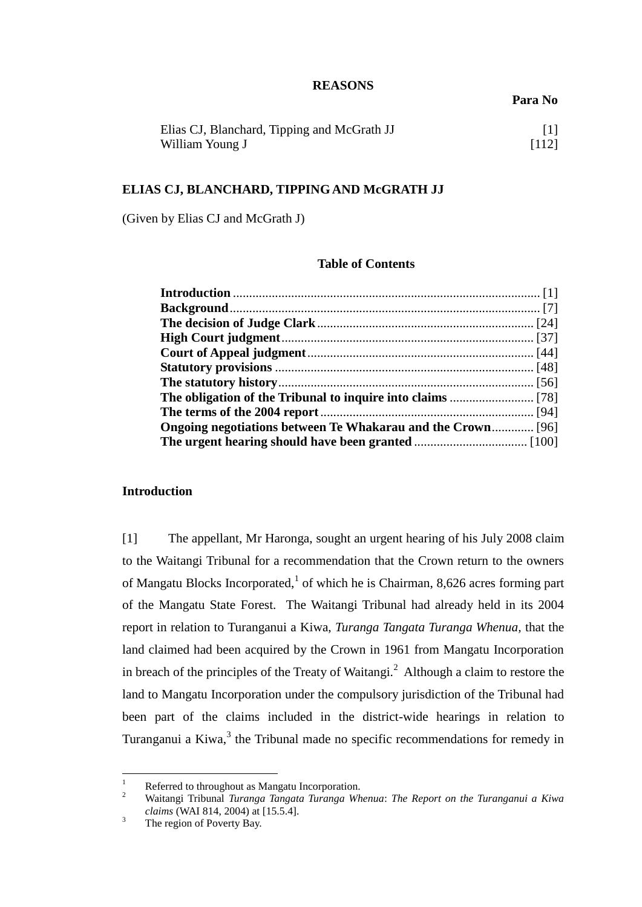### **REASONS**

**Para No**

| Elias CJ, Blanchard, Tipping and McGrath JJ |       |
|---------------------------------------------|-------|
| William Young J                             | [112] |

### **ELIAS CJ, BLANCHARD, TIPPING AND McGRATH JJ**

(Given by Elias CJ and McGrath J)

## **Table of Contents**

| <b>Ongoing negotiations between Te Whakarau and the Crown</b> [96] |  |
|--------------------------------------------------------------------|--|
|                                                                    |  |

# **Introduction**

<span id="page-1-0"></span>[1] The appellant, Mr Haronga, sought an urgent hearing of his July 2008 claim to the Waitangi Tribunal for a recommendation that the Crown return to the owners of Mangatu Blocks Incorporated,<sup>1</sup> of which he is Chairman, 8,626 acres forming part of the Mangatu State Forest. The Waitangi Tribunal had already held in its 2004 report in relation to Turanganui a Kiwa, *Turanga Tangata Turanga Whenua,* that the land claimed had been acquired by the Crown in 1961 from Mangatu Incorporation in breach of the principles of the Treaty of Waitangi.<sup>2</sup> Although a claim to restore the land to Mangatu Incorporation under the compulsory jurisdiction of the Tribunal had been part of the claims included in the district-wide hearings in relation to Turanganui a Kiwa, $3$  the Tribunal made no specific recommendations for remedy in

 $\mathbf{1}$  $\frac{1}{2}$  Referred to throughout as Mangatu Incorporation.

<sup>2</sup> Waitangi Tribunal *Turanga Tangata Turanga Whenua*: *The Report on the Turanganui a Kiwa claims* (WAI 814, 2004) at [15.5.4].

 $3$  The region of Poverty Bay.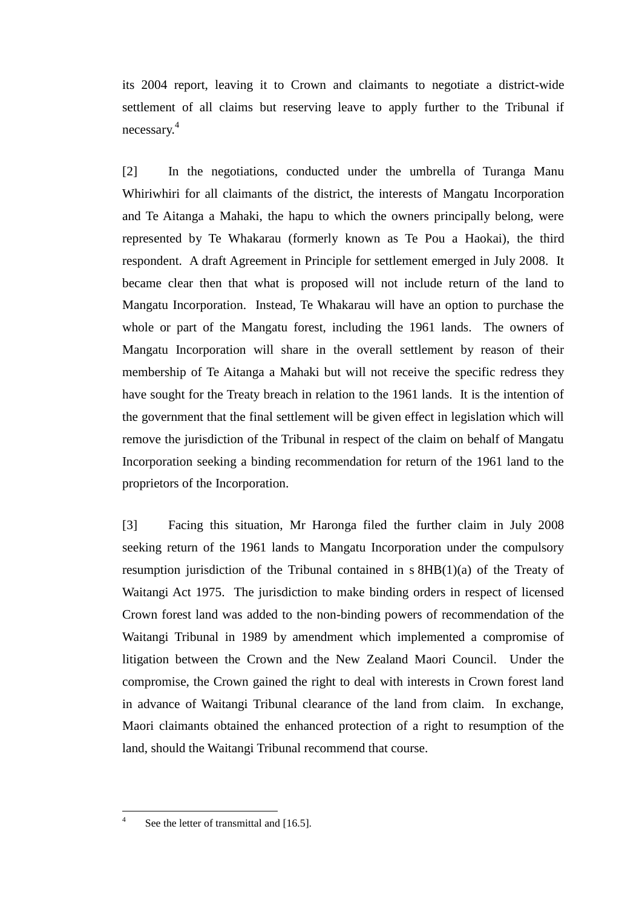its 2004 report, leaving it to Crown and claimants to negotiate a district-wide settlement of all claims but reserving leave to apply further to the Tribunal if necessary. 4

[2] In the negotiations, conducted under the umbrella of Turanga Manu Whiriwhiri for all claimants of the district, the interests of Mangatu Incorporation and Te Aitanga a Mahaki, the hapu to which the owners principally belong, were represented by Te Whakarau (formerly known as Te Pou a Haokai), the third respondent. A draft Agreement in Principle for settlement emerged in July 2008. It became clear then that what is proposed will not include return of the land to Mangatu Incorporation. Instead, Te Whakarau will have an option to purchase the whole or part of the Mangatu forest, including the 1961 lands. The owners of Mangatu Incorporation will share in the overall settlement by reason of their membership of Te Aitanga a Mahaki but will not receive the specific redress they have sought for the Treaty breach in relation to the 1961 lands. It is the intention of the government that the final settlement will be given effect in legislation which will remove the jurisdiction of the Tribunal in respect of the claim on behalf of Mangatu Incorporation seeking a binding recommendation for return of the 1961 land to the proprietors of the Incorporation.

[3] Facing this situation, Mr Haronga filed the further claim in July 2008 seeking return of the 1961 lands to Mangatu Incorporation under the compulsory resumption jurisdiction of the Tribunal contained in s 8HB(1)(a) of the Treaty of Waitangi Act 1975. The jurisdiction to make binding orders in respect of licensed Crown forest land was added to the non-binding powers of recommendation of the Waitangi Tribunal in 1989 by amendment which implemented a compromise of litigation between the Crown and the New Zealand Maori Council. Under the compromise, the Crown gained the right to deal with interests in Crown forest land in advance of Waitangi Tribunal clearance of the land from claim. In exchange, Maori claimants obtained the enhanced protection of a right to resumption of the land, should the Waitangi Tribunal recommend that course.

 $\frac{1}{4}$ 

See the letter of transmittal and [16.5].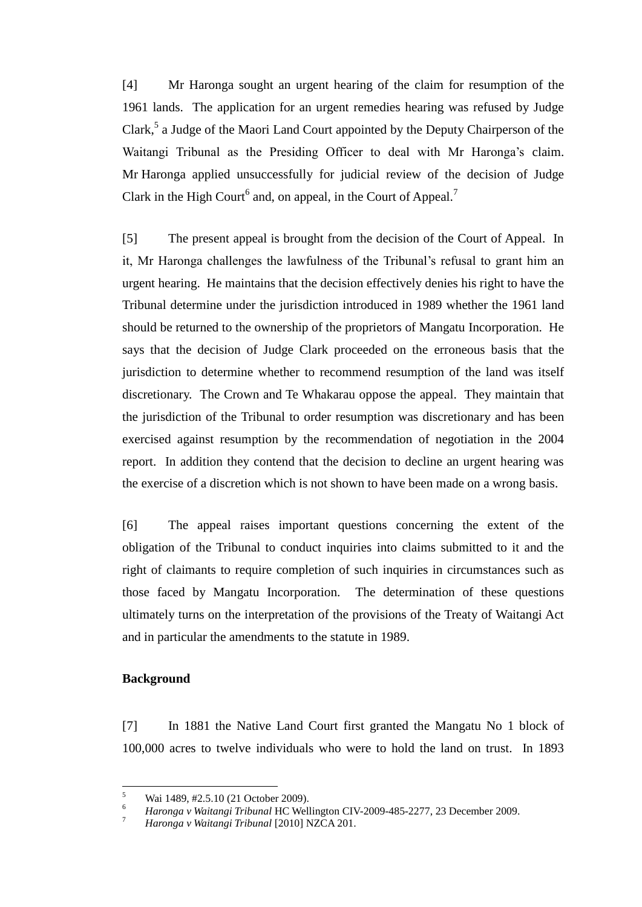[4] Mr Haronga sought an urgent hearing of the claim for resumption of the 1961 lands. The application for an urgent remedies hearing was refused by Judge Clark,<sup>5</sup> a Judge of the Maori Land Court appointed by the Deputy Chairperson of the Waitangi Tribunal as the Presiding Officer to deal with Mr Haronga's claim. Mr Haronga applied unsuccessfully for judicial review of the decision of Judge Clark in the High Court<sup>6</sup> and, on appeal, in the Court of Appeal.<sup>7</sup>

[5] The present appeal is brought from the decision of the Court of Appeal. In it, Mr Haronga challenges the lawfulness of the Tribunal's refusal to grant him an urgent hearing. He maintains that the decision effectively denies his right to have the Tribunal determine under the jurisdiction introduced in 1989 whether the 1961 land should be returned to the ownership of the proprietors of Mangatu Incorporation. He says that the decision of Judge Clark proceeded on the erroneous basis that the jurisdiction to determine whether to recommend resumption of the land was itself discretionary. The Crown and Te Whakarau oppose the appeal. They maintain that the jurisdiction of the Tribunal to order resumption was discretionary and has been exercised against resumption by the recommendation of negotiation in the 2004 report. In addition they contend that the decision to decline an urgent hearing was the exercise of a discretion which is not shown to have been made on a wrong basis.

[6] The appeal raises important questions concerning the extent of the obligation of the Tribunal to conduct inquiries into claims submitted to it and the right of claimants to require completion of such inquiries in circumstances such as those faced by Mangatu Incorporation. The determination of these questions ultimately turns on the interpretation of the provisions of the Treaty of Waitangi Act and in particular the amendments to the statute in 1989.

# **Background**

<span id="page-3-0"></span>[7] In 1881 the Native Land Court first granted the Mangatu No 1 block of 100,000 acres to twelve individuals who were to hold the land on trust. In 1893

 5 <sup>5</sup> Wai 1489, #2.5.10 (21 October 2009).

<sup>6</sup> *Haronga v Waitangi Tribunal* HC Wellington CIV-2009-485-2277, 23 December 2009.

<sup>7</sup> *Haronga v Waitangi Tribunal* [2010] NZCA 201.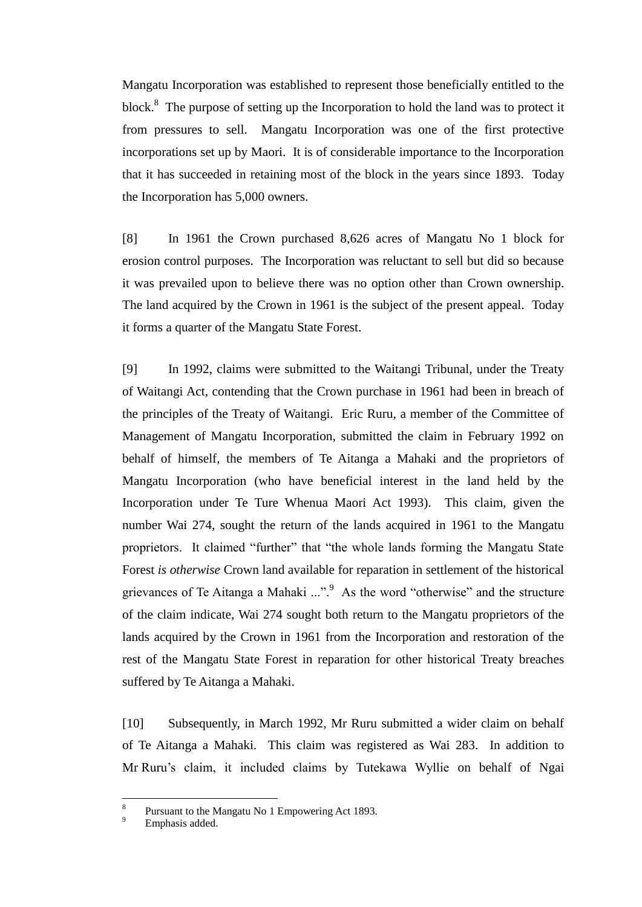Mangatu Incorporation was established to represent those beneficially entitled to the block.<sup>8</sup> The purpose of setting up the Incorporation to hold the land was to protect it from pressures to sell. Mangatu Incorporation was one of the first protective incorporations set up by Maori. It is of considerable importance to the Incorporation that it has succeeded in retaining most of the block in the years since 1893. Today the Incorporation has 5,000 owners.

[8] In 1961 the Crown purchased 8,626 acres of Mangatu No 1 block for erosion control purposes. The Incorporation was reluctant to sell but did so because it was prevailed upon to believe there was no option other than Crown ownership. The land acquired by the Crown in 1961 is the subject of the present appeal. Today it forms a quarter of the Mangatu State Forest.

[9] In 1992, claims were submitted to the Waitangi Tribunal, under the Treaty of Waitangi Act, contending that the Crown purchase in 1961 had been in breach of the principles of the Treaty of Waitangi. Eric Ruru, a member of the Committee of Management of Mangatu Incorporation, submitted the claim in February 1992 on behalf of himself, the members of Te Aitanga a Mahaki and the proprietors of Mangatu Incorporation (who have beneficial interest in the land held by the Incorporation under Te Ture Whenua Maori Act 1993). This claim, given the number Wai 274, sought the return of the lands acquired in 1961 to the Mangatu proprietors. It claimed "further" that "the whole lands forming the Mangatu State Forest *is otherwise* Crown land available for reparation in settlement of the historical grievances of Te Aitanga a Mahaki  $\cdots$ <sup>9</sup> As the word "otherwise" and the structure of the claim indicate, Wai 274 sought both return to the Mangatu proprietors of the lands acquired by the Crown in 1961 from the Incorporation and restoration of the rest of the Mangatu State Forest in reparation for other historical Treaty breaches suffered by Te Aitanga a Mahaki.

[10] Subsequently, in March 1992, Mr Ruru submitted a wider claim on behalf of Te Aitanga a Mahaki. This claim was registered as Wai 283. In addition to Mr Ruru's claim, it included claims by Tutekawa Wyllie on behalf of Ngai

 $\overline{a}$ 

<sup>8</sup> Pursuant to the Mangatu No 1 Empowering Act 1893.

Emphasis added.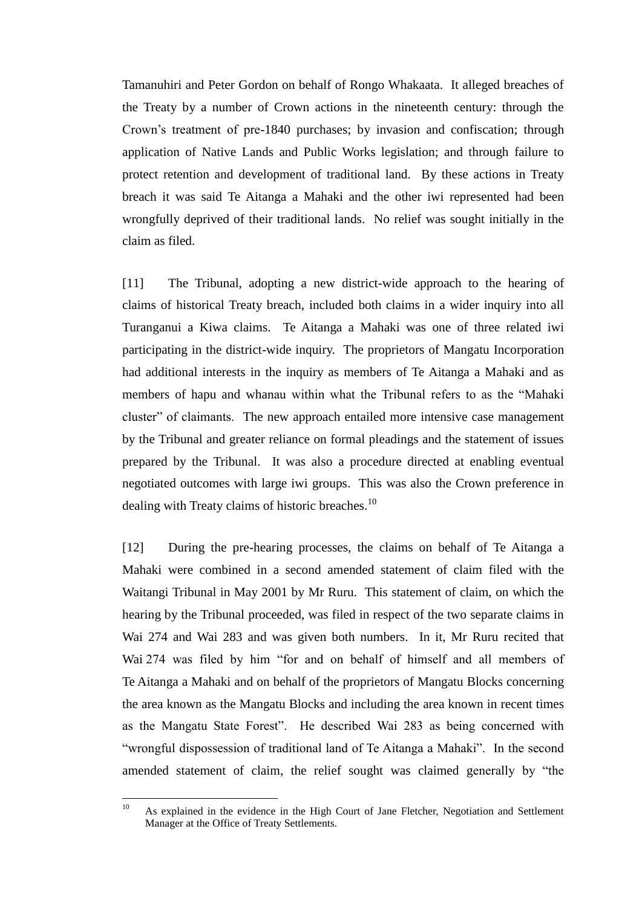Tamanuhiri and Peter Gordon on behalf of Rongo Whakaata. It alleged breaches of the Treaty by a number of Crown actions in the nineteenth century: through the Crown's treatment of pre-1840 purchases; by invasion and confiscation; through application of Native Lands and Public Works legislation; and through failure to protect retention and development of traditional land. By these actions in Treaty breach it was said Te Aitanga a Mahaki and the other iwi represented had been wrongfully deprived of their traditional lands. No relief was sought initially in the claim as filed.

[11] The Tribunal, adopting a new district-wide approach to the hearing of claims of historical Treaty breach, included both claims in a wider inquiry into all Turanganui a Kiwa claims. Te Aitanga a Mahaki was one of three related iwi participating in the district-wide inquiry. The proprietors of Mangatu Incorporation had additional interests in the inquiry as members of Te Aitanga a Mahaki and as members of hapu and whanau within what the Tribunal refers to as the "Mahaki cluster" of claimants. The new approach entailed more intensive case management by the Tribunal and greater reliance on formal pleadings and the statement of issues prepared by the Tribunal. It was also a procedure directed at enabling eventual negotiated outcomes with large iwi groups. This was also the Crown preference in dealing with Treaty claims of historic breaches.<sup>10</sup>

[12] During the pre-hearing processes, the claims on behalf of Te Aitanga a Mahaki were combined in a second amended statement of claim filed with the Waitangi Tribunal in May 2001 by Mr Ruru. This statement of claim, on which the hearing by the Tribunal proceeded, was filed in respect of the two separate claims in Wai 274 and Wai 283 and was given both numbers. In it, Mr Ruru recited that Wai 274 was filed by him "for and on behalf of himself and all members of Te Aitanga a Mahaki and on behalf of the proprietors of Mangatu Blocks concerning the area known as the Mangatu Blocks and including the area known in recent times as the Mangatu State Forest". He described Wai 283 as being concerned with "wrongful dispossession of traditional land of Te Aitanga a Mahaki". In the second amended statement of claim, the relief sought was claimed generally by "the

<sup>&</sup>lt;sup>10</sup> As explained in the evidence in the High Court of Jane Fletcher, Negotiation and Settlement Manager at the Office of Treaty Settlements.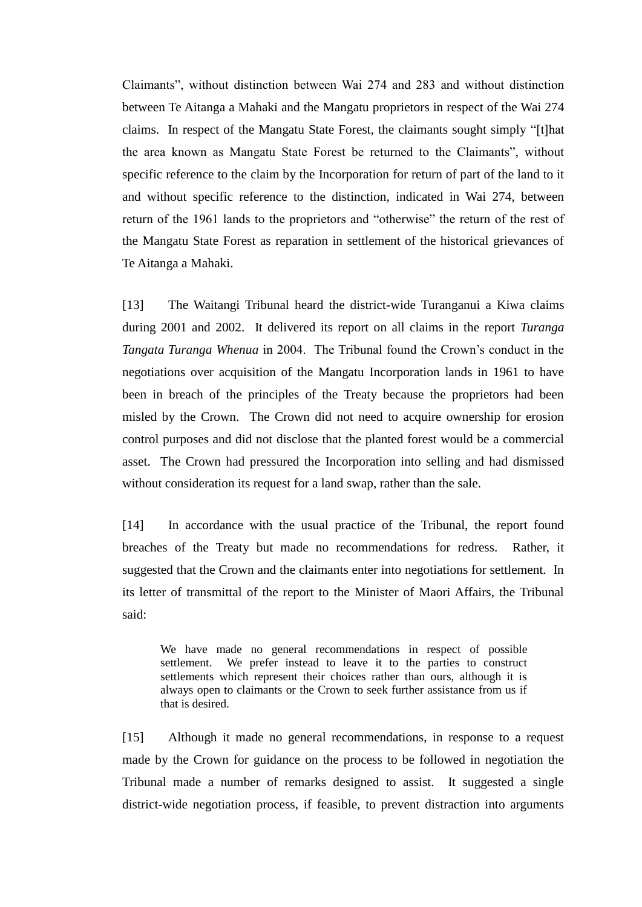Claimants", without distinction between Wai 274 and 283 and without distinction between Te Aitanga a Mahaki and the Mangatu proprietors in respect of the Wai 274 claims. In respect of the Mangatu State Forest, the claimants sought simply "[t]hat the area known as Mangatu State Forest be returned to the Claimants", without specific reference to the claim by the Incorporation for return of part of the land to it and without specific reference to the distinction, indicated in Wai 274, between return of the 1961 lands to the proprietors and "otherwise" the return of the rest of the Mangatu State Forest as reparation in settlement of the historical grievances of Te Aitanga a Mahaki.

[13] The Waitangi Tribunal heard the district-wide Turanganui a Kiwa claims during 2001 and 2002. It delivered its report on all claims in the report *Turanga Tangata Turanga Whenua* in 2004. The Tribunal found the Crown's conduct in the negotiations over acquisition of the Mangatu Incorporation lands in 1961 to have been in breach of the principles of the Treaty because the proprietors had been misled by the Crown. The Crown did not need to acquire ownership for erosion control purposes and did not disclose that the planted forest would be a commercial asset. The Crown had pressured the Incorporation into selling and had dismissed without consideration its request for a land swap, rather than the sale.

[14] In accordance with the usual practice of the Tribunal, the report found breaches of the Treaty but made no recommendations for redress. Rather, it suggested that the Crown and the claimants enter into negotiations for settlement. In its letter of transmittal of the report to the Minister of Maori Affairs, the Tribunal said:

We have made no general recommendations in respect of possible settlement. We prefer instead to leave it to the parties to construct settlements which represent their choices rather than ours, although it is always open to claimants or the Crown to seek further assistance from us if that is desired.

[15] Although it made no general recommendations, in response to a request made by the Crown for guidance on the process to be followed in negotiation the Tribunal made a number of remarks designed to assist. It suggested a single district-wide negotiation process, if feasible, to prevent distraction into arguments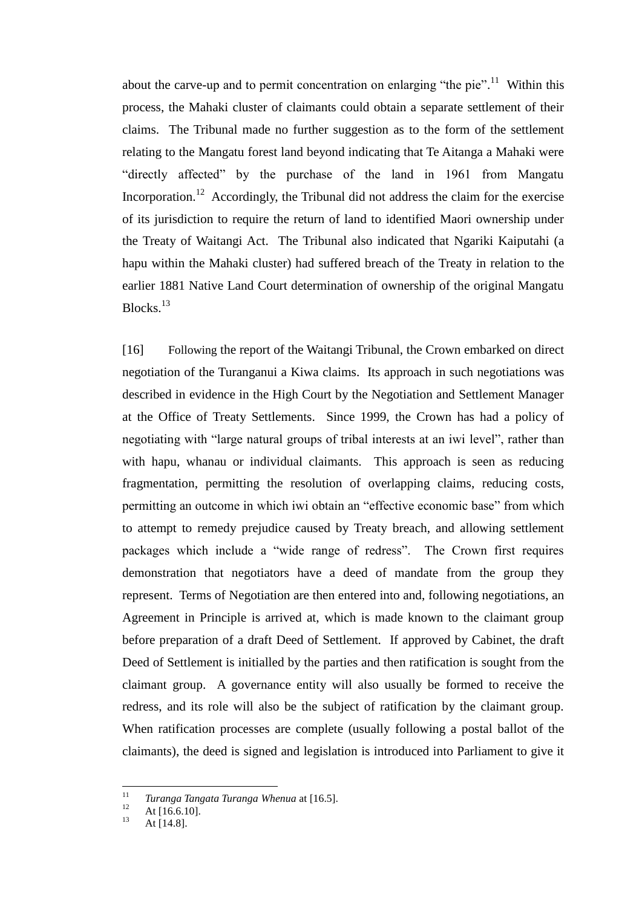about the carve-up and to permit concentration on enlarging "the pie".<sup>11</sup> Within this process, the Mahaki cluster of claimants could obtain a separate settlement of their claims. The Tribunal made no further suggestion as to the form of the settlement relating to the Mangatu forest land beyond indicating that Te Aitanga a Mahaki were "directly affected" by the purchase of the land in 1961 from Mangatu Incorporation.<sup>12</sup> Accordingly, the Tribunal did not address the claim for the exercise of its jurisdiction to require the return of land to identified Maori ownership under the Treaty of Waitangi Act. The Tribunal also indicated that Ngariki Kaiputahi (a hapu within the Mahaki cluster) had suffered breach of the Treaty in relation to the earlier 1881 Native Land Court determination of ownership of the original Mangatu Blocks.<sup>13</sup>

[16] Following the report of the Waitangi Tribunal, the Crown embarked on direct negotiation of the Turanganui a Kiwa claims. Its approach in such negotiations was described in evidence in the High Court by the Negotiation and Settlement Manager at the Office of Treaty Settlements. Since 1999, the Crown has had a policy of negotiating with "large natural groups of tribal interests at an iwi level", rather than with hapu, whanau or individual claimants. This approach is seen as reducing fragmentation, permitting the resolution of overlapping claims, reducing costs, permitting an outcome in which iwi obtain an "effective economic base" from which to attempt to remedy prejudice caused by Treaty breach, and allowing settlement packages which include a "wide range of redress". The Crown first requires demonstration that negotiators have a deed of mandate from the group they represent. Terms of Negotiation are then entered into and, following negotiations, an Agreement in Principle is arrived at, which is made known to the claimant group before preparation of a draft Deed of Settlement. If approved by Cabinet, the draft Deed of Settlement is initialled by the parties and then ratification is sought from the claimant group. A governance entity will also usually be formed to receive the redress, and its role will also be the subject of ratification by the claimant group. When ratification processes are complete (usually following a postal ballot of the claimants), the deed is signed and legislation is introduced into Parliament to give it

 11 *Turanga Tangata Turanga Whenua* at [16.5].

 $12$  At [16.6.10].

At  $[14.8]$ .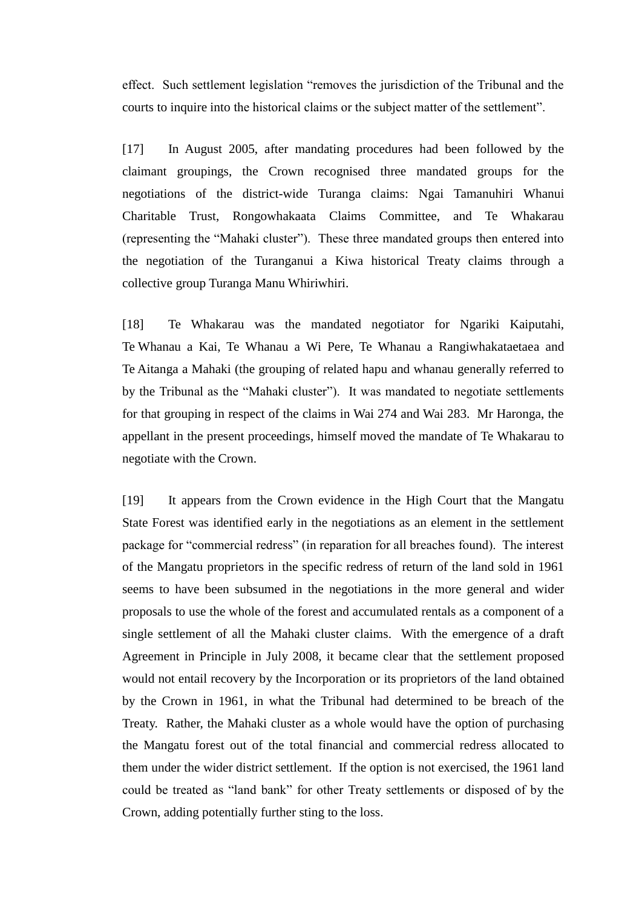effect. Such settlement legislation "removes the jurisdiction of the Tribunal and the courts to inquire into the historical claims or the subject matter of the settlement".

[17] In August 2005, after mandating procedures had been followed by the claimant groupings, the Crown recognised three mandated groups for the negotiations of the district-wide Turanga claims: Ngai Tamanuhiri Whanui Charitable Trust, Rongowhakaata Claims Committee, and Te Whakarau (representing the "Mahaki cluster"). These three mandated groups then entered into the negotiation of the Turanganui a Kiwa historical Treaty claims through a collective group Turanga Manu Whiriwhiri.

[18] Te Whakarau was the mandated negotiator for Ngariki Kaiputahi, Te Whanau a Kai, Te Whanau a Wi Pere, Te Whanau a Rangiwhakataetaea and Te Aitanga a Mahaki (the grouping of related hapu and whanau generally referred to by the Tribunal as the "Mahaki cluster"). It was mandated to negotiate settlements for that grouping in respect of the claims in Wai 274 and Wai 283. Mr Haronga, the appellant in the present proceedings, himself moved the mandate of Te Whakarau to negotiate with the Crown.

[19] It appears from the Crown evidence in the High Court that the Mangatu State Forest was identified early in the negotiations as an element in the settlement package for "commercial redress" (in reparation for all breaches found). The interest of the Mangatu proprietors in the specific redress of return of the land sold in 1961 seems to have been subsumed in the negotiations in the more general and wider proposals to use the whole of the forest and accumulated rentals as a component of a single settlement of all the Mahaki cluster claims. With the emergence of a draft Agreement in Principle in July 2008, it became clear that the settlement proposed would not entail recovery by the Incorporation or its proprietors of the land obtained by the Crown in 1961, in what the Tribunal had determined to be breach of the Treaty. Rather, the Mahaki cluster as a whole would have the option of purchasing the Mangatu forest out of the total financial and commercial redress allocated to them under the wider district settlement. If the option is not exercised, the 1961 land could be treated as "land bank" for other Treaty settlements or disposed of by the Crown, adding potentially further sting to the loss.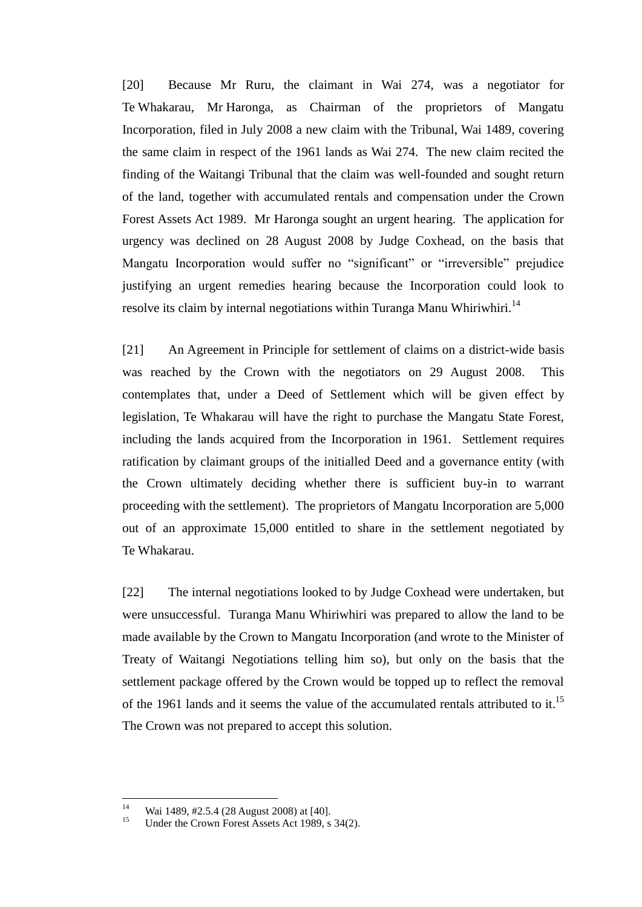[20] Because Mr Ruru, the claimant in Wai 274, was a negotiator for Te Whakarau, Mr Haronga, as Chairman of the proprietors of Mangatu Incorporation, filed in July 2008 a new claim with the Tribunal, Wai 1489, covering the same claim in respect of the 1961 lands as Wai 274. The new claim recited the finding of the Waitangi Tribunal that the claim was well-founded and sought return of the land, together with accumulated rentals and compensation under the Crown Forest Assets Act 1989. Mr Haronga sought an urgent hearing. The application for urgency was declined on 28 August 2008 by Judge Coxhead, on the basis that Mangatu Incorporation would suffer no "significant" or "irreversible" prejudice justifying an urgent remedies hearing because the Incorporation could look to resolve its claim by internal negotiations within Turanga Manu Whiriwhiri.<sup>14</sup>

[21] An Agreement in Principle for settlement of claims on a district-wide basis was reached by the Crown with the negotiators on 29 August 2008. This contemplates that, under a Deed of Settlement which will be given effect by legislation, Te Whakarau will have the right to purchase the Mangatu State Forest, including the lands acquired from the Incorporation in 1961. Settlement requires ratification by claimant groups of the initialled Deed and a governance entity (with the Crown ultimately deciding whether there is sufficient buy-in to warrant proceeding with the settlement). The proprietors of Mangatu Incorporation are 5,000 out of an approximate 15,000 entitled to share in the settlement negotiated by Te Whakarau.

[22] The internal negotiations looked to by Judge Coxhead were undertaken, but were unsuccessful. Turanga Manu Whiriwhiri was prepared to allow the land to be made available by the Crown to Mangatu Incorporation (and wrote to the Minister of Treaty of Waitangi Negotiations telling him so), but only on the basis that the settlement package offered by the Crown would be topped up to reflect the removal of the 1961 lands and it seems the value of the accumulated rentals attributed to it.<sup>15</sup> The Crown was not prepared to accept this solution.

 $14$ <sup>14</sup> Wai 1489, #2.5.4 (28 August 2008) at [40].<br><sup>15</sup> Under the Crown Equation 4 sects a st 1080 s

Under the Crown Forest Assets Act 1989, s 34(2).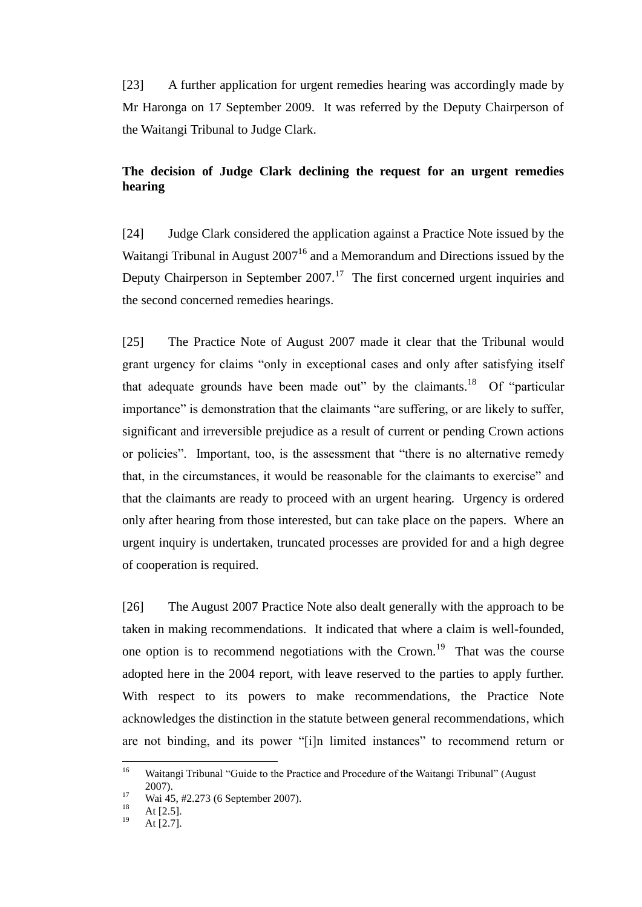[23] A further application for urgent remedies hearing was accordingly made by Mr Haronga on 17 September 2009. It was referred by the Deputy Chairperson of the Waitangi Tribunal to Judge Clark.

# **The decision of Judge Clark declining the request for an urgent remedies hearing**

<span id="page-10-0"></span>[24] Judge Clark considered the application against a Practice Note issued by the Waitangi Tribunal in August  $2007<sup>16</sup>$  and a Memorandum and Directions issued by the Deputy Chairperson in September  $2007$ .<sup>17</sup> The first concerned urgent inquiries and the second concerned remedies hearings.

[25] The Practice Note of August 2007 made it clear that the Tribunal would grant urgency for claims "only in exceptional cases and only after satisfying itself that adequate grounds have been made out" by the claimants.<sup>18</sup> Of "particular importance" is demonstration that the claimants "are suffering, or are likely to suffer, significant and irreversible prejudice as a result of current or pending Crown actions or policies". Important, too, is the assessment that "there is no alternative remedy that, in the circumstances, it would be reasonable for the claimants to exercise" and that the claimants are ready to proceed with an urgent hearing. Urgency is ordered only after hearing from those interested, but can take place on the papers. Where an urgent inquiry is undertaken, truncated processes are provided for and a high degree of cooperation is required.

[26] The August 2007 Practice Note also dealt generally with the approach to be taken in making recommendations. It indicated that where a claim is well-founded, one option is to recommend negotiations with the Crown.<sup>19</sup> That was the course adopted here in the 2004 report, with leave reserved to the parties to apply further. With respect to its powers to make recommendations, the Practice Note acknowledges the distinction in the statute between general recommendations, which are not binding, and its power "[i]n limited instances" to recommend return or

 $16$ Waitangi Tribunal "Guide to the Practice and Procedure of the Waitangi Tribunal" (August 2007).

 $\frac{17}{18}$  Wai 45, #2.273 (6 September 2007).

 $18$  At [2.5].

At [2.7].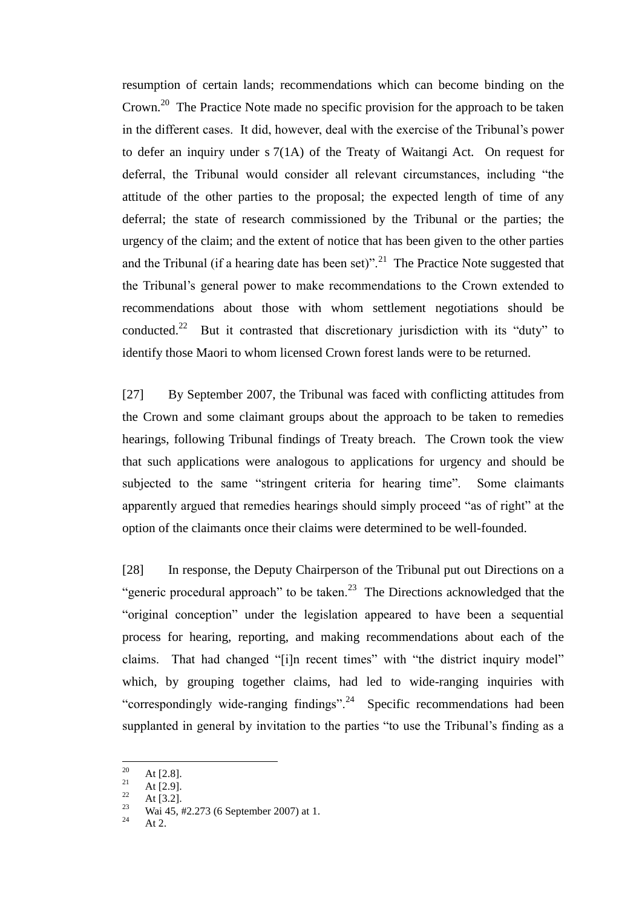resumption of certain lands; recommendations which can become binding on the Crown.<sup>20</sup> The Practice Note made no specific provision for the approach to be taken in the different cases. It did, however, deal with the exercise of the Tribunal's power to defer an inquiry under s 7(1A) of the Treaty of Waitangi Act. On request for deferral, the Tribunal would consider all relevant circumstances, including "the attitude of the other parties to the proposal; the expected length of time of any deferral; the state of research commissioned by the Tribunal or the parties; the urgency of the claim; and the extent of notice that has been given to the other parties and the Tribunal (if a hearing date has been set)".<sup>21</sup> The Practice Note suggested that the Tribunal's general power to make recommendations to the Crown extended to recommendations about those with whom settlement negotiations should be conducted.<sup>22</sup> But it contrasted that discretionary jurisdiction with its "duty" to identify those Maori to whom licensed Crown forest lands were to be returned.

[27] By September 2007, the Tribunal was faced with conflicting attitudes from the Crown and some claimant groups about the approach to be taken to remedies hearings, following Tribunal findings of Treaty breach. The Crown took the view that such applications were analogous to applications for urgency and should be subjected to the same "stringent criteria for hearing time". Some claimants apparently argued that remedies hearings should simply proceed "as of right" at the option of the claimants once their claims were determined to be well-founded.

[28] In response, the Deputy Chairperson of the Tribunal put out Directions on a "generic procedural approach" to be taken.<sup>23</sup> The Directions acknowledged that the "original conception" under the legislation appeared to have been a sequential process for hearing, reporting, and making recommendations about each of the claims. That had changed "[i]n recent times" with "the district inquiry model" which, by grouping together claims, had led to wide-ranging inquiries with "correspondingly wide-ranging findings".<sup>24</sup> Specific recommendations had been supplanted in general by invitation to the parties "to use the Tribunal's finding as a

<sup>20</sup>  $\frac{20}{21}$  At [2.8].

 $\frac{21}{22}$  At [2.9].

 $\frac{22}{23}$  At [3.2].

<sup>&</sup>lt;sup>23</sup> Wai 45, #2.273 (6 September 2007) at 1.

At  $2.$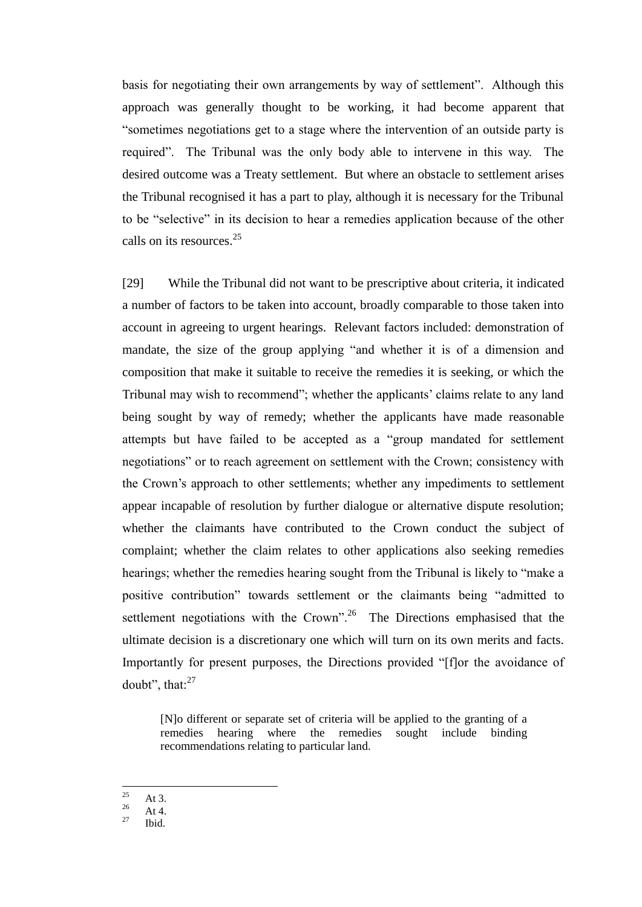basis for negotiating their own arrangements by way of settlement". Although this approach was generally thought to be working, it had become apparent that ―sometimes negotiations get to a stage where the intervention of an outside party is required". The Tribunal was the only body able to intervene in this way. The desired outcome was a Treaty settlement. But where an obstacle to settlement arises the Tribunal recognised it has a part to play, although it is necessary for the Tribunal to be "selective" in its decision to hear a remedies application because of the other calls on its resources.<sup>25</sup>

[29] While the Tribunal did not want to be prescriptive about criteria, it indicated a number of factors to be taken into account, broadly comparable to those taken into account in agreeing to urgent hearings. Relevant factors included: demonstration of mandate, the size of the group applying "and whether it is of a dimension and composition that make it suitable to receive the remedies it is seeking, or which the Tribunal may wish to recommend"; whether the applicants' claims relate to any land being sought by way of remedy; whether the applicants have made reasonable attempts but have failed to be accepted as a "group mandated for settlement negotiations" or to reach agreement on settlement with the Crown; consistency with the Crown's approach to other settlements; whether any impediments to settlement appear incapable of resolution by further dialogue or alternative dispute resolution; whether the claimants have contributed to the Crown conduct the subject of complaint; whether the claim relates to other applications also seeking remedies hearings; whether the remedies hearing sought from the Tribunal is likely to "make a positive contribution" towards settlement or the claimants being "admitted to settlement negotiations with the Crown".<sup>26</sup> The Directions emphasised that the ultimate decision is a discretionary one which will turn on its own merits and facts. Importantly for present purposes, the Directions provided "[f]or the avoidance of doubt", that: $27$ 

[N]o different or separate set of criteria will be applied to the granting of a remedies hearing where the remedies sought include binding recommendations relating to particular land.

25  $\frac{25}{26}$  At 3.

 $\frac{26}{27}$  At 4.

Ibid.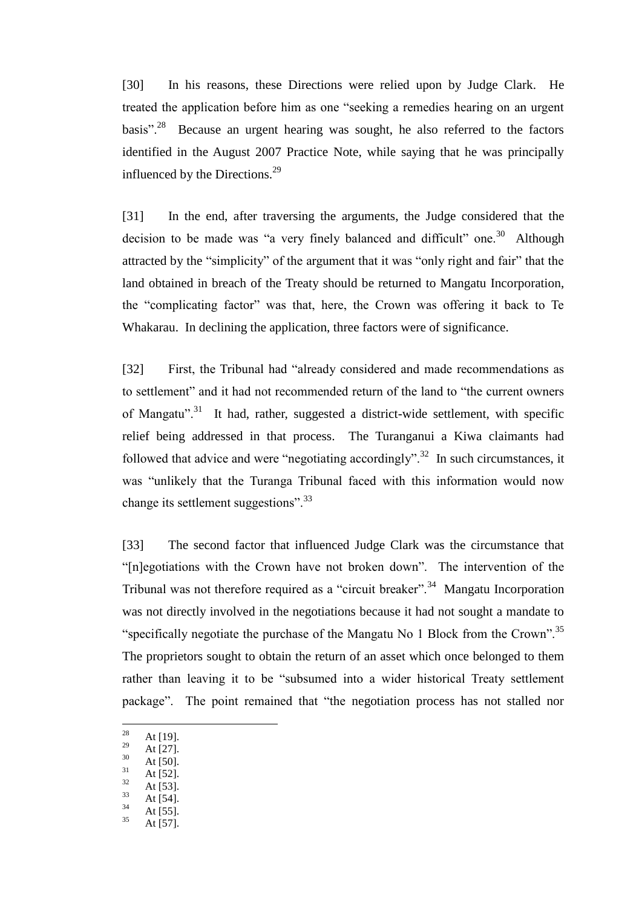[30] In his reasons, these Directions were relied upon by Judge Clark. He treated the application before him as one "seeking a remedies hearing on an urgent basis".<sup>28</sup> Because an urgent hearing was sought, he also referred to the factors identified in the August 2007 Practice Note, while saying that he was principally influenced by the Directions. $^{29}$ 

[31] In the end, after traversing the arguments, the Judge considered that the decision to be made was "a very finely balanced and difficult" one.<sup>30</sup> Although attracted by the "simplicity" of the argument that it was "only right and fair" that the land obtained in breach of the Treaty should be returned to Mangatu Incorporation, the "complicating factor" was that, here, the Crown was offering it back to Te Whakarau. In declining the application, three factors were of significance.

[32] First, the Tribunal had "already considered and made recommendations as to settlement" and it had not recommended return of the land to "the current owners of Mangatu".<sup>31</sup> It had, rather, suggested a district-wide settlement, with specific relief being addressed in that process. The Turanganui a Kiwa claimants had followed that advice and were "negotiating accordingly".<sup>32</sup> In such circumstances, it was "unlikely that the Turanga Tribunal faced with this information would now change its settlement suggestions".<sup>33</sup>

[33] The second factor that influenced Judge Clark was the circumstance that "[n]egotiations with the Crown have not broken down". The intervention of the Tribunal was not therefore required as a "circuit breaker".<sup>34</sup> Mangatu Incorporation was not directly involved in the negotiations because it had not sought a mandate to "specifically negotiate the purchase of the Mangatu No 1 Block from the Crown".<sup>35</sup> The proprietors sought to obtain the return of an asset which once belonged to them rather than leaving it to be "subsumed into a wider historical Treaty settlement package". The point remained that "the negotiation process has not stalled nor

- $\frac{30}{31}$  At [50].
- $31$  At [52].
- $\frac{32}{33}$  At [53].
- $\frac{33}{34}$  At [54].
- $\frac{34}{35}$  At [55].
- At [57].

<sup>28</sup>  $\frac{28}{29}$  At [19].

 $\frac{29}{30}$  At [27].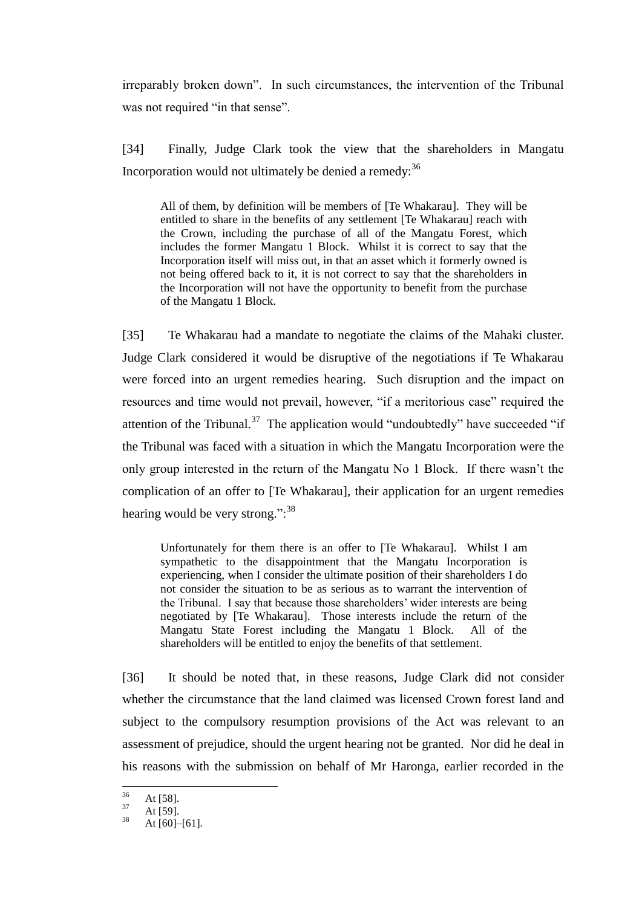irreparably broken down". In such circumstances, the intervention of the Tribunal was not required "in that sense".

[34] Finally, Judge Clark took the view that the shareholders in Mangatu Incorporation would not ultimately be denied a remedy:  $36$ 

All of them, by definition will be members of [Te Whakarau]. They will be entitled to share in the benefits of any settlement [Te Whakarau] reach with the Crown, including the purchase of all of the Mangatu Forest, which includes the former Mangatu 1 Block. Whilst it is correct to say that the Incorporation itself will miss out, in that an asset which it formerly owned is not being offered back to it, it is not correct to say that the shareholders in the Incorporation will not have the opportunity to benefit from the purchase of the Mangatu 1 Block.

[35] Te Whakarau had a mandate to negotiate the claims of the Mahaki cluster. Judge Clark considered it would be disruptive of the negotiations if Te Whakarau were forced into an urgent remedies hearing. Such disruption and the impact on resources and time would not prevail, however, "if a meritorious case" required the attention of the Tribunal.<sup>37</sup> The application would "undoubtedly" have succeeded "if the Tribunal was faced with a situation in which the Mangatu Incorporation were the only group interested in the return of the Mangatu No 1 Block. If there wasn't the complication of an offer to [Te Whakarau], their application for an urgent remedies hearing would be very strong." $\cdot$ <sup>38</sup>

Unfortunately for them there is an offer to [Te Whakarau]. Whilst I am sympathetic to the disappointment that the Mangatu Incorporation is experiencing, when I consider the ultimate position of their shareholders I do not consider the situation to be as serious as to warrant the intervention of the Tribunal. I say that because those shareholders' wider interests are being negotiated by [Te Whakarau]. Those interests include the return of the Mangatu State Forest including the Mangatu 1 Block. All of the shareholders will be entitled to enjoy the benefits of that settlement.

[36] It should be noted that, in these reasons, Judge Clark did not consider whether the circumstance that the land claimed was licensed Crown forest land and subject to the compulsory resumption provisions of the Act was relevant to an assessment of prejudice, should the urgent hearing not be granted. Nor did he deal in his reasons with the submission on behalf of Mr Haronga, earlier recorded in the

<sup>36</sup>  $\frac{36}{37}$  At [58].

 $\frac{37}{38}$  At [59].

At  $[60]$ – $[61]$ .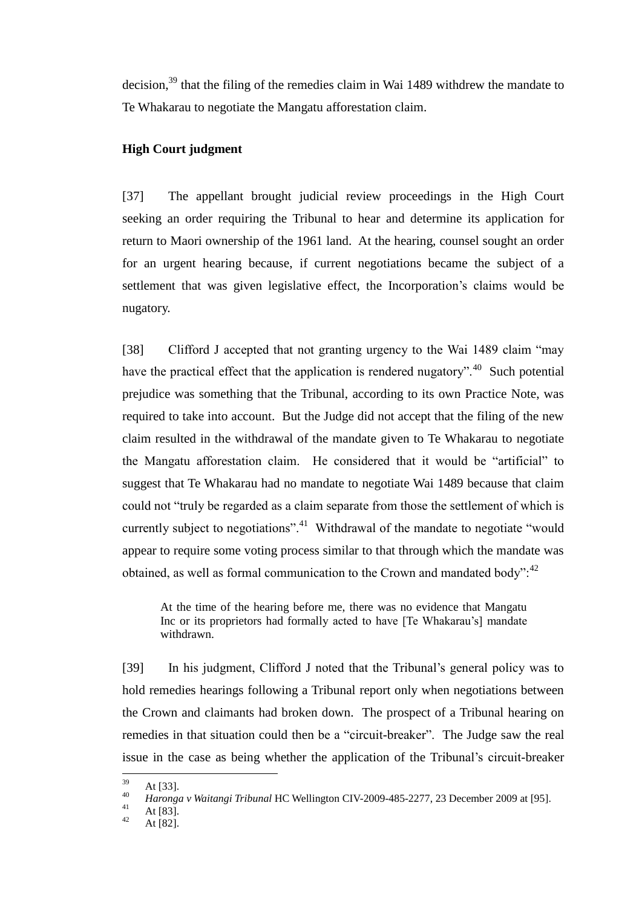decision,<sup>39</sup> that the filing of the remedies claim in Wai 1489 withdrew the mandate to Te Whakarau to negotiate the Mangatu afforestation claim.

# **High Court judgment**

<span id="page-15-0"></span>[37] The appellant brought judicial review proceedings in the High Court seeking an order requiring the Tribunal to hear and determine its application for return to Maori ownership of the 1961 land. At the hearing, counsel sought an order for an urgent hearing because, if current negotiations became the subject of a settlement that was given legislative effect, the Incorporation's claims would be nugatory.

[38] Clifford J accepted that not granting urgency to the Wai 1489 claim "may" have the practical effect that the application is rendered nugatory".<sup>40</sup> Such potential prejudice was something that the Tribunal, according to its own Practice Note, was required to take into account. But the Judge did not accept that the filing of the new claim resulted in the withdrawal of the mandate given to Te Whakarau to negotiate the Mangatu afforestation claim. He considered that it would be "artificial" to suggest that Te Whakarau had no mandate to negotiate Wai 1489 because that claim could not "truly be regarded as a claim separate from those the settlement of which is currently subject to negotiations".<sup>41</sup> Withdrawal of the mandate to negotiate "would appear to require some voting process similar to that through which the mandate was obtained, as well as formal communication to the Crown and mandated body": $42$ 

At the time of the hearing before me, there was no evidence that Mangatu Inc or its proprietors had formally acted to have [Te Whakarau's] mandate withdrawn.

[39] In his judgment, Clifford J noted that the Tribunal's general policy was to hold remedies hearings following a Tribunal report only when negotiations between the Crown and claimants had broken down. The prospect of a Tribunal hearing on remedies in that situation could then be a "circuit-breaker". The Judge saw the real issue in the case as being whether the application of the Tribunal's circuit-breaker

<sup>39</sup>  $\frac{39}{40}$  At [33].

<sup>40</sup> *Haronga v Waitangi Tribunal* HC Wellington CIV-2009-485-2277, 23 December 2009 at [95].

 $41$  At [83].

At  $[82]$ .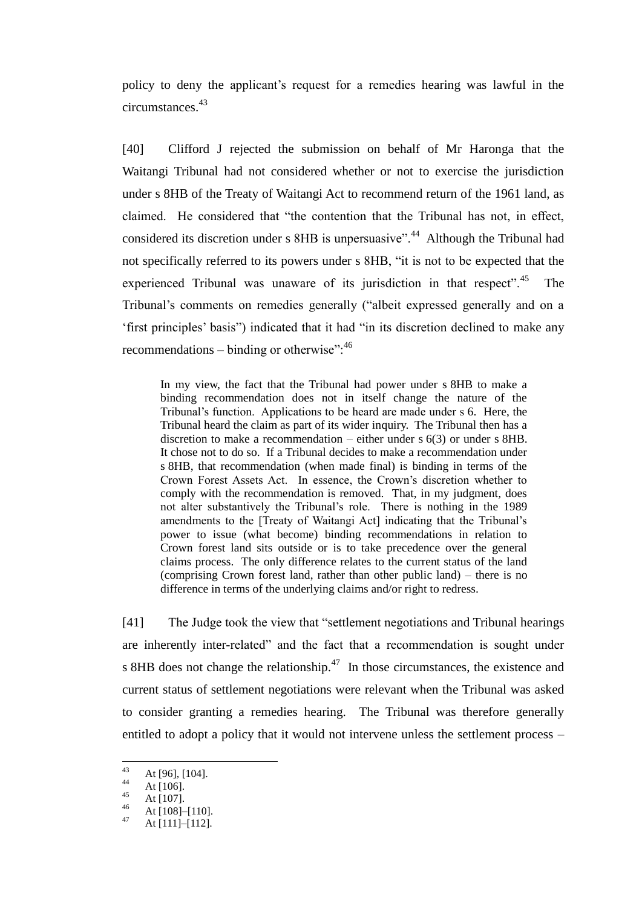policy to deny the applicant's request for a remedies hearing was lawful in the circumstances.<sup>43</sup>

[40] Clifford J rejected the submission on behalf of Mr Haronga that the Waitangi Tribunal had not considered whether or not to exercise the jurisdiction under s 8HB of the Treaty of Waitangi Act to recommend return of the 1961 land, as claimed. He considered that "the contention that the Tribunal has not, in effect, considered its discretion under s 8HB is unpersuasive".<sup>44</sup> Although the Tribunal had not specifically referred to its powers under s 8HB, "it is not to be expected that the experienced Tribunal was unaware of its jurisdiction in that respect".<sup>45</sup> The Tribunal's comments on remedies generally ("albeit expressed generally and on a 'first principles' basis") indicated that it had "in its discretion declined to make any recommendations – binding or otherwise": $46$ 

In my view, the fact that the Tribunal had power under s 8HB to make a binding recommendation does not in itself change the nature of the Tribunal's function. Applications to be heard are made under s 6. Here, the Tribunal heard the claim as part of its wider inquiry. The Tribunal then has a discretion to make a recommendation – either under s 6(3) or under s 8HB. It chose not to do so. If a Tribunal decides to make a recommendation under s 8HB, that recommendation (when made final) is binding in terms of the Crown Forest Assets Act. In essence, the Crown's discretion whether to comply with the recommendation is removed. That, in my judgment, does not alter substantively the Tribunal's role. There is nothing in the 1989 amendments to the [Treaty of Waitangi Act] indicating that the Tribunal's power to issue (what become) binding recommendations in relation to Crown forest land sits outside or is to take precedence over the general claims process. The only difference relates to the current status of the land (comprising Crown forest land, rather than other public land) – there is no difference in terms of the underlying claims and/or right to redress.

[41] The Judge took the view that "settlement negotiations and Tribunal hearings are inherently inter-related" and the fact that a recommendation is sought under s 8HB does not change the relationship. $47$  In those circumstances, the existence and current status of settlement negotiations were relevant when the Tribunal was asked to consider granting a remedies hearing. The Tribunal was therefore generally entitled to adopt a policy that it would not intervene unless the settlement process –

 $43$ <sup>43</sup> At [96], [104].

 $44$  At [106].

 $45$  At [107].

 $46$  At [108]–[110].

At [111]–[112].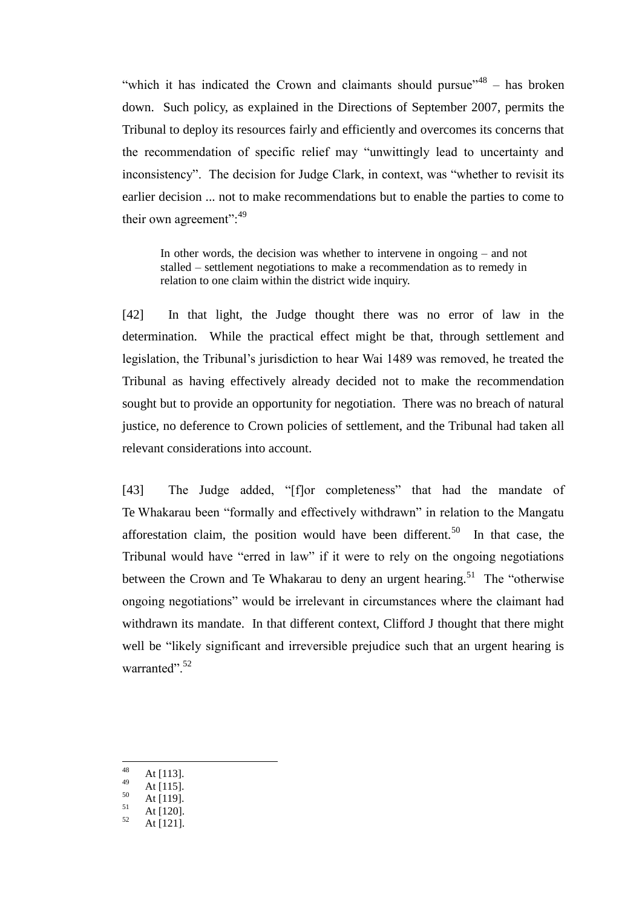"which it has indicated the Crown and claimants should pursue"  $48 -$  has broken down. Such policy, as explained in the Directions of September 2007, permits the Tribunal to deploy its resources fairly and efficiently and overcomes its concerns that the recommendation of specific relief may "unwittingly lead to uncertainty and inconsistency". The decision for Judge Clark, in context, was "whether to revisit its earlier decision ... not to make recommendations but to enable the parties to come to their own agreement":<sup>49</sup>

In other words, the decision was whether to intervene in ongoing – and not stalled – settlement negotiations to make a recommendation as to remedy in relation to one claim within the district wide inquiry.

[42] In that light, the Judge thought there was no error of law in the determination. While the practical effect might be that, through settlement and legislation, the Tribunal's jurisdiction to hear Wai 1489 was removed, he treated the Tribunal as having effectively already decided not to make the recommendation sought but to provide an opportunity for negotiation. There was no breach of natural justice, no deference to Crown policies of settlement, and the Tribunal had taken all relevant considerations into account.

[43] The Judge added, "[f]or completeness" that had the mandate of Te Whakarau been "formally and effectively withdrawn" in relation to the Mangatu afforestation claim, the position would have been different.<sup>50</sup> In that case, the Tribunal would have "erred in law" if it were to rely on the ongoing negotiations between the Crown and Te Whakarau to deny an urgent hearing.<sup>51</sup> The "otherwise" ongoing negotiations" would be irrelevant in circumstances where the claimant had withdrawn its mandate. In that different context, Clifford J thought that there might well be "likely significant and irreversible prejudice such that an urgent hearing is warranted"<sup>52</sup>

- 48  $48$  At [113].
- $49$  At [115].
- $\frac{50}{51}$  At [119].
- $\frac{51}{52}$  At [120].
- At [121].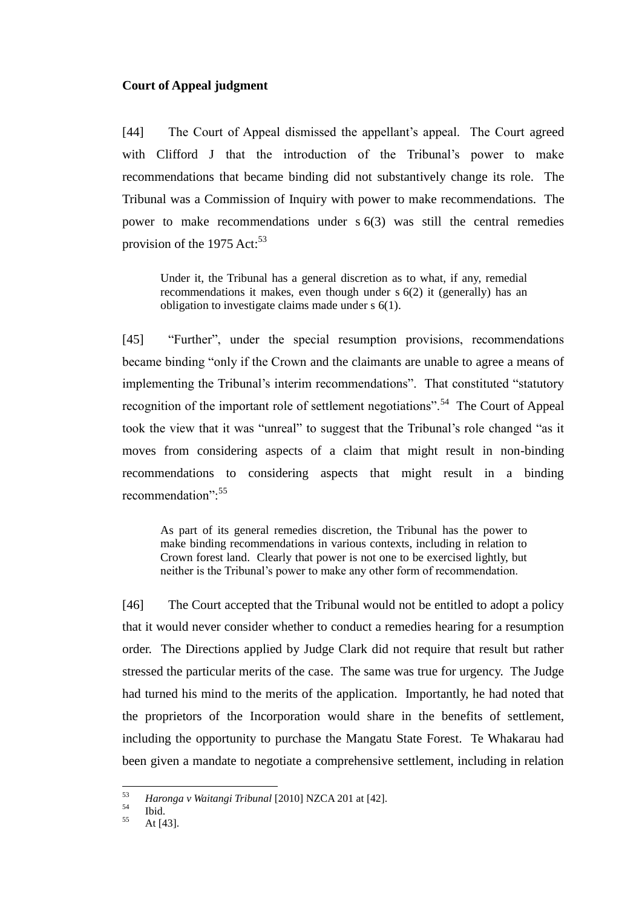## **Court of Appeal judgment**

<span id="page-18-0"></span>[44] The Court of Appeal dismissed the appellant's appeal. The Court agreed with Clifford J that the introduction of the Tribunal's power to make recommendations that became binding did not substantively change its role. The Tribunal was a Commission of Inquiry with power to make recommendations. The power to make recommendations under s 6(3) was still the central remedies provision of the 1975 Act: $53$ 

Under it, the Tribunal has a general discretion as to what, if any, remedial recommendations it makes, even though under s 6(2) it (generally) has an obligation to investigate claims made under s 6(1).

[45] "Further", under the special resumption provisions, recommendations became binding "only if the Crown and the claimants are unable to agree a means of implementing the Tribunal's interim recommendations". That constituted "statutory recognition of the important role of settlement negotiations".<sup>54</sup> The Court of Appeal took the view that it was "unreal" to suggest that the Tribunal's role changed "as it moves from considering aspects of a claim that might result in non-binding recommendations to considering aspects that might result in a binding recommendation":<sup>55</sup>

As part of its general remedies discretion, the Tribunal has the power to make binding recommendations in various contexts, including in relation to Crown forest land. Clearly that power is not one to be exercised lightly, but neither is the Tribunal's power to make any other form of recommendation.

[46] The Court accepted that the Tribunal would not be entitled to adopt a policy that it would never consider whether to conduct a remedies hearing for a resumption order. The Directions applied by Judge Clark did not require that result but rather stressed the particular merits of the case. The same was true for urgency. The Judge had turned his mind to the merits of the application. Importantly, he had noted that the proprietors of the Incorporation would share in the benefits of settlement, including the opportunity to purchase the Mangatu State Forest. Te Whakarau had been given a mandate to negotiate a comprehensive settlement, including in relation

<sup>53</sup> <sup>53</sup> *Haronga v Waitangi Tribunal* [2010] NZCA 201 at [42].

 $\begin{array}{c} 54 \\ 55 \end{array}$  Ibid.

At  $[43]$ .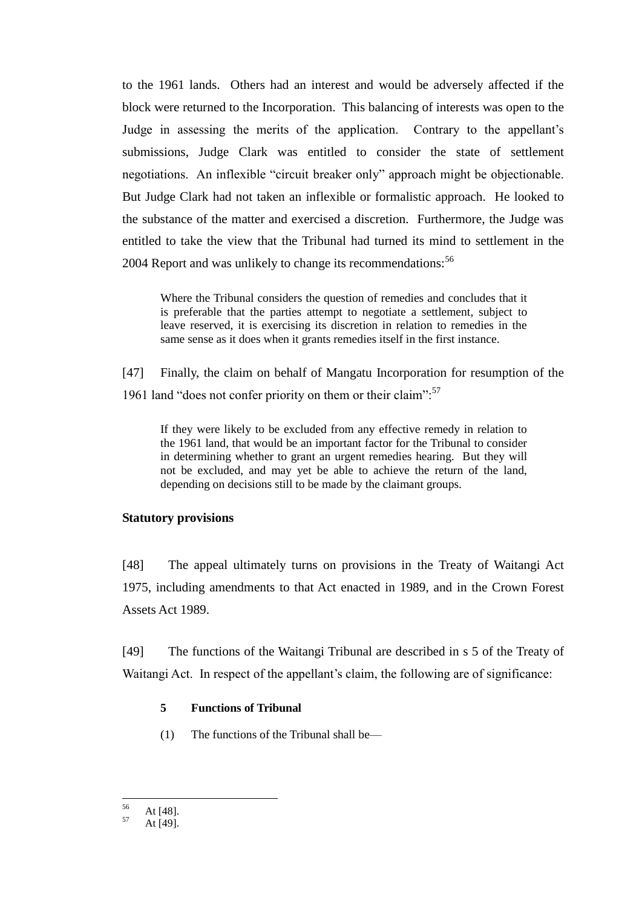to the 1961 lands. Others had an interest and would be adversely affected if the block were returned to the Incorporation. This balancing of interests was open to the Judge in assessing the merits of the application. Contrary to the appellant's submissions, Judge Clark was entitled to consider the state of settlement negotiations. An inflexible "circuit breaker only" approach might be objectionable. But Judge Clark had not taken an inflexible or formalistic approach. He looked to the substance of the matter and exercised a discretion. Furthermore, the Judge was entitled to take the view that the Tribunal had turned its mind to settlement in the 2004 Report and was unlikely to change its recommendations:<sup>56</sup>

Where the Tribunal considers the question of remedies and concludes that it is preferable that the parties attempt to negotiate a settlement, subject to leave reserved, it is exercising its discretion in relation to remedies in the same sense as it does when it grants remedies itself in the first instance.

[47] Finally, the claim on behalf of Mangatu Incorporation for resumption of the 1961 land "does not confer priority on them or their claim": $57$ 

If they were likely to be excluded from any effective remedy in relation to the 1961 land, that would be an important factor for the Tribunal to consider in determining whether to grant an urgent remedies hearing. But they will not be excluded, and may yet be able to achieve the return of the land, depending on decisions still to be made by the claimant groups.

## **Statutory provisions**

<span id="page-19-0"></span>[48] The appeal ultimately turns on provisions in the Treaty of Waitangi Act 1975, including amendments to that Act enacted in 1989, and in the Crown Forest Assets Act 1989.

<span id="page-19-1"></span>[49] The functions of the Waitangi Tribunal are described in s 5 of the Treaty of Waitangi Act. In respect of the appellant's claim, the following are of significance:

### **5 Functions of Tribunal**

(1) The functions of the Tribunal shall be—

<sup>56</sup>  $\frac{56}{57}$  At [48].

At  $[49]$ .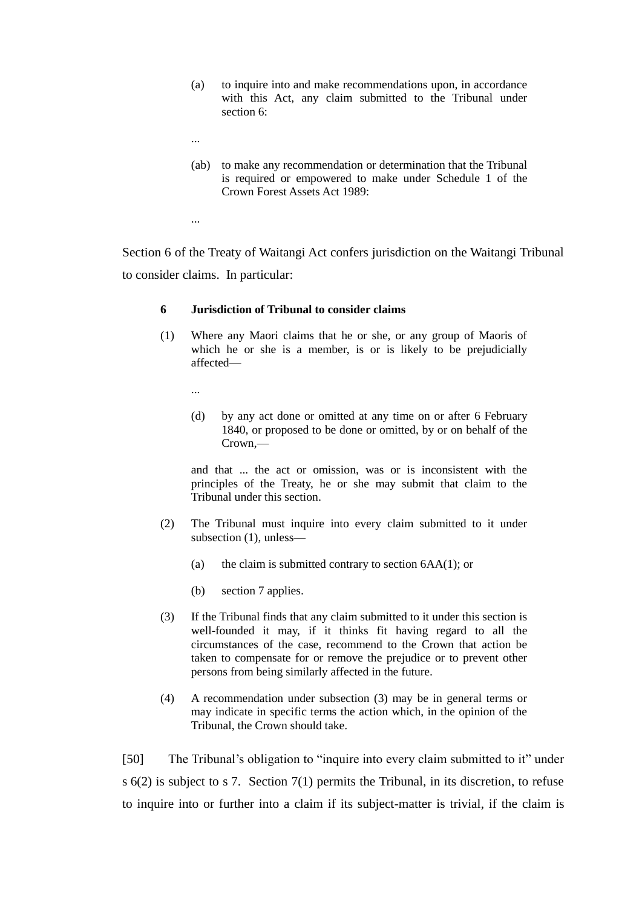- (a) to inquire into and make recommendations upon, in accordance with this Act, any claim submitted to the Tribunal under [section](http://www.legislation.govt.nz/act/public/1975/0114/latest/link.aspx?id=DLM435515#DLM435515) 6:
- ...
- (ab) to make any recommendation or determination that the Tribunal is required or empowered to make under [Schedule 1](http://www.legislation.govt.nz/act/public/1975/0114/latest/link.aspx?id=DLM435834#DLM435834) of the Crown Forest Assets Act 1989:
- ...

Section 6 of the Treaty of Waitangi Act confers jurisdiction on the Waitangi Tribunal to consider claims. In particular:

#### **6 Jurisdiction of Tribunal to consider claims**

(1) Where any Maori claims that he or she, or any group of Maoris of which he or she is a member, is or is likely to be prejudicially affected—

...

(d) by any act done or omitted at any time on or after 6 February 1840, or proposed to be done or omitted, by or on behalf of the Crown,—

and that ... the act or omission, was or is inconsistent with the principles of the Treaty, he or she may submit that claim to the Tribunal under this section.

- (2) The Tribunal must inquire into every claim submitted to it under subsection (1), unless—
	- (a) the claim is submitted contrary to section  $6AA(1)$ ; or
	- (b) section 7 applies.
- (3) If the Tribunal finds that any claim submitted to it under this section is well-founded it may, if it thinks fit having regard to all the circumstances of the case, recommend to the Crown that action be taken to compensate for or remove the prejudice or to prevent other persons from being similarly affected in the future.
- (4) A recommendation under subsection (3) may be in general terms or may indicate in specific terms the action which, in the opinion of the Tribunal, the Crown should take.

[50] The Tribunal's obligation to "inquire into every claim submitted to it" under s 6(2) is subject to s 7. Section 7(1) permits the Tribunal, in its discretion, to refuse to inquire into or further into a claim if its subject-matter is trivial, if the claim is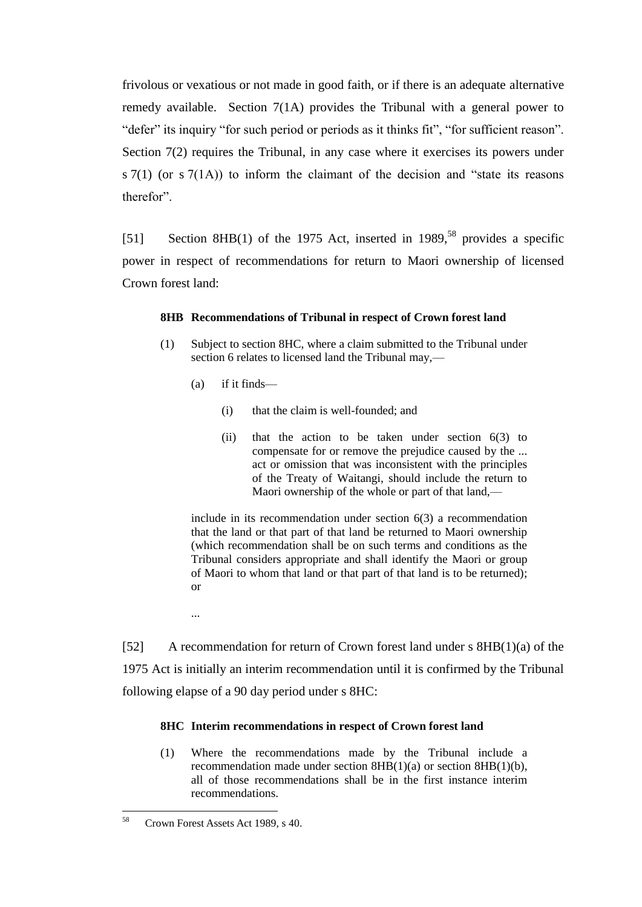frivolous or vexatious or not made in good faith, or if there is an adequate alternative remedy available. Section 7(1A) provides the Tribunal with a general power to "defer" its inquiry "for such period or periods as it thinks fit", "for sufficient reason". Section 7(2) requires the Tribunal, in any case where it exercises its powers under s  $7(1)$  (or s  $7(1)$ ) to inform the claimant of the decision and "state its reasons" therefor"

[51] Section 8HB(1) of the 1975 Act, inserted in 1989,<sup>58</sup> provides a specific power in respect of recommendations for return to Maori ownership of licensed Crown forest land:

### **8HB Recommendations of Tribunal in respect of Crown forest land**

- (1) Subject to [section 8HC,](http://www.lexisnexis.com/nz/legal/search/runRemoteLink.do?bct=A&risb=21_T11190590795&homeCsi=274497&A=0.8046450630110924&urlEnc=ISO-8859-1&&dpsi=0069&remotekey1=REFPTID&refpt=1975A114S8HC&service=DOC-ID&origdpsi=0069) where a claim submitted to the [Tribunal](http://www.lexisnexis.com/nz/legal/search/runRemoteLink.do?bct=A&risb=21_T11190590795&homeCsi=274497&A=0.8046450630110924&urlEnc=ISO-8859-1&&dpsi=0069&remotekey1=REFPTID&refpt=1975A114S2:TRIBUNAL&service=DOC-ID&origdpsi=0069) under [section 6](http://www.lexisnexis.com/nz/legal/search/runRemoteLink.do?bct=A&risb=21_T11190590795&homeCsi=274497&A=0.8046450630110924&urlEnc=ISO-8859-1&&dpsi=0069&remotekey1=REFPTID&refpt=1975A114S6&service=DOC-ID&origdpsi=0069) relates to licensed land the Tribunal may,—
	- (a) if it finds—
		- (i) that the claim is well-founded; and
		- (ii) that the action to be taken under [section 6\(3\)](http://www.lexisnexis.com/nz/legal/search/runRemoteLink.do?bct=A&risb=21_T11190590795&homeCsi=274497&A=0.8046450630110924&urlEnc=ISO-8859-1&&dpsi=0069&remotekey1=REFPTID&refpt=1975A114S6&service=DOC-ID&origdpsi=0069) to compensate for or remove the prejudice caused by the ... act or omission that was inconsistent with the principles of the Treaty of Waitangi, should include the return to Maori ownership of the whole or part of that land,—

include in its recommendation under [section 6\(3\)](http://www.lexisnexis.com/nz/legal/search/runRemoteLink.do?bct=A&risb=21_T11190590795&homeCsi=274497&A=0.8046450630110924&urlEnc=ISO-8859-1&&dpsi=0069&remotekey1=REFPTID&refpt=1975A114S6&service=DOC-ID&origdpsi=0069) a recommendation that the land or that part of that land be returned to Maori ownership (which recommendation shall be on such terms and conditions as the [Tribunal](http://www.lexisnexis.com/nz/legal/search/runRemoteLink.do?bct=A&risb=21_T11190590795&homeCsi=274497&A=0.8046450630110924&urlEnc=ISO-8859-1&&dpsi=0069&remotekey1=REFPTID&refpt=1975A114S2:TRIBUNAL&service=DOC-ID&origdpsi=0069) considers appropriate and shall identify the [Maori](http://www.lexisnexis.com/nz/legal/search/runRemoteLink.do?bct=A&risb=21_T11190590795&homeCsi=274497&A=0.8046450630110924&urlEnc=ISO-8859-1&&dpsi=0069&remotekey1=REFPTID&refpt=1975A114S2:MAORI&service=DOC-ID&origdpsi=0069) or group of Maori to whom that land or that part of that land is to be returned); or

...

[52] A recommendation for return of Crown forest land under s 8HB(1)(a) of the 1975 Act is initially an interim recommendation until it is confirmed by the Tribunal following elapse of a 90 day period under s 8HC:

### **8HC Interim recommendations in respect of Crown forest land**

(1) Where the recommendations made by the [Tribunal](http://www.lexisnexis.com/nz/legal/search/runRemoteLink.do?bct=A&risb=21_T11190590795&homeCsi=274497&A=0.8046450630110924&urlEnc=ISO-8859-1&&dpsi=0069&remotekey1=REFPTID&refpt=1975A114S2:TRIBUNAL&service=DOC-ID&origdpsi=0069) include a recommendation made under [section 8HB\(1\)\(a\)](http://www.lexisnexis.com/nz/legal/search/runRemoteLink.do?bct=A&risb=21_T11190590795&homeCsi=274497&A=0.8046450630110924&urlEnc=ISO-8859-1&&dpsi=0069&remotekey1=REFPTID&refpt=1975A114S8HB&service=DOC-ID&origdpsi=0069) or [section 8HB\(1\)\(b\),](http://www.lexisnexis.com/nz/legal/search/runRemoteLink.do?bct=A&risb=21_T11190590795&homeCsi=274497&A=0.8046450630110924&urlEnc=ISO-8859-1&&dpsi=0069&remotekey1=REFPTID&refpt=1975A114S8HB&service=DOC-ID&origdpsi=0069) all of those recommendations shall be in the first instance interim recommendations.

<sup>58</sup> <sup>58</sup> Crown Forest Assets Act 1989, s 40.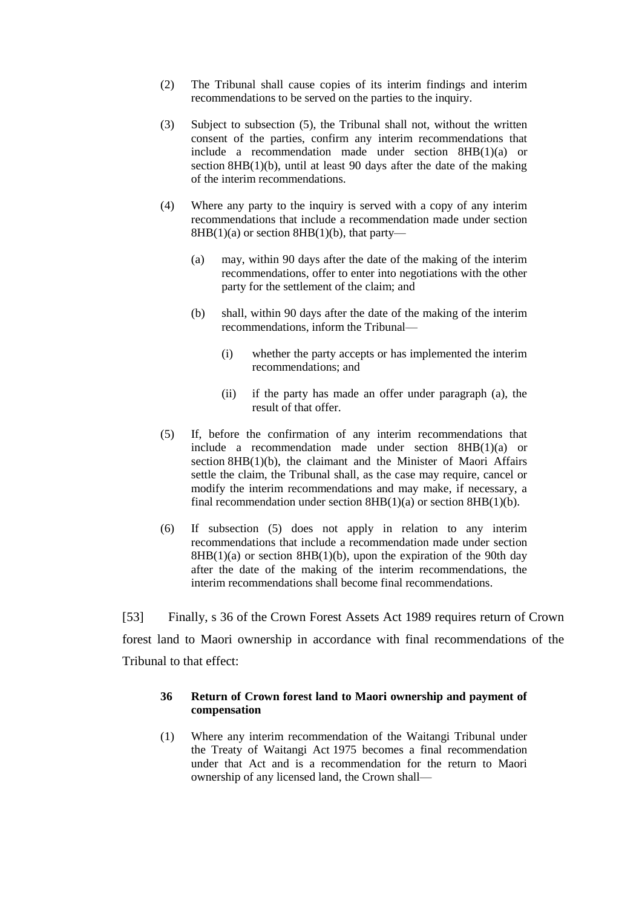- (2) The [Tribunal](http://www.lexisnexis.com/nz/legal/search/runRemoteLink.do?bct=A&risb=21_T11190590795&homeCsi=274497&A=0.8046450630110924&urlEnc=ISO-8859-1&&dpsi=0069&remotekey1=REFPTID&refpt=1975A114S2:TRIBUNAL&service=DOC-ID&origdpsi=0069) shall cause copies of its interim findings and interim recommendations to be served on the parties to the inquiry.
- (3) Subject to subsection (5), the [Tribunal](http://www.lexisnexis.com/nz/legal/search/runRemoteLink.do?bct=A&risb=21_T11190590795&homeCsi=274497&A=0.8046450630110924&urlEnc=ISO-8859-1&&dpsi=0069&remotekey1=REFPTID&refpt=1975A114S2:TRIBUNAL&service=DOC-ID&origdpsi=0069) shall not, without the written consent of the parties, confirm any interim recommendations that include a recommendation made under [section 8HB\(1\)\(a\)](http://www.lexisnexis.com/nz/legal/search/runRemoteLink.do?bct=A&risb=21_T11190590795&homeCsi=274497&A=0.8046450630110924&urlEnc=ISO-8859-1&&dpsi=0069&remotekey1=REFPTID&refpt=1975A114S8HB&service=DOC-ID&origdpsi=0069) or section  $8HB(1)(b)$ , until at least 90 days after the date of the making of the interim recommendations.
- (4) Where any party to the inquiry is served with a copy of any interim recommendations that include a recommendation made under [section](http://www.lexisnexis.com/nz/legal/search/runRemoteLink.do?bct=A&risb=21_T11190590795&homeCsi=274497&A=0.8046450630110924&urlEnc=ISO-8859-1&&dpsi=0069&remotekey1=REFPTID&refpt=1975A114S8HB&service=DOC-ID&origdpsi=0069)   $8HB(1)(a)$  or section  $8HB(1)(b)$ , that party—
	- (a) may, within 90 days after the date of the making of the interim recommendations, offer to enter into negotiations with the other party for the settlement of the claim; and
	- (b) shall, within 90 days after the date of the making of the interim recommendations, inform the [Tribunal—](http://www.lexisnexis.com/nz/legal/search/runRemoteLink.do?bct=A&risb=21_T11190590795&homeCsi=274497&A=0.8046450630110924&urlEnc=ISO-8859-1&&dpsi=0069&remotekey1=REFPTID&refpt=1975A114S2:TRIBUNAL&service=DOC-ID&origdpsi=0069)
		- (i) whether the party accepts or has implemented the interim recommendations; and
		- (ii) if the party has made an offer under paragraph (a), the result of that offer.
- (5) If, before the confirmation of any interim recommendations that include a recommendation made under [section 8HB\(1\)\(a\)](http://www.lexisnexis.com/nz/legal/search/runRemoteLink.do?bct=A&risb=21_T11190590795&homeCsi=274497&A=0.8046450630110924&urlEnc=ISO-8859-1&&dpsi=0069&remotekey1=REFPTID&refpt=1975A114S8HB&service=DOC-ID&origdpsi=0069) or section [8HB\(1\)\(b\),](http://www.lexisnexis.com/nz/legal/search/runRemoteLink.do?bct=A&risb=21_T11190590795&homeCsi=274497&A=0.8046450630110924&urlEnc=ISO-8859-1&&dpsi=0069&remotekey1=REFPTID&refpt=1975A114S8HB&service=DOC-ID&origdpsi=0069) the claimant and the Minister of Maori Affairs settle the claim, the [Tribunal](http://www.lexisnexis.com/nz/legal/search/runRemoteLink.do?bct=A&risb=21_T11190590795&homeCsi=274497&A=0.8046450630110924&urlEnc=ISO-8859-1&&dpsi=0069&remotekey1=REFPTID&refpt=1975A114S2:TRIBUNAL&service=DOC-ID&origdpsi=0069) shall, as the case may require, cancel or modify the interim recommendations and may make, if necessary, a final recommendation under [section 8HB\(1\)\(a\)](http://www.lexisnexis.com/nz/legal/search/runRemoteLink.do?bct=A&risb=21_T11190590795&homeCsi=274497&A=0.8046450630110924&urlEnc=ISO-8859-1&&dpsi=0069&remotekey1=REFPTID&refpt=1975A114S8HB&service=DOC-ID&origdpsi=0069) or [section 8HB\(1\)\(b\).](http://www.lexisnexis.com/nz/legal/search/runRemoteLink.do?bct=A&risb=21_T11190590795&homeCsi=274497&A=0.8046450630110924&urlEnc=ISO-8859-1&&dpsi=0069&remotekey1=REFPTID&refpt=1975A114S8HB&service=DOC-ID&origdpsi=0069)
- (6) If subsection (5) does not apply in relation to any interim recommendations that include a recommendation made under [section](http://www.lexisnexis.com/nz/legal/search/runRemoteLink.do?bct=A&risb=21_T11190590795&homeCsi=274497&A=0.8046450630110924&urlEnc=ISO-8859-1&&dpsi=0069&remotekey1=REFPTID&refpt=1975A114S8HB&service=DOC-ID&origdpsi=0069)   $8HB(1)(a)$  or section  $8HB(1)(b)$ , upon the expiration of the 90th day after the date of the making of the interim recommendations, the interim recommendations shall become final recommendations.

[53] Finally, s 36 of the Crown Forest Assets Act 1989 requires return of Crown forest land to Maori ownership in accordance with final recommendations of the Tribunal to that effect:

## **36 Return of Crown forest land to Maori ownership and payment of compensation**

(1) Where any interim recommendation of the Waitangi Tribunal under the Treaty of Waitangi Act 1975 becomes a final recommendation under that Act and is a recommendation for the return to Maori ownership of any [licensed land,](http://www.lexisnexis.com/nz/legal/search/runRemoteLink.do?bct=A&risb=21_T11203609782&homeCsi=274497&A=0.6088910576080718&urlEnc=ISO-8859-1&&dpsi=0069&remotekey1=REFPTID&refpt=1989A99S2:LICENSED_LAND&service=DOC-ID&origdpsi=0069) th[e Crown](http://www.lexisnexis.com/nz/legal/search/runRemoteLink.do?bct=A&risb=21_T11203609782&homeCsi=274497&A=0.6088910576080718&urlEnc=ISO-8859-1&&dpsi=0069&remotekey1=REFPTID&refpt=1989A99S2:CROWN&service=DOC-ID&origdpsi=0069) shall—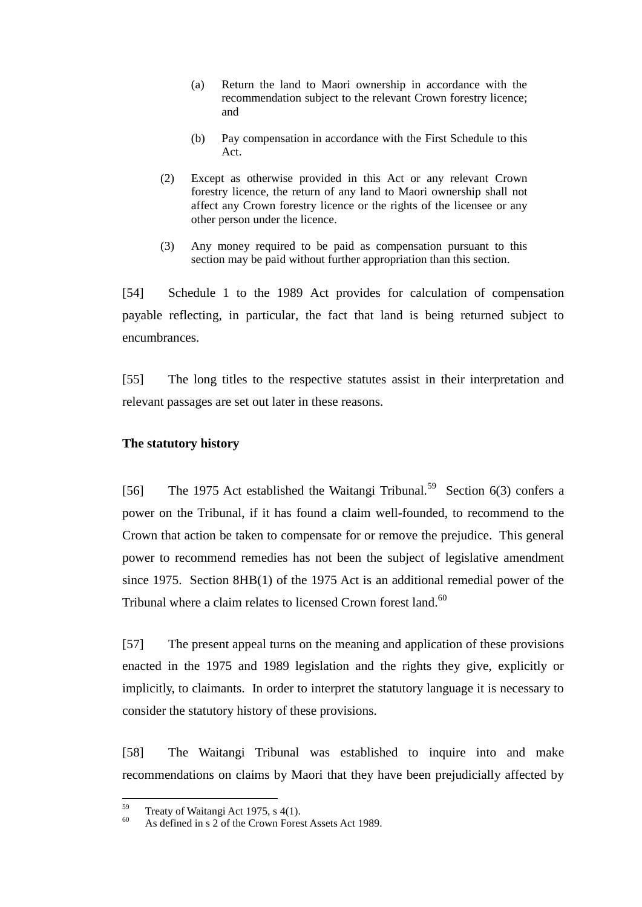- (a) Return the land to Maori ownership in accordance with the recommendation subject to the relevant [Crown forestry licence;](http://www.lexisnexis.com/nz/legal/search/runRemoteLink.do?bct=A&risb=21_T11203609782&homeCsi=274497&A=0.6088910576080718&urlEnc=ISO-8859-1&&dpsi=0069&remotekey1=REFPTID&refpt=1989A99S2:CROWN_FORESTRY_LICENCE&service=DOC-ID&origdpsi=0069) and
- (b) Pay compensation in accordance with the First Schedule to this Act.
- (2) Except as otherwise provided in this Act or any relevant [Crown](http://www.lexisnexis.com/nz/legal/search/runRemoteLink.do?bct=A&risb=21_T11203609782&homeCsi=274497&A=0.6088910576080718&urlEnc=ISO-8859-1&&dpsi=0069&remotekey1=REFPTID&refpt=1989A99S2:CROWN_FORESTRY_LICENCE&service=DOC-ID&origdpsi=0069)  [forestry licence,](http://www.lexisnexis.com/nz/legal/search/runRemoteLink.do?bct=A&risb=21_T11203609782&homeCsi=274497&A=0.6088910576080718&urlEnc=ISO-8859-1&&dpsi=0069&remotekey1=REFPTID&refpt=1989A99S2:CROWN_FORESTRY_LICENCE&service=DOC-ID&origdpsi=0069) the return of any land to Maori ownership shall not affect any Crown forestry licence or the rights of the [licensee](http://www.lexisnexis.com/nz/legal/search/runRemoteLink.do?bct=A&risb=21_T11203609782&homeCsi=274497&A=0.6088910576080718&urlEnc=ISO-8859-1&&dpsi=0069&remotekey1=REFPTID&refpt=1989A99S2:LICENSEE&service=DOC-ID&origdpsi=0069) or any other person under the licence.
- (3) Any money required to be paid as compensation pursuant to this section may be paid without further appropriation than this section.

[54] Schedule 1 to the 1989 Act provides for calculation of compensation payable reflecting, in particular, the fact that land is being returned subject to encumbrances.

[55] The long titles to the respective statutes assist in their interpretation and relevant passages are set out later in these reasons.

# **The statutory history**

<span id="page-23-0"></span>[56] The 1975 Act established the Waitangi Tribunal.<sup>59</sup> Section 6(3) confers a power on the Tribunal, if it has found a claim well-founded, to recommend to the Crown that action be taken to compensate for or remove the prejudice. This general power to recommend remedies has not been the subject of legislative amendment since 1975. Section 8HB(1) of the 1975 Act is an additional remedial power of the Tribunal where a claim relates to licensed Crown forest land.<sup>60</sup>

[57] The present appeal turns on the meaning and application of these provisions enacted in the 1975 and 1989 legislation and the rights they give, explicitly or implicitly, to claimants. In order to interpret the statutory language it is necessary to consider the statutory history of these provisions.

[58] The Waitangi Tribunal was established to inquire into and make recommendations on claims by Maori that they have been prejudicially affected by

<sup>59</sup>  $^{59}$  Treaty of Waitangi Act 1975, s 4(1).

As defined in s 2 of the Crown Forest Assets Act 1989.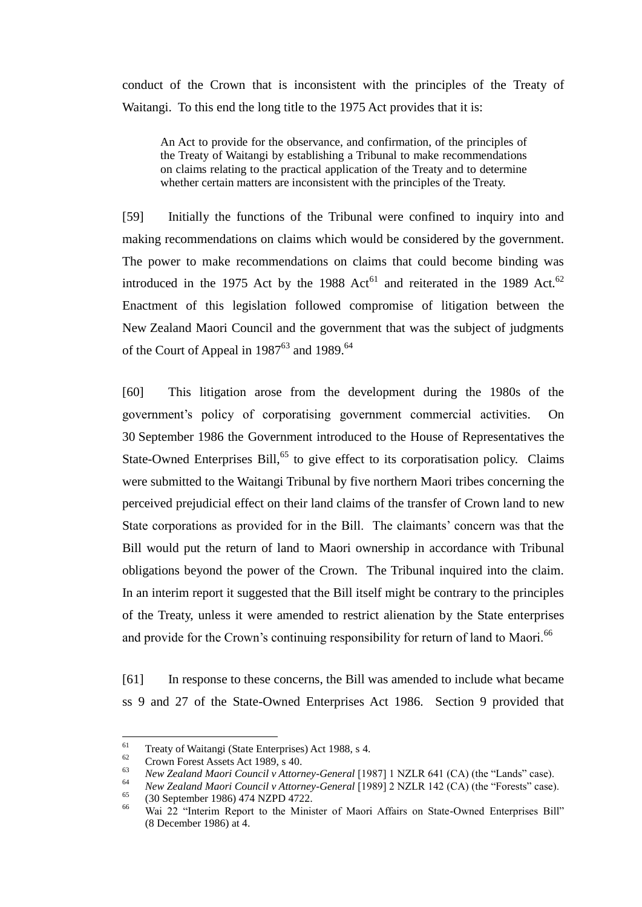conduct of the Crown that is inconsistent with the principles of the Treaty of Waitangi. To this end the long title to the 1975 Act provides that it is:

An Act to provide for the observance, and confirmation, of the principles of the Treaty of Waitangi by establishing a Tribunal to make recommendations on claims relating to the practical application of the Treaty and to determine whether certain matters are inconsistent with the principles of the Treaty.

[59] Initially the functions of the Tribunal were confined to inquiry into and making recommendations on claims which would be considered by the government. The power to make recommendations on claims that could become binding was introduced in the 1975 Act by the 1988 Act<sup>61</sup> and reiterated in the 1989 Act.<sup>62</sup> Enactment of this legislation followed compromise of litigation between the New Zealand Maori Council and the government that was the subject of judgments of the Court of Appeal in  $1987^{63}$  and  $1989^{64}$ 

[60] This litigation arose from the development during the 1980s of the government's policy of corporatising government commercial activities. On 30 September 1986 the Government introduced to the House of Representatives the State-Owned Enterprises Bill,<sup>65</sup> to give effect to its corporatisation policy. Claims were submitted to the Waitangi Tribunal by five northern Maori tribes concerning the perceived prejudicial effect on their land claims of the transfer of Crown land to new State corporations as provided for in the Bill. The claimants' concern was that the Bill would put the return of land to Maori ownership in accordance with Tribunal obligations beyond the power of the Crown. The Tribunal inquired into the claim. In an interim report it suggested that the Bill itself might be contrary to the principles of the Treaty, unless it were amended to restrict alienation by the State enterprises and provide for the Crown's continuing responsibility for return of land to Maori.<sup>66</sup>

[61] In response to these concerns, the Bill was amended to include what became ss 9 and 27 of the State-Owned Enterprises Act 1986. Section 9 provided that

<sup>61</sup> <sup>61</sup> Treaty of Waitangi (State Enterprises) Act 1988, s 4.<br> **Crown Forest Act 1080** s 40

 $^{62}$  Crown Forest Assets Act 1989, s 40.

<sup>&</sup>lt;sup>63</sup> *New Zealand Maori Council v Attorney-General* [1987] 1 NZLR 641 (CA) (the "Lands" case).<br><sup>64</sup> *New Zealand Maori Council y Attorney-General* [1989] 2 NZLR 142 (CA) (the "Ecreate" case).

<sup>&</sup>lt;sup>64</sup> *New Zealand Maori Council v Attorney-General* [1989] 2 NZLR 142 (CA) (the "Forests" case).<br><sup>65</sup> (20 September 1086) 474 NZPD 4722

<sup>&</sup>lt;sup>65</sup> (30 September 1986) 474 NZPD 4722.

Wai 22 "Interim Report to the Minister of Maori Affairs on State-Owned Enterprises Bill" (8 December 1986) at 4.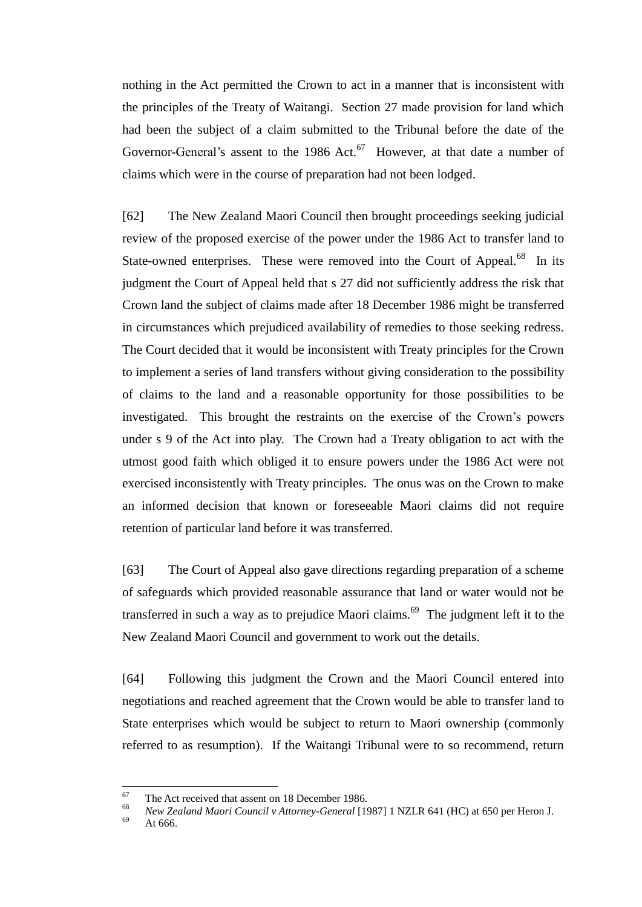nothing in the Act permitted the Crown to act in a manner that is inconsistent with the principles of the Treaty of Waitangi. Section 27 made provision for land which had been the subject of a claim submitted to the Tribunal before the date of the Governor-General's assent to the 1986 Act. $67$  However, at that date a number of claims which were in the course of preparation had not been lodged.

[62] The New Zealand Maori Council then brought proceedings seeking judicial review of the proposed exercise of the power under the 1986 Act to transfer land to State-owned enterprises. These were removed into the Court of Appeal.<sup>68</sup> In its judgment the Court of Appeal held that s 27 did not sufficiently address the risk that Crown land the subject of claims made after 18 December 1986 might be transferred in circumstances which prejudiced availability of remedies to those seeking redress. The Court decided that it would be inconsistent with Treaty principles for the Crown to implement a series of land transfers without giving consideration to the possibility of claims to the land and a reasonable opportunity for those possibilities to be investigated. This brought the restraints on the exercise of the Crown's powers under s 9 of the Act into play. The Crown had a Treaty obligation to act with the utmost good faith which obliged it to ensure powers under the 1986 Act were not exercised inconsistently with Treaty principles. The onus was on the Crown to make an informed decision that known or foreseeable Maori claims did not require retention of particular land before it was transferred.

[63] The Court of Appeal also gave directions regarding preparation of a scheme of safeguards which provided reasonable assurance that land or water would not be transferred in such a way as to prejudice Maori claims. $69$  The judgment left it to the New Zealand Maori Council and government to work out the details.

[64] Following this judgment the Crown and the Maori Council entered into negotiations and reached agreement that the Crown would be able to transfer land to State enterprises which would be subject to return to Maori ownership (commonly referred to as resumption). If the Waitangi Tribunal were to so recommend, return

<sup>67</sup> <sup>67</sup> The Act received that assent on 18 December 1986.

<sup>&</sup>lt;sup>68</sup> *New Zealand Maori Council v Attorney-General* [1987] 1 NZLR 641 (HC) at 650 per Heron J.

At 666.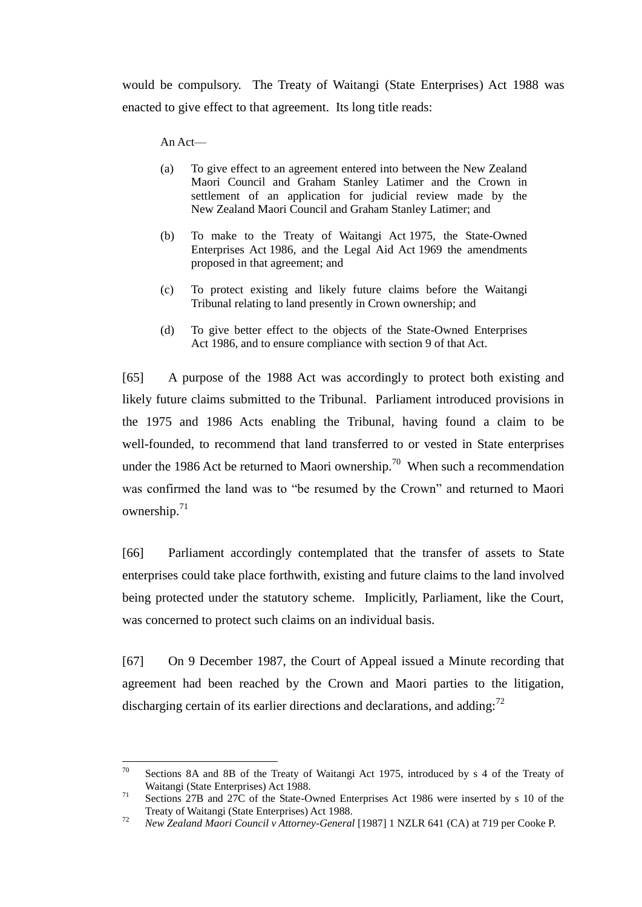would be compulsory. The Treaty of Waitangi (State Enterprises) Act 1988 was enacted to give effect to that agreement. Its long title reads:

An Act—

- (a) To give effect to an agreement entered into between the New Zealand Maori Council and Graham Stanley Latimer and the Crown in settlement of an application for judicial review made by the New Zealand Maori Council and Graham Stanley Latimer; and
- (b) To make to the Treaty of Waitangi Act 1975, the State-Owned Enterprises Act 1986, and the Legal Aid Act 1969 the amendments proposed in that agreement; and
- (c) To protect existing and likely future claims before the Waitangi Tribunal relating to land presently in Crown ownership; and
- (d) To give better effect to the objects of the State-Owned Enterprises Act 1986, and to ensure compliance with [section 9](http://www.lexisnexis.com/nz/legal/search/runRemoteLink.do?bct=A&risb=21_T11191518858&homeCsi=274497&A=0.5873585818804921&urlEnc=ISO-8859-1&&dpsi=0069&remotekey1=REFPTID&refpt=1986A124S9&service=DOC-ID&origdpsi=0069) of that Act.

[65] A purpose of the 1988 Act was accordingly to protect both existing and likely future claims submitted to the Tribunal. Parliament introduced provisions in the 1975 and 1986 Acts enabling the Tribunal, having found a claim to be well-founded, to recommend that land transferred to or vested in State enterprises under the 1986 Act be returned to Maori ownership.<sup>70</sup> When such a recommendation was confirmed the land was to "be resumed by the Crown" and returned to Maori ownership.<sup>71</sup>

[66] Parliament accordingly contemplated that the transfer of assets to State enterprises could take place forthwith, existing and future claims to the land involved being protected under the statutory scheme. Implicitly, Parliament, like the Court, was concerned to protect such claims on an individual basis.

[67] On 9 December 1987, the Court of Appeal issued a Minute recording that agreement had been reached by the Crown and Maori parties to the litigation, discharging certain of its earlier directions and declarations, and adding:<sup>72</sup>

 $70 -$ Sections 8A and 8B of the Treaty of Waitangi Act 1975, introduced by s 4 of the Treaty of Waitangi (State Enterprises) Act 1988.

<sup>&</sup>lt;sup>71</sup> Sections 27B and 27C of the State-Owned Enterprises Act 1986 were inserted by s 10 of the Treaty of Waitangi (State Enterprises) Act 1988.

<sup>72</sup> *New Zealand Maori Council v Attorney-General* [1987] 1 NZLR 641 (CA) at 719 per Cooke P.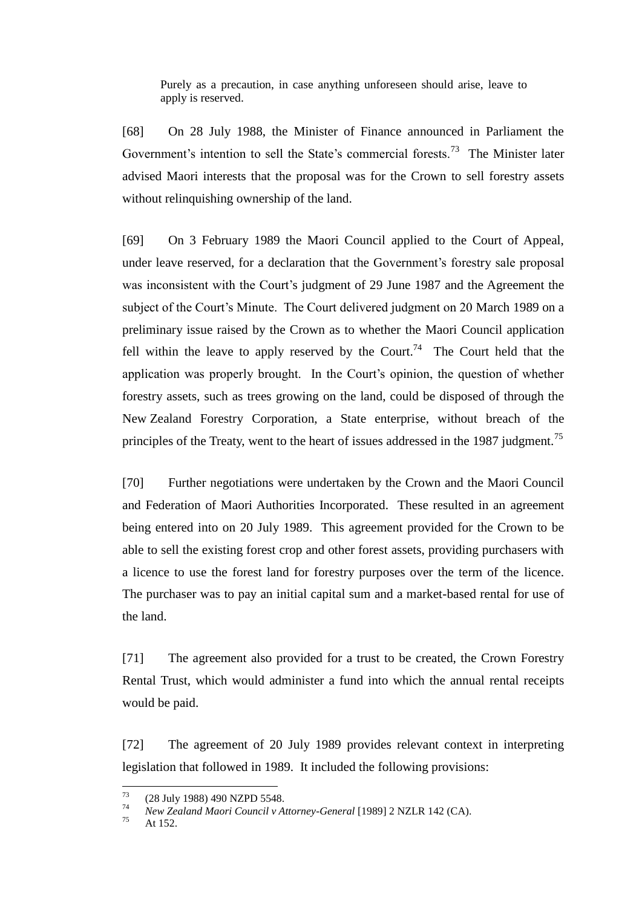Purely as a precaution, in case anything unforeseen should arise, leave to apply is reserved.

[68] On 28 July 1988, the Minister of Finance announced in Parliament the Government's intention to sell the State's commercial forests.<sup>73</sup> The Minister later advised Maori interests that the proposal was for the Crown to sell forestry assets without relinquishing ownership of the land.

[69] On 3 February 1989 the Maori Council applied to the Court of Appeal, under leave reserved, for a declaration that the Government's forestry sale proposal was inconsistent with the Court's judgment of 29 June 1987 and the Agreement the subject of the Court's Minute. The Court delivered judgment on 20 March 1989 on a preliminary issue raised by the Crown as to whether the Maori Council application fell within the leave to apply reserved by the Court.<sup>74</sup> The Court held that the application was properly brought. In the Court's opinion, the question of whether forestry assets, such as trees growing on the land, could be disposed of through the New Zealand Forestry Corporation, a State enterprise, without breach of the principles of the Treaty, went to the heart of issues addressed in the 1987 judgment.<sup>75</sup>

[70] Further negotiations were undertaken by the Crown and the Maori Council and Federation of Maori Authorities Incorporated. These resulted in an agreement being entered into on 20 July 1989. This agreement provided for the Crown to be able to sell the existing forest crop and other forest assets, providing purchasers with a licence to use the forest land for forestry purposes over the term of the licence. The purchaser was to pay an initial capital sum and a market-based rental for use of the land.

[71] The agreement also provided for a trust to be created, the Crown Forestry Rental Trust, which would administer a fund into which the annual rental receipts would be paid.

[72] The agreement of 20 July 1989 provides relevant context in interpreting legislation that followed in 1989. It included the following provisions:

<sup>73</sup>  $^{73}$  (28 July 1988) 490 NZPD 5548.

<sup>&</sup>lt;sup>74</sup> *New Zealand Maori Council v Attorney-General* [1989] 2 NZLR 142 (CA).

At  $152.$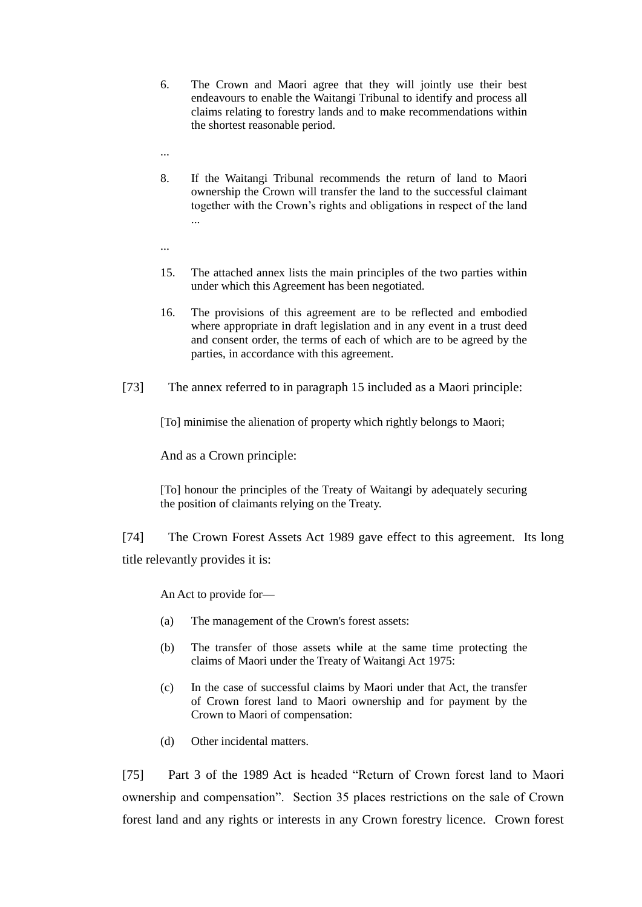- 6. The Crown and Maori agree that they will jointly use their best endeavours to enable the Waitangi Tribunal to identify and process all claims relating to forestry lands and to make recommendations within the shortest reasonable period.
- ...
- 8. If the Waitangi Tribunal recommends the return of land to Maori ownership the Crown will transfer the land to the successful claimant together with the Crown's rights and obligations in respect of the land ...
- ...
- 15. The attached annex lists the main principles of the two parties within under which this Agreement has been negotiated.
- 16. The provisions of this agreement are to be reflected and embodied where appropriate in draft legislation and in any event in a trust deed and consent order, the terms of each of which are to be agreed by the parties, in accordance with this agreement.
- [73] The annex referred to in paragraph 15 included as a Maori principle:

[To] minimise the alienation of property which rightly belongs to Maori;

And as a Crown principle:

[To] honour the principles of the Treaty of Waitangi by adequately securing the position of claimants relying on the Treaty.

[74] The Crown Forest Assets Act 1989 gave effect to this agreement. Its long title relevantly provides it is:

An Act to provide for—

- (a) The management of the Crown's forest assets:
- (b) The transfer of those assets while at the same time protecting the claims of Maori under the Treaty of Waitangi Act 1975:
- (c) In the case of successful claims by Maori under that Act, the transfer of Crown forest land to Maori ownership and for payment by the Crown to Maori of compensation:
- (d) Other incidental matters.

[75] Part 3 of the 1989 Act is headed "Return of Crown forest land to Maori ownership and compensation". Section 35 places restrictions on the sale of Crown forest land and any rights or interests in any Crown forestry licence. Crown forest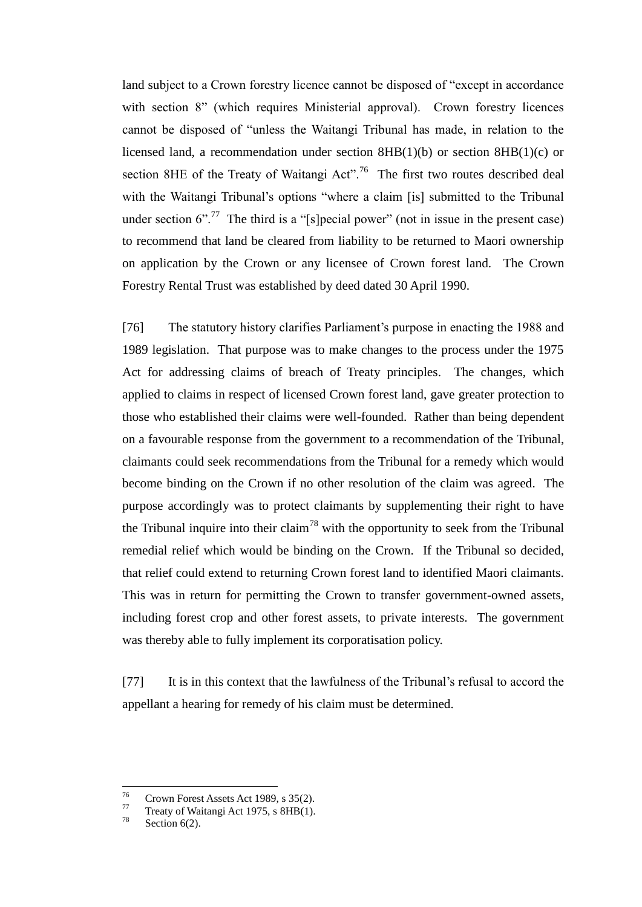land subject to a Crown forestry licence cannot be disposed of "except in accordance" with section 8" (which requires Ministerial approval). Crown forestry licences cannot be disposed of "unless the Waitangi Tribunal has made, in relation to the licensed land, a recommendation under section 8HB(1)(b) or section 8HB(1)(c) or section 8HE of the Treaty of Waitangi Act".<sup>76</sup> The first two routes described deal with the Waitangi Tribunal's options "where a claim [is] submitted to the Tribunal under section  $6$ <sup>".77</sup> The third is a "[s]pecial power" (not in issue in the present case) to recommend that land be cleared from liability to be returned to Maori ownership on application by the Crown or any licensee of Crown forest land. The Crown Forestry Rental Trust was established by deed dated 30 April 1990.

[76] The statutory history clarifies Parliament's purpose in enacting the 1988 and 1989 legislation. That purpose was to make changes to the process under the 1975 Act for addressing claims of breach of Treaty principles. The changes, which applied to claims in respect of licensed Crown forest land, gave greater protection to those who established their claims were well-founded. Rather than being dependent on a favourable response from the government to a recommendation of the Tribunal, claimants could seek recommendations from the Tribunal for a remedy which would become binding on the Crown if no other resolution of the claim was agreed. The purpose accordingly was to protect claimants by supplementing their right to have the Tribunal inquire into their claim<sup>78</sup> with the opportunity to seek from the Tribunal remedial relief which would be binding on the Crown. If the Tribunal so decided, that relief could extend to returning Crown forest land to identified Maori claimants. This was in return for permitting the Crown to transfer government-owned assets, including forest crop and other forest assets, to private interests. The government was thereby able to fully implement its corporatisation policy.

[77] It is in this context that the lawfulness of the Tribunal's refusal to accord the appellant a hearing for remedy of his claim must be determined.

<sup>76</sup>  $^{76}$  Crown Forest Assets Act 1989, s 35(2).

 $^{77}$  Treaty of Waitangi Act 1975, s 8HB(1).

Section  $6(2)$ .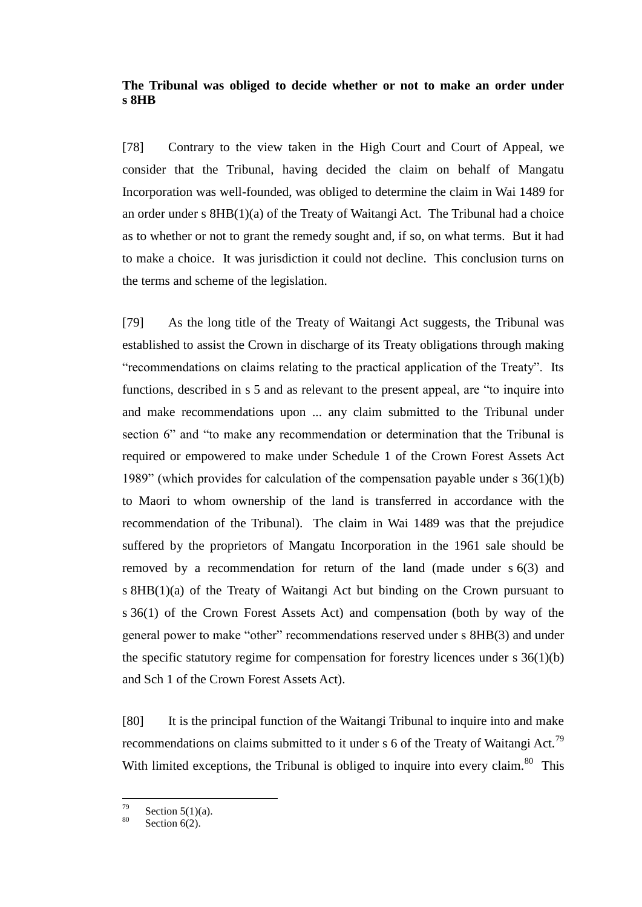# **The Tribunal was obliged to decide whether or not to make an order under s 8HB**

<span id="page-30-0"></span>[78] Contrary to the view taken in the High Court and Court of Appeal, we consider that the Tribunal, having decided the claim on behalf of Mangatu Incorporation was well-founded, was obliged to determine the claim in Wai 1489 for an order under s 8HB(1)(a) of the Treaty of Waitangi Act. The Tribunal had a choice as to whether or not to grant the remedy sought and, if so, on what terms. But it had to make a choice. It was jurisdiction it could not decline. This conclusion turns on the terms and scheme of the legislation.

[79] As the long title of the Treaty of Waitangi Act suggests, the Tribunal was established to assist the Crown in discharge of its Treaty obligations through making "recommendations on claims relating to the practical application of the Treaty". Its functions, described in s 5 and as relevant to the present appeal, are "to inquire into and make recommendations upon ... any claim submitted to the Tribunal under section 6" and "to make any recommendation or determination that the Tribunal is required or empowered to make under Schedule 1 of the Crown Forest Assets Act 1989" (which provides for calculation of the compensation payable under s  $36(1)(b)$ ) to Maori to whom ownership of the land is transferred in accordance with the recommendation of the Tribunal). The claim in Wai 1489 was that the prejudice suffered by the proprietors of Mangatu Incorporation in the 1961 sale should be removed by a recommendation for return of the land (made under s 6(3) and s 8HB(1)(a) of the Treaty of Waitangi Act but binding on the Crown pursuant to s 36(1) of the Crown Forest Assets Act) and compensation (both by way of the general power to make "other" recommendations reserved under s 8HB(3) and under the specific statutory regime for compensation for forestry licences under  $s \, 36(1)(b)$ and Sch 1 of the Crown Forest Assets Act).

[80] It is the principal function of the Waitangi Tribunal to inquire into and make recommendations on claims submitted to it under s 6 of the Treaty of Waitangi Act.<sup>79</sup> With limited exceptions, the Tribunal is obliged to inquire into every claim.  $80$  This

<sup>79</sup>  $\frac{79}{80}$  Section 5(1)(a).

Section  $6(2)$ .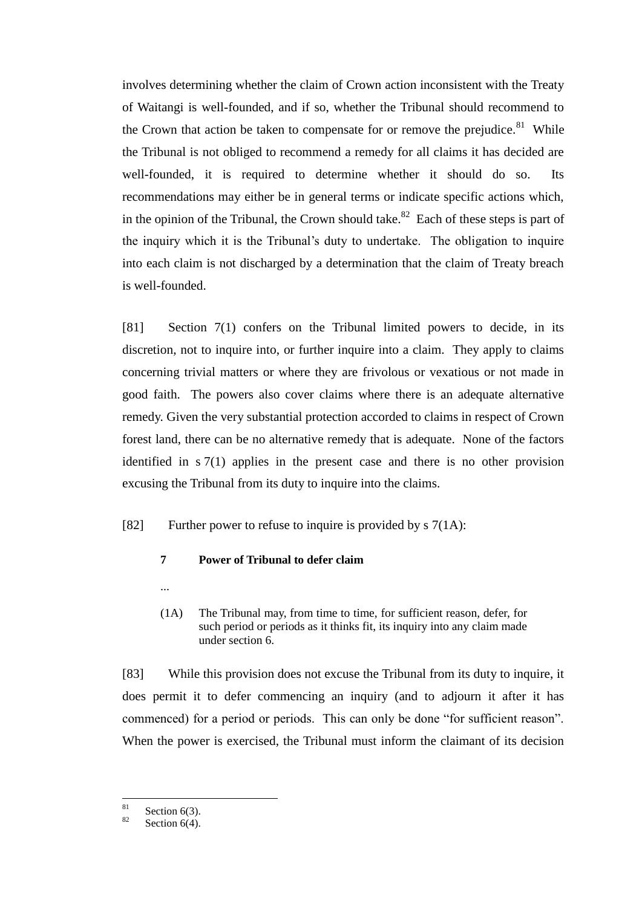involves determining whether the claim of Crown action inconsistent with the Treaty of Waitangi is well-founded, and if so, whether the Tribunal should recommend to the Crown that action be taken to compensate for or remove the prejudice.<sup>81</sup> While the Tribunal is not obliged to recommend a remedy for all claims it has decided are well-founded, it is required to determine whether it should do so. Its recommendations may either be in general terms or indicate specific actions which, in the opinion of the Tribunal, the Crown should take.<sup>82</sup> Each of these steps is part of the inquiry which it is the Tribunal's duty to undertake. The obligation to inquire into each claim is not discharged by a determination that the claim of Treaty breach is well-founded.

[81] Section 7(1) confers on the Tribunal limited powers to decide, in its discretion, not to inquire into, or further inquire into a claim. They apply to claims concerning trivial matters or where they are frivolous or vexatious or not made in good faith. The powers also cover claims where there is an adequate alternative remedy. Given the very substantial protection accorded to claims in respect of Crown forest land, there can be no alternative remedy that is adequate. None of the factors identified in s 7(1) applies in the present case and there is no other provision excusing the Tribunal from its duty to inquire into the claims.

[82] Further power to refuse to inquire is provided by  $\frac{s}{7(1A)}$ :

# **7 Power of Tribunal to defer claim**

(1A) The Tribunal may, from time to time, for sufficient reason, defer, for such period or periods as it thinks fit, its inquiry into any claim made under section 6.

[83] While this provision does not excuse the Tribunal from its duty to inquire, it does permit it to defer commencing an inquiry (and to adjourn it after it has commenced) for a period or periods. This can only be done "for sufficient reason". When the power is exercised, the Tribunal must inform the claimant of its decision

...

 $\overline{81}$  $\frac{81}{82}$  Section 6(3).

Section  $6(4)$ .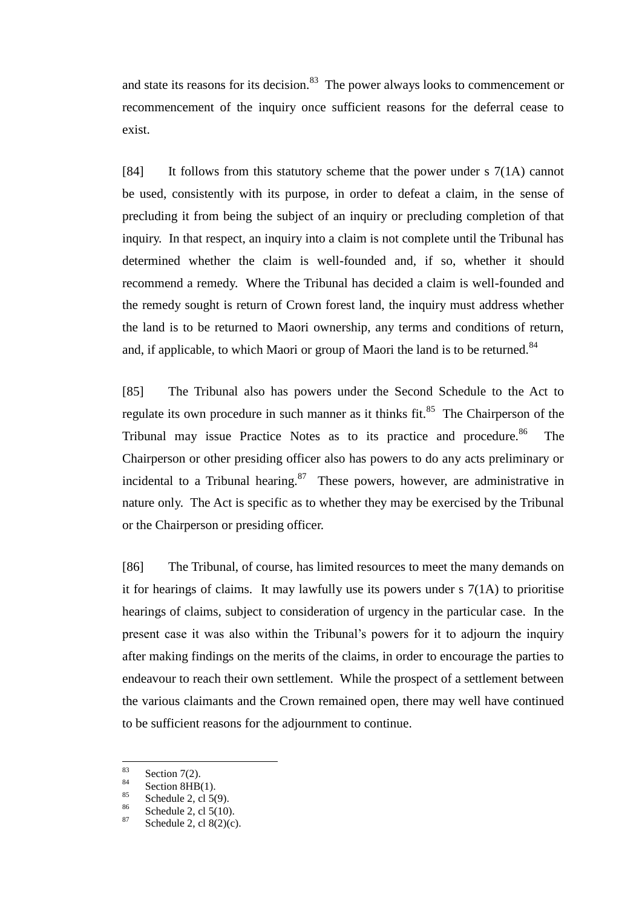and state its reasons for its decision. $83$  The power always looks to commencement or recommencement of the inquiry once sufficient reasons for the deferral cease to exist.

[84] It follows from this statutory scheme that the power under s 7(1A) cannot be used, consistently with its purpose, in order to defeat a claim, in the sense of precluding it from being the subject of an inquiry or precluding completion of that inquiry. In that respect, an inquiry into a claim is not complete until the Tribunal has determined whether the claim is well-founded and, if so, whether it should recommend a remedy. Where the Tribunal has decided a claim is well-founded and the remedy sought is return of Crown forest land, the inquiry must address whether the land is to be returned to Maori ownership, any terms and conditions of return, and, if applicable, to which Maori or group of Maori the land is to be returned.<sup>84</sup>

[85] The Tribunal also has powers under the Second Schedule to the Act to regulate its own procedure in such manner as it thinks fit.<sup>85</sup> The Chairperson of the Tribunal may issue Practice Notes as to its practice and procedure.<sup>86</sup> The Chairperson or other presiding officer also has powers to do any acts preliminary or incidental to a Tribunal hearing.  $87$  These powers, however, are administrative in nature only. The Act is specific as to whether they may be exercised by the Tribunal or the Chairperson or presiding officer.

[86] The Tribunal, of course, has limited resources to meet the many demands on it for hearings of claims. It may lawfully use its powers under s 7(1A) to prioritise hearings of claims, subject to consideration of urgency in the particular case. In the present case it was also within the Tribunal's powers for it to adjourn the inquiry after making findings on the merits of the claims, in order to encourage the parties to endeavour to reach their own settlement. While the prospect of a settlement between the various claimants and the Crown remained open, there may well have continued to be sufficient reasons for the adjournment to continue.

<sup>83</sup>  $rac{83}{84}$  Section 7(2).

<sup>&</sup>lt;sup>84</sup> Section 8HB(1).<br><sup>85</sup> Separately 2, al.  $5$ 

<sup>&</sup>lt;sup>85</sup> Schedule 2, cl 5(9).<br><sup>86</sup> Schedule 2, cl 5(10)

 $\frac{86}{87}$  Schedule 2, cl 5(10).

Schedule 2, cl  $8(2)(c)$ .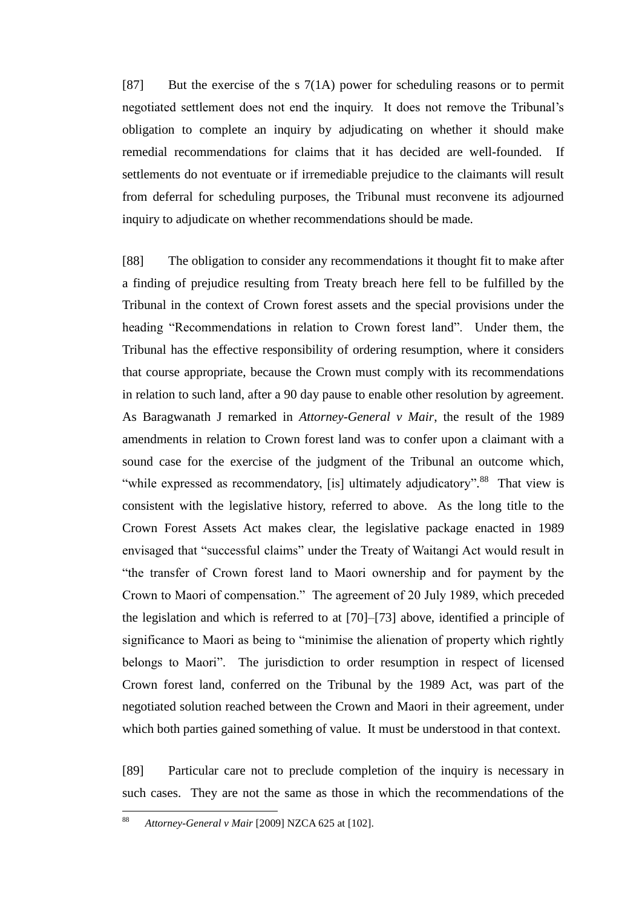[87] But the exercise of the s 7(1A) power for scheduling reasons or to permit negotiated settlement does not end the inquiry. It does not remove the Tribunal's obligation to complete an inquiry by adjudicating on whether it should make remedial recommendations for claims that it has decided are well-founded. If settlements do not eventuate or if irremediable prejudice to the claimants will result from deferral for scheduling purposes, the Tribunal must reconvene its adjourned inquiry to adjudicate on whether recommendations should be made.

[88] The obligation to consider any recommendations it thought fit to make after a finding of prejudice resulting from Treaty breach here fell to be fulfilled by the Tribunal in the context of Crown forest assets and the special provisions under the heading "Recommendations in relation to Crown forest land". Under them, the Tribunal has the effective responsibility of ordering resumption, where it considers that course appropriate, because the Crown must comply with its recommendations in relation to such land, after a 90 day pause to enable other resolution by agreement. As Baragwanath J remarked in *Attorney-General v Mair*, the result of the 1989 amendments in relation to Crown forest land was to confer upon a claimant with a sound case for the exercise of the judgment of the Tribunal an outcome which, "while expressed as recommendatory, [is] ultimately adjudicatory".<sup>88</sup> That view is consistent with the legislative history, referred to above. As the long title to the Crown Forest Assets Act makes clear, the legislative package enacted in 1989 envisaged that "successful claims" under the Treaty of Waitangi Act would result in "the transfer of Crown forest land to Maori ownership and for payment by the Crown to Maori of compensation.‖ The agreement of 20 July 1989, which preceded the legislation and which is referred to at [70]–[73] above, identified a principle of significance to Maori as being to "minimise the alienation of property which rightly belongs to Maori". The jurisdiction to order resumption in respect of licensed Crown forest land, conferred on the Tribunal by the 1989 Act, was part of the negotiated solution reached between the Crown and Maori in their agreement, under which both parties gained something of value. It must be understood in that context.

[89] Particular care not to preclude completion of the inquiry is necessary in such cases. They are not the same as those in which the recommendations of the

 $88$ <sup>88</sup> *Attorney-General v Mair* [2009] NZCA 625 at [102].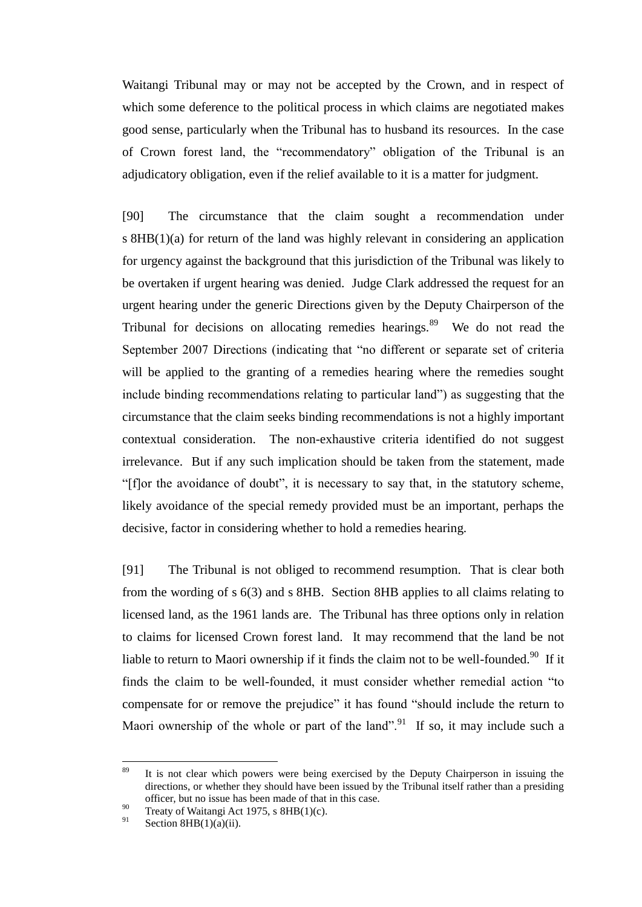Waitangi Tribunal may or may not be accepted by the Crown, and in respect of which some deference to the political process in which claims are negotiated makes good sense, particularly when the Tribunal has to husband its resources. In the case of Crown forest land, the "recommendatory" obligation of the Tribunal is an adjudicatory obligation, even if the relief available to it is a matter for judgment.

[90] The circumstance that the claim sought a recommendation under s 8HB(1)(a) for return of the land was highly relevant in considering an application for urgency against the background that this jurisdiction of the Tribunal was likely to be overtaken if urgent hearing was denied. Judge Clark addressed the request for an urgent hearing under the generic Directions given by the Deputy Chairperson of the Tribunal for decisions on allocating remedies hearings. $89$  We do not read the September 2007 Directions (indicating that "no different or separate set of criteria will be applied to the granting of a remedies hearing where the remedies sought include binding recommendations relating to particular land" as suggesting that the circumstance that the claim seeks binding recommendations is not a highly important contextual consideration. The non-exhaustive criteria identified do not suggest irrelevance. But if any such implication should be taken from the statement, made ―[f]or the avoidance of doubt‖, it is necessary to say that, in the statutory scheme, likely avoidance of the special remedy provided must be an important, perhaps the decisive, factor in considering whether to hold a remedies hearing.

[91] The Tribunal is not obliged to recommend resumption. That is clear both from the wording of s 6(3) and s 8HB. Section 8HB applies to all claims relating to licensed land, as the 1961 lands are. The Tribunal has three options only in relation to claims for licensed Crown forest land. It may recommend that the land be not liable to return to Maori ownership if it finds the claim not to be well-founded.<sup>90</sup> If it finds the claim to be well-founded, it must consider whether remedial action "to compensate for or remove the prejudice" it has found "should include the return to Maori ownership of the whole or part of the land". If so, it may include such a

<sup>89</sup> It is not clear which powers were being exercised by the Deputy Chairperson in issuing the directions, or whether they should have been issued by the Tribunal itself rather than a presiding officer, but no issue has been made of that in this case.

<sup>&</sup>lt;sup>90</sup> Treaty of Waitangi Act 1975, s  $8HB(1)(c)$ .

Section  $8HB(1)(a)(ii)$ .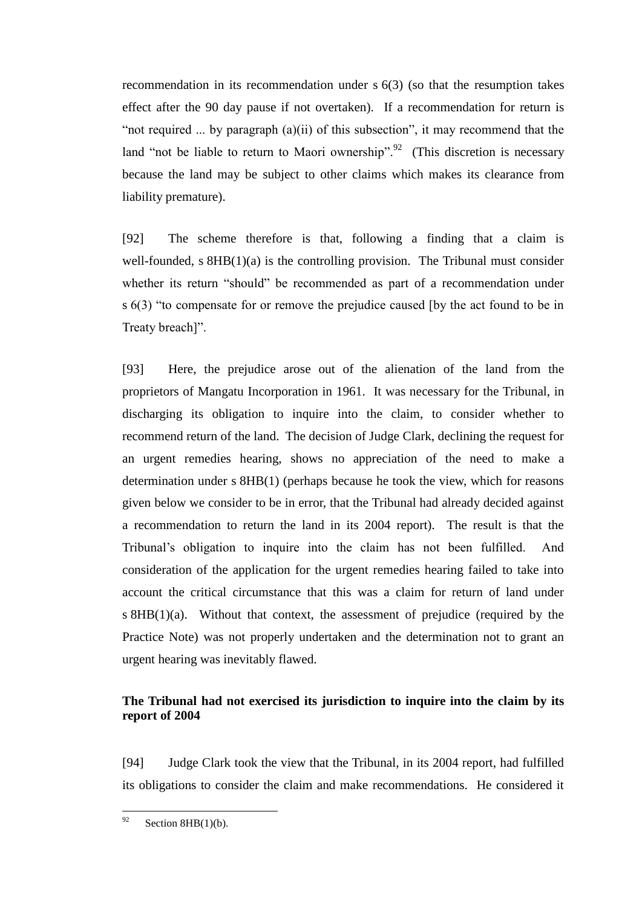recommendation in its recommendation under s 6(3) (so that the resumption takes effect after the 90 day pause if not overtaken). If a recommendation for return is "not required ... by paragraph (a)(ii) of this subsection", it may recommend that the land "not be liable to return to Maori ownership".<sup>92</sup> (This discretion is necessary because the land may be subject to other claims which makes its clearance from liability premature).

[92] The scheme therefore is that, following a finding that a claim is well-founded, s  $8HB(1)(a)$  is the controlling provision. The Tribunal must consider whether its return "should" be recommended as part of a recommendation under s  $6(3)$  "to compensate for or remove the prejudice caused [by the act found to be in Treaty breach]".

[93] Here, the prejudice arose out of the alienation of the land from the proprietors of Mangatu Incorporation in 1961. It was necessary for the Tribunal, in discharging its obligation to inquire into the claim, to consider whether to recommend return of the land. The decision of Judge Clark, declining the request for an urgent remedies hearing, shows no appreciation of the need to make a determination under s 8HB(1) (perhaps because he took the view, which for reasons given below we consider to be in error, that the Tribunal had already decided against a recommendation to return the land in its 2004 report). The result is that the Tribunal's obligation to inquire into the claim has not been fulfilled. And consideration of the application for the urgent remedies hearing failed to take into account the critical circumstance that this was a claim for return of land under s 8HB(1)(a). Without that context, the assessment of prejudice (required by the Practice Note) was not properly undertaken and the determination not to grant an urgent hearing was inevitably flawed.

# **The Tribunal had not exercised its jurisdiction to inquire into the claim by its report of 2004**

<span id="page-35-0"></span>[94] Judge Clark took the view that the Tribunal, in its 2004 report, had fulfilled its obligations to consider the claim and make recommendations. He considered it

<sup>92</sup> Section  $8HB(1)(b)$ .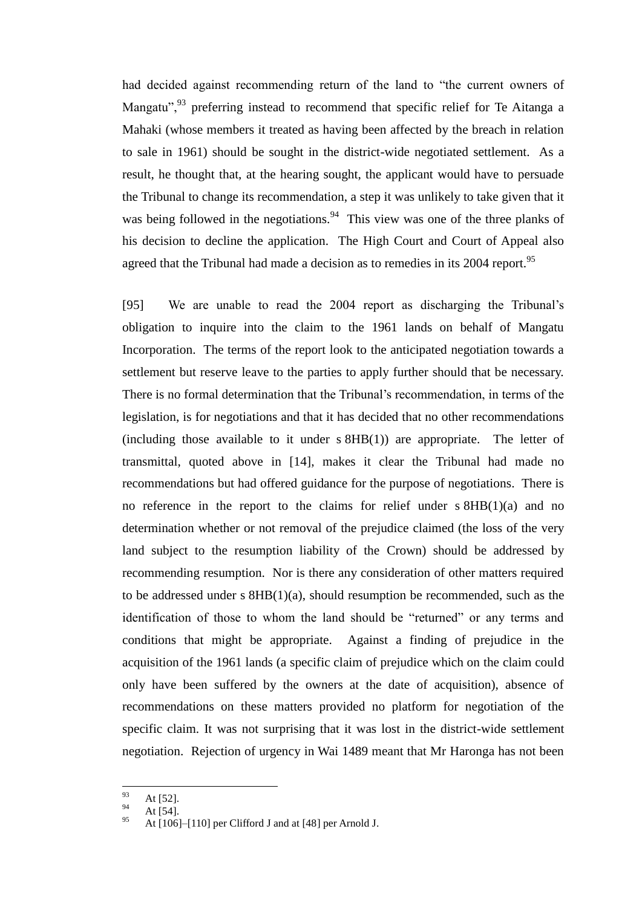had decided against recommending return of the land to "the current owners of Mangatu", $93$  preferring instead to recommend that specific relief for Te Aitanga a Mahaki (whose members it treated as having been affected by the breach in relation to sale in 1961) should be sought in the district-wide negotiated settlement. As a result, he thought that, at the hearing sought, the applicant would have to persuade the Tribunal to change its recommendation, a step it was unlikely to take given that it was being followed in the negotiations.<sup>94</sup> This view was one of the three planks of his decision to decline the application. The High Court and Court of Appeal also agreed that the Tribunal had made a decision as to remedies in its 2004 report.<sup>95</sup>

[95] We are unable to read the 2004 report as discharging the Tribunal's obligation to inquire into the claim to the 1961 lands on behalf of Mangatu Incorporation. The terms of the report look to the anticipated negotiation towards a settlement but reserve leave to the parties to apply further should that be necessary. There is no formal determination that the Tribunal's recommendation, in terms of the legislation, is for negotiations and that it has decided that no other recommendations (including those available to it under s 8HB(1)) are appropriate. The letter of transmittal, quoted above in [14], makes it clear the Tribunal had made no recommendations but had offered guidance for the purpose of negotiations. There is no reference in the report to the claims for relief under s 8HB(1)(a) and no determination whether or not removal of the prejudice claimed (the loss of the very land subject to the resumption liability of the Crown) should be addressed by recommending resumption. Nor is there any consideration of other matters required to be addressed under s 8HB(1)(a), should resumption be recommended, such as the identification of those to whom the land should be "returned" or any terms and conditions that might be appropriate. Against a finding of prejudice in the acquisition of the 1961 lands (a specific claim of prejudice which on the claim could only have been suffered by the owners at the date of acquisition), absence of recommendations on these matters provided no platform for negotiation of the specific claim. It was not surprising that it was lost in the district-wide settlement negotiation. Rejection of urgency in Wai 1489 meant that Mr Haronga has not been

<sup>93</sup>  $^{93}_{94}$  At [52].

At  $[54]$ .

At [106]–[110] per Clifford J and at [48] per Arnold J.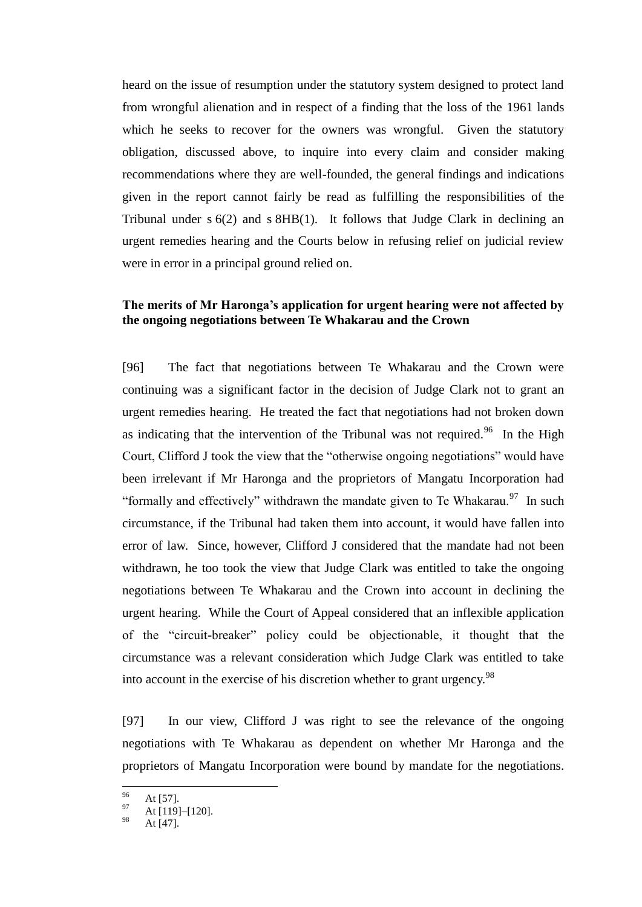heard on the issue of resumption under the statutory system designed to protect land from wrongful alienation and in respect of a finding that the loss of the 1961 lands which he seeks to recover for the owners was wrongful. Given the statutory obligation, discussed above, to inquire into every claim and consider making recommendations where they are well-founded, the general findings and indications given in the report cannot fairly be read as fulfilling the responsibilities of the Tribunal under  $s$  6(2) and  $s$  8HB(1). It follows that Judge Clark in declining an urgent remedies hearing and the Courts below in refusing relief on judicial review were in error in a principal ground relied on.

# **The merits of Mr Haronga's application for urgent hearing were not affected by the ongoing negotiations between Te Whakarau and the Crown**

<span id="page-37-0"></span>[96] The fact that negotiations between Te Whakarau and the Crown were continuing was a significant factor in the decision of Judge Clark not to grant an urgent remedies hearing. He treated the fact that negotiations had not broken down as indicating that the intervention of the Tribunal was not required.<sup>96</sup> In the High Court, Clifford J took the view that the "otherwise ongoing negotiations" would have been irrelevant if Mr Haronga and the proprietors of Mangatu Incorporation had "formally and effectively" withdrawn the mandate given to Te Whakarau. $97$  In such circumstance, if the Tribunal had taken them into account, it would have fallen into error of law. Since, however, Clifford J considered that the mandate had not been withdrawn, he too took the view that Judge Clark was entitled to take the ongoing negotiations between Te Whakarau and the Crown into account in declining the urgent hearing. While the Court of Appeal considered that an inflexible application of the "circuit-breaker" policy could be objectionable, it thought that the circumstance was a relevant consideration which Judge Clark was entitled to take into account in the exercise of his discretion whether to grant urgency.<sup>98</sup>

[97] In our view, Clifford J was right to see the relevance of the ongoing negotiations with Te Whakarau as dependent on whether Mr Haronga and the proprietors of Mangatu Incorporation were bound by mandate for the negotiations.

<sup>96</sup>  $^{96}$  At [57].

At [119]-[120].

At [47].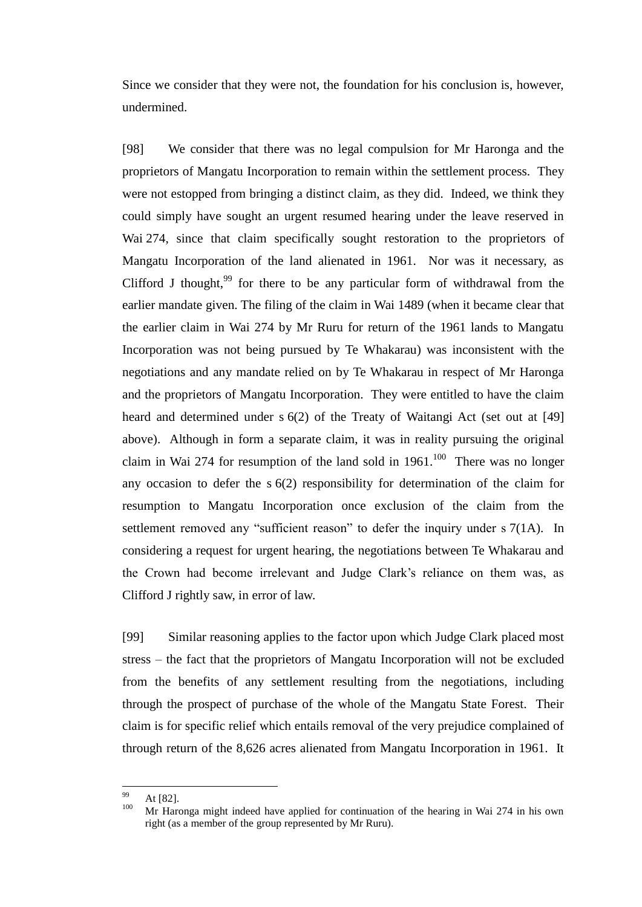Since we consider that they were not, the foundation for his conclusion is, however, undermined.

[98] We consider that there was no legal compulsion for Mr Haronga and the proprietors of Mangatu Incorporation to remain within the settlement process. They were not estopped from bringing a distinct claim, as they did. Indeed, we think they could simply have sought an urgent resumed hearing under the leave reserved in Wai 274, since that claim specifically sought restoration to the proprietors of Mangatu Incorporation of the land alienated in 1961. Nor was it necessary, as Clifford J thought,<sup>99</sup> for there to be any particular form of withdrawal from the earlier mandate given. The filing of the claim in Wai 1489 (when it became clear that the earlier claim in Wai 274 by Mr Ruru for return of the 1961 lands to Mangatu Incorporation was not being pursued by Te Whakarau) was inconsistent with the negotiations and any mandate relied on by Te Whakarau in respect of Mr Haronga and the proprietors of Mangatu Incorporation. They were entitled to have the claim heard and determined under s 6(2) of the Treaty of Waitangi Act (set out at [\[49\]](#page-19-1) above). Although in form a separate claim, it was in reality pursuing the original claim in Wai 274 for resumption of the land sold in  $1961$ .<sup>100</sup> There was no longer any occasion to defer the s 6(2) responsibility for determination of the claim for resumption to Mangatu Incorporation once exclusion of the claim from the settlement removed any "sufficient reason" to defer the inquiry under  $\sigma$  7(1A). In considering a request for urgent hearing, the negotiations between Te Whakarau and the Crown had become irrelevant and Judge Clark's reliance on them was, as Clifford J rightly saw, in error of law.

[99] Similar reasoning applies to the factor upon which Judge Clark placed most stress – the fact that the proprietors of Mangatu Incorporation will not be excluded from the benefits of any settlement resulting from the negotiations, including through the prospect of purchase of the whole of the Mangatu State Forest. Their claim is for specific relief which entails removal of the very prejudice complained of through return of the 8,626 acres alienated from Mangatu Incorporation in 1961. It

<sup>99</sup>  $^{99}_{100}$  At [82].

Mr Haronga might indeed have applied for continuation of the hearing in Wai 274 in his own right (as a member of the group represented by Mr Ruru).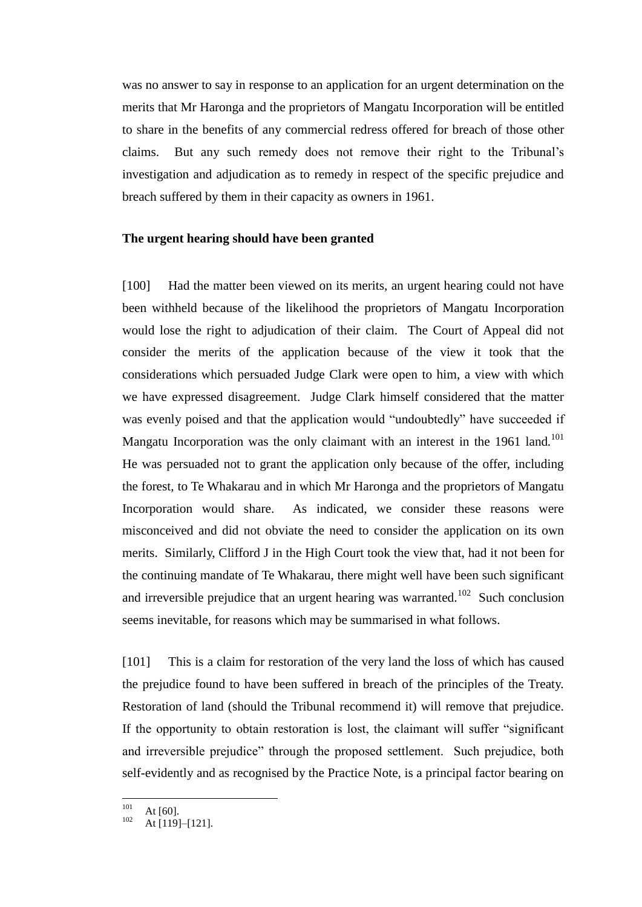was no answer to say in response to an application for an urgent determination on the merits that Mr Haronga and the proprietors of Mangatu Incorporation will be entitled to share in the benefits of any commercial redress offered for breach of those other claims. But any such remedy does not remove their right to the Tribunal's investigation and adjudication as to remedy in respect of the specific prejudice and breach suffered by them in their capacity as owners in 1961.

## **The urgent hearing should have been granted**

<span id="page-39-0"></span>[100] Had the matter been viewed on its merits, an urgent hearing could not have been withheld because of the likelihood the proprietors of Mangatu Incorporation would lose the right to adjudication of their claim. The Court of Appeal did not consider the merits of the application because of the view it took that the considerations which persuaded Judge Clark were open to him, a view with which we have expressed disagreement. Judge Clark himself considered that the matter was evenly poised and that the application would "undoubtedly" have succeeded if Mangatu Incorporation was the only claimant with an interest in the  $1961$  land.<sup>101</sup> He was persuaded not to grant the application only because of the offer, including the forest, to Te Whakarau and in which Mr Haronga and the proprietors of Mangatu Incorporation would share. As indicated, we consider these reasons were misconceived and did not obviate the need to consider the application on its own merits. Similarly, Clifford J in the High Court took the view that, had it not been for the continuing mandate of Te Whakarau, there might well have been such significant and irreversible prejudice that an urgent hearing was warranted.<sup>102</sup> Such conclusion seems inevitable, for reasons which may be summarised in what follows.

[101] This is a claim for restoration of the very land the loss of which has caused the prejudice found to have been suffered in breach of the principles of the Treaty. Restoration of land (should the Tribunal recommend it) will remove that prejudice. If the opportunity to obtain restoration is lost, the claimant will suffer "significant and irreversible prejudice" through the proposed settlement. Such prejudice, both self-evidently and as recognised by the Practice Note, is a principal factor bearing on

 $101$  $101 \atop 102 \t\t\t At [60].$ 

At [119]–[121].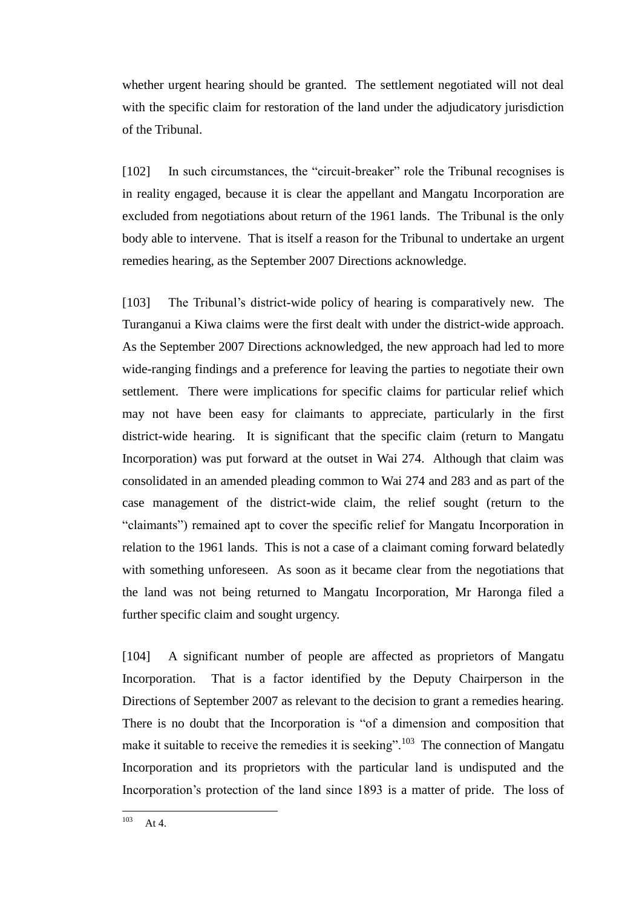whether urgent hearing should be granted. The settlement negotiated will not deal with the specific claim for restoration of the land under the adjudicatory jurisdiction of the Tribunal.

[102] In such circumstances, the "circuit-breaker" role the Tribunal recognises is in reality engaged, because it is clear the appellant and Mangatu Incorporation are excluded from negotiations about return of the 1961 lands. The Tribunal is the only body able to intervene. That is itself a reason for the Tribunal to undertake an urgent remedies hearing, as the September 2007 Directions acknowledge.

[103] The Tribunal's district-wide policy of hearing is comparatively new. The Turanganui a Kiwa claims were the first dealt with under the district-wide approach. As the September 2007 Directions acknowledged, the new approach had led to more wide-ranging findings and a preference for leaving the parties to negotiate their own settlement. There were implications for specific claims for particular relief which may not have been easy for claimants to appreciate, particularly in the first district-wide hearing. It is significant that the specific claim (return to Mangatu Incorporation) was put forward at the outset in Wai 274. Although that claim was consolidated in an amended pleading common to Wai 274 and 283 and as part of the case management of the district-wide claim, the relief sought (return to the ―claimants‖) remained apt to cover the specific relief for Mangatu Incorporation in relation to the 1961 lands. This is not a case of a claimant coming forward belatedly with something unforeseen. As soon as it became clear from the negotiations that the land was not being returned to Mangatu Incorporation, Mr Haronga filed a further specific claim and sought urgency.

[104] A significant number of people are affected as proprietors of Mangatu Incorporation. That is a factor identified by the Deputy Chairperson in the Directions of September 2007 as relevant to the decision to grant a remedies hearing. There is no doubt that the Incorporation is "of a dimension and composition that make it suitable to receive the remedies it is seeking".<sup>103</sup> The connection of Mangatu Incorporation and its proprietors with the particular land is undisputed and the Incorporation's protection of the land since 1893 is a matter of pride. The loss of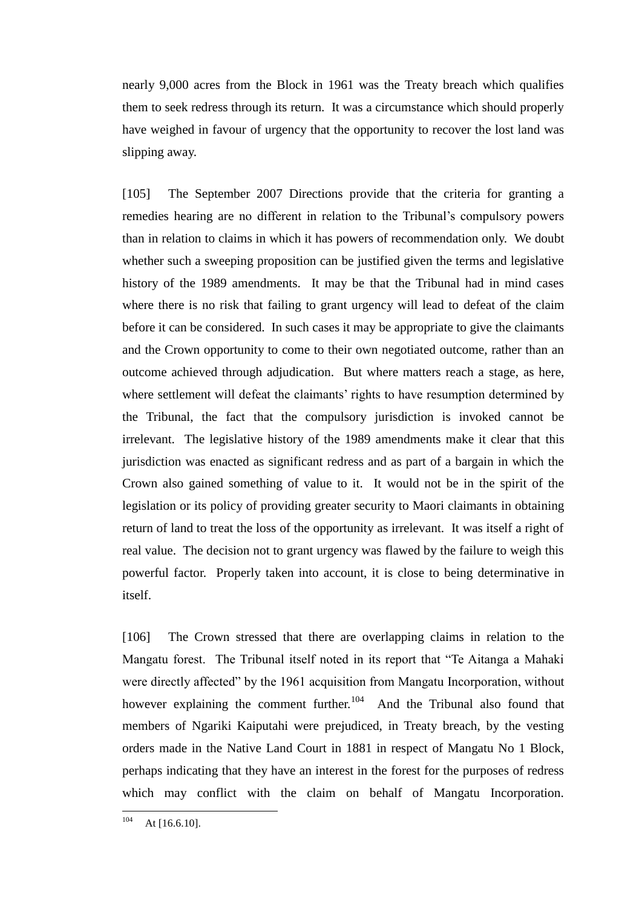nearly 9,000 acres from the Block in 1961 was the Treaty breach which qualifies them to seek redress through its return. It was a circumstance which should properly have weighed in favour of urgency that the opportunity to recover the lost land was slipping away.

[105] The September 2007 Directions provide that the criteria for granting a remedies hearing are no different in relation to the Tribunal's compulsory powers than in relation to claims in which it has powers of recommendation only. We doubt whether such a sweeping proposition can be justified given the terms and legislative history of the 1989 amendments. It may be that the Tribunal had in mind cases where there is no risk that failing to grant urgency will lead to defeat of the claim before it can be considered. In such cases it may be appropriate to give the claimants and the Crown opportunity to come to their own negotiated outcome, rather than an outcome achieved through adjudication. But where matters reach a stage, as here, where settlement will defeat the claimants' rights to have resumption determined by the Tribunal, the fact that the compulsory jurisdiction is invoked cannot be irrelevant. The legislative history of the 1989 amendments make it clear that this jurisdiction was enacted as significant redress and as part of a bargain in which the Crown also gained something of value to it. It would not be in the spirit of the legislation or its policy of providing greater security to Maori claimants in obtaining return of land to treat the loss of the opportunity as irrelevant. It was itself a right of real value. The decision not to grant urgency was flawed by the failure to weigh this powerful factor. Properly taken into account, it is close to being determinative in itself.

[106] The Crown stressed that there are overlapping claims in relation to the Mangatu forest. The Tribunal itself noted in its report that "Te Aitanga a Mahaki were directly affected" by the 1961 acquisition from Mangatu Incorporation, without however explaining the comment further. $104$  And the Tribunal also found that members of Ngariki Kaiputahi were prejudiced, in Treaty breach, by the vesting orders made in the Native Land Court in 1881 in respect of Mangatu No 1 Block, perhaps indicating that they have an interest in the forest for the purposes of redress which may conflict with the claim on behalf of Mangatu Incorporation.

<sup>104</sup> At  $[16.6.10]$ .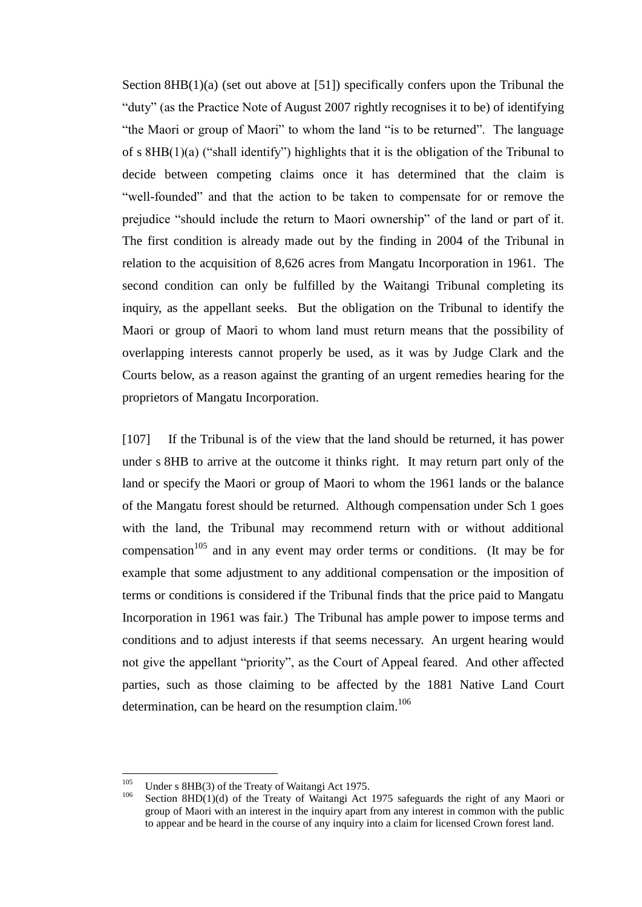Section 8HB(1)(a) (set out above at [51]) specifically confers upon the Tribunal the "duty" (as the Practice Note of August 2007 rightly recognises it to be) of identifying "the Maori or group of Maori" to whom the land "is to be returned". The language of s  $8HB(1)(a)$  ("shall identify") highlights that it is the obligation of the Tribunal to decide between competing claims once it has determined that the claim is ―well-founded‖ and that the action to be taken to compensate for or remove the prejudice "should include the return to Maori ownership" of the land or part of it. The first condition is already made out by the finding in 2004 of the Tribunal in relation to the acquisition of 8,626 acres from Mangatu Incorporation in 1961. The second condition can only be fulfilled by the Waitangi Tribunal completing its inquiry, as the appellant seeks. But the obligation on the Tribunal to identify the Maori or group of Maori to whom land must return means that the possibility of overlapping interests cannot properly be used, as it was by Judge Clark and the Courts below, as a reason against the granting of an urgent remedies hearing for the proprietors of Mangatu Incorporation.

[107] If the Tribunal is of the view that the land should be returned, it has power under s 8HB to arrive at the outcome it thinks right. It may return part only of the land or specify the Maori or group of Maori to whom the 1961 lands or the balance of the Mangatu forest should be returned. Although compensation under Sch 1 goes with the land, the Tribunal may recommend return with or without additional compensation<sup>105</sup> and in any event may order terms or conditions. (It may be for example that some adjustment to any additional compensation or the imposition of terms or conditions is considered if the Tribunal finds that the price paid to Mangatu Incorporation in 1961 was fair.) The Tribunal has ample power to impose terms and conditions and to adjust interests if that seems necessary. An urgent hearing would not give the appellant "priority", as the Court of Appeal feared. And other affected parties, such as those claiming to be affected by the 1881 Native Land Court determination, can be heard on the resumption claim.<sup>106</sup>

 $\frac{105}{105}$ <sup>105</sup> Under s 8HB(3) of the Treaty of Waitangi Act 1975.

Section 8HD(1)(d) of the Treaty of Waitangi Act 1975 safeguards the right of any Maori or group of Maori with an interest in the inquiry apart from any interest in common with the public to appear and be heard in the course of any inquiry into a claim for licensed Crown forest land.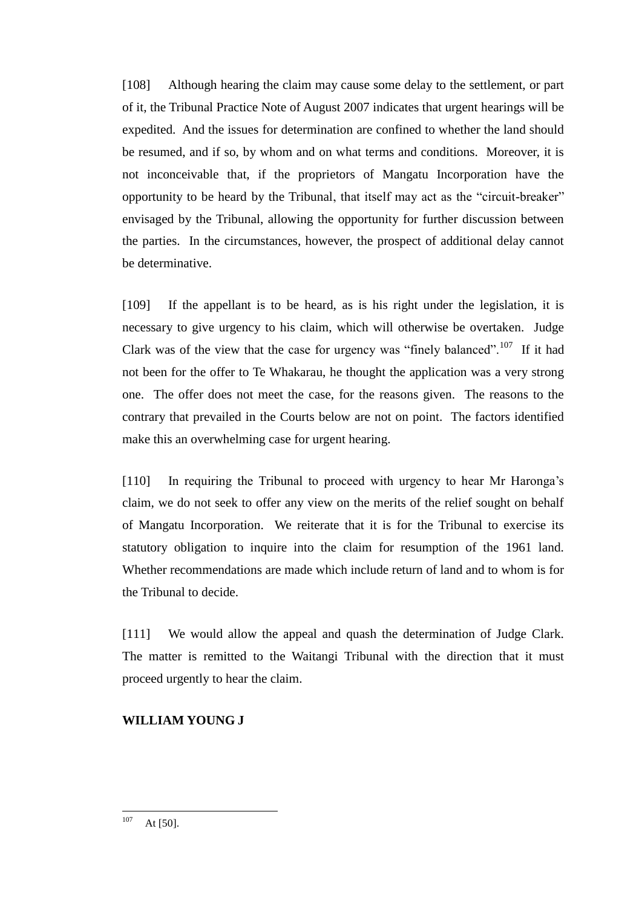[108] Although hearing the claim may cause some delay to the settlement, or part of it, the Tribunal Practice Note of August 2007 indicates that urgent hearings will be expedited. And the issues for determination are confined to whether the land should be resumed, and if so, by whom and on what terms and conditions. Moreover, it is not inconceivable that, if the proprietors of Mangatu Incorporation have the opportunity to be heard by the Tribunal, that itself may act as the "circuit-breaker" envisaged by the Tribunal, allowing the opportunity for further discussion between the parties. In the circumstances, however, the prospect of additional delay cannot be determinative.

[109] If the appellant is to be heard, as is his right under the legislation, it is necessary to give urgency to his claim, which will otherwise be overtaken. Judge Clark was of the view that the case for urgency was "finely balanced".<sup>107</sup> If it had not been for the offer to Te Whakarau, he thought the application was a very strong one. The offer does not meet the case, for the reasons given. The reasons to the contrary that prevailed in the Courts below are not on point. The factors identified make this an overwhelming case for urgent hearing.

[110] In requiring the Tribunal to proceed with urgency to hear Mr Haronga's claim, we do not seek to offer any view on the merits of the relief sought on behalf of Mangatu Incorporation. We reiterate that it is for the Tribunal to exercise its statutory obligation to inquire into the claim for resumption of the 1961 land. Whether recommendations are made which include return of land and to whom is for the Tribunal to decide.

[111] We would allow the appeal and quash the determination of Judge Clark. The matter is remitted to the Waitangi Tribunal with the direction that it must proceed urgently to hear the claim.

# **WILLIAM YOUNG J**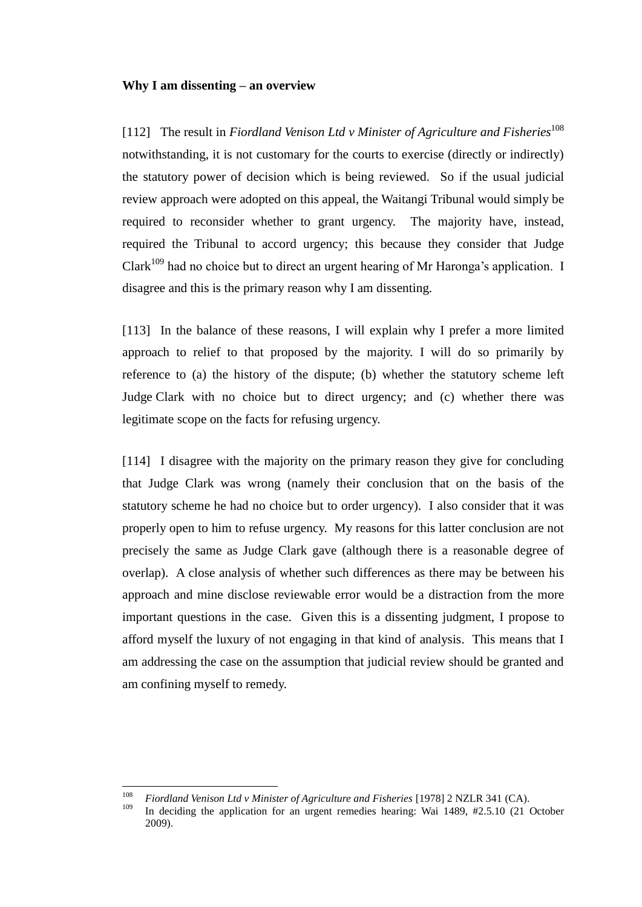#### **Why I am dissenting – an overview**

<span id="page-44-0"></span>[112] The result in *Fiordland Venison Ltd v Minister of Agriculture and Fisheries*<sup>108</sup> notwithstanding, it is not customary for the courts to exercise (directly or indirectly) the statutory power of decision which is being reviewed. So if the usual judicial review approach were adopted on this appeal, the Waitangi Tribunal would simply be required to reconsider whether to grant urgency. The majority have, instead, required the Tribunal to accord urgency; this because they consider that Judge  $Clark<sup>109</sup>$  had no choice but to direct an urgent hearing of Mr Haronga's application. I disagree and this is the primary reason why I am dissenting.

[113] In the balance of these reasons, I will explain why I prefer a more limited approach to relief to that proposed by the majority. I will do so primarily by reference to (a) the history of the dispute; (b) whether the statutory scheme left Judge Clark with no choice but to direct urgency; and (c) whether there was legitimate scope on the facts for refusing urgency.

[114] I disagree with the majority on the primary reason they give for concluding that Judge Clark was wrong (namely their conclusion that on the basis of the statutory scheme he had no choice but to order urgency). I also consider that it was properly open to him to refuse urgency. My reasons for this latter conclusion are not precisely the same as Judge Clark gave (although there is a reasonable degree of overlap). A close analysis of whether such differences as there may be between his approach and mine disclose reviewable error would be a distraction from the more important questions in the case. Given this is a dissenting judgment, I propose to afford myself the luxury of not engaging in that kind of analysis. This means that I am addressing the case on the assumption that judicial review should be granted and am confining myself to remedy.

<sup>108</sup> <sup>108</sup> *Fiordland Venison Ltd v Minister of Agriculture and Fisheries* [1978] 2 NZLR 341 (CA).

In deciding the application for an urgent remedies hearing: Wai  $1489$ ,  $\#2.5.10$  (21 October 2009).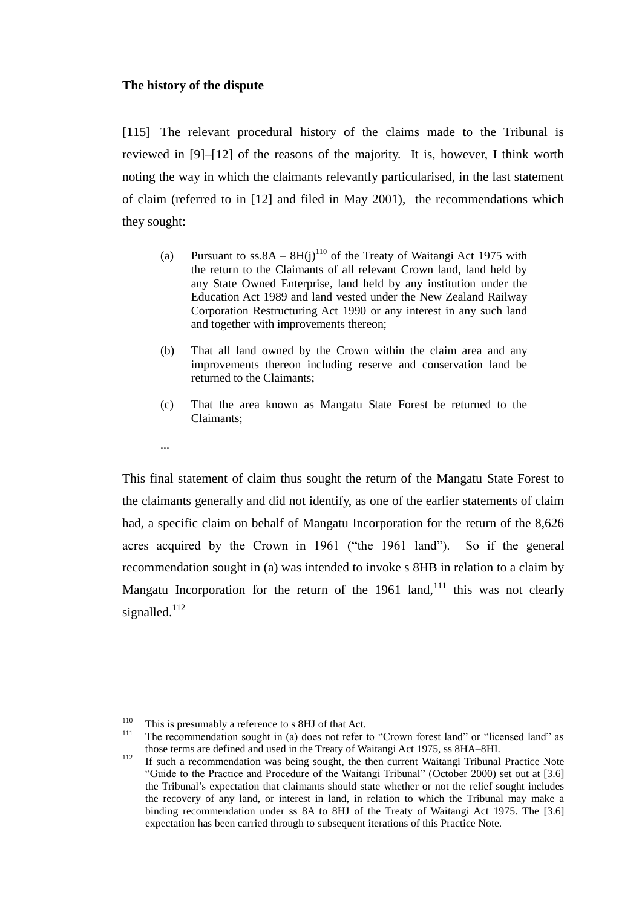### **The history of the dispute**

...

[115] The relevant procedural history of the claims made to the Tribunal is reviewed in [9]–[12] of the reasons of the majority. It is, however, I think worth noting the way in which the claimants relevantly particularised, in the last statement of claim (referred to in [12] and filed in May 2001), the recommendations which they sought:

- (a) Pursuant to ss.8A  $8H(j)^{110}$  of the Treaty of Waitangi Act 1975 with the return to the Claimants of all relevant Crown land, land held by any State Owned Enterprise, land held by any institution under the Education Act 1989 and land vested under the New Zealand Railway Corporation Restructuring Act 1990 or any interest in any such land and together with improvements thereon;
- (b) That all land owned by the Crown within the claim area and any improvements thereon including reserve and conservation land be returned to the Claimants;
- (c) That the area known as Mangatu State Forest be returned to the Claimants;

This final statement of claim thus sought the return of the Mangatu State Forest to the claimants generally and did not identify, as one of the earlier statements of claim had, a specific claim on behalf of Mangatu Incorporation for the return of the 8,626 acres acquired by the Crown in 1961 ("the 1961 land"). So if the general recommendation sought in (a) was intended to invoke s 8HB in relation to a claim by Mangatu Incorporation for the return of the 1961 land,  $111$  this was not clearly signalled. $112$ 

<span id="page-45-0"></span><sup>110</sup> <sup>110</sup> This is presumably a reference to s 8HJ of that Act.

The recommendation sought in (a) does not refer to "Crown forest land" or "licensed land" as those terms are defined and used in the Treaty of Waitangi Act 1975, ss 8HA–8HI.

<sup>&</sup>lt;sup>112</sup> If such a recommendation was being sought, the then current Waitangi Tribunal Practice Note ―Guide to the Practice and Procedure of the Waitangi Tribunal‖ (October 2000) set out at [3.6] the Tribunal's expectation that claimants should state whether or not the relief sought includes the recovery of any land, or interest in land, in relation to which the Tribunal may make a binding recommendation under ss 8A to 8HJ of the Treaty of Waitangi Act 1975. The [3.6] expectation has been carried through to subsequent iterations of this Practice Note.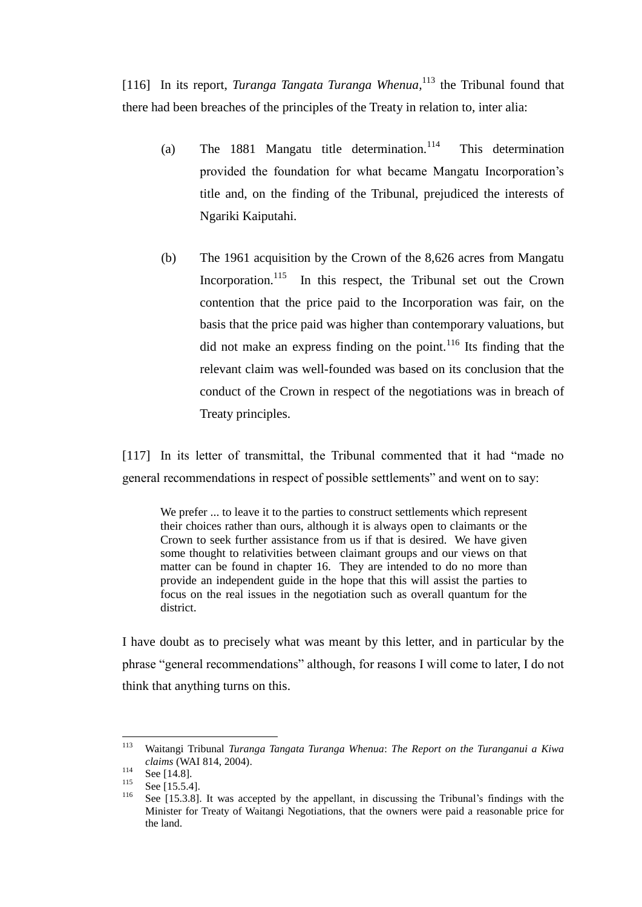[116] In its report, *Turanga Tangata Turanga Whenua*,<sup>113</sup> the Tribunal found that there had been breaches of the principles of the Treaty in relation to, inter alia:

- (a) The 1881 Mangatu title determination.<sup>114</sup> This determination provided the foundation for what became Mangatu Incorporation's title and, on the finding of the Tribunal, prejudiced the interests of Ngariki Kaiputahi.
- (b) The 1961 acquisition by the Crown of the 8,626 acres from Mangatu Incorporation.<sup>115</sup> In this respect, the Tribunal set out the Crown contention that the price paid to the Incorporation was fair, on the basis that the price paid was higher than contemporary valuations, but did not make an express finding on the point. $116$  Its finding that the relevant claim was well-founded was based on its conclusion that the conduct of the Crown in respect of the negotiations was in breach of Treaty principles.

<span id="page-46-0"></span>[117] In its letter of transmittal, the Tribunal commented that it had "made no general recommendations in respect of possible settlements" and went on to say:

We prefer ... to leave it to the parties to construct settlements which represent their choices rather than ours, although it is always open to claimants or the Crown to seek further assistance from us if that is desired. We have given some thought to relativities between claimant groups and our views on that matter can be found in chapter 16. They are intended to do no more than provide an independent guide in the hope that this will assist the parties to focus on the real issues in the negotiation such as overall quantum for the district.

I have doubt as to precisely what was meant by this letter, and in particular by the phrase "general recommendations" although, for reasons I will come to later, I do not think that anything turns on this.

<sup>113</sup> <sup>113</sup> Waitangi Tribunal *Turanga Tangata Turanga Whenua*: *The Report on the Turanganui a Kiwa claims* (WAI 814, 2004).

 $\frac{114}{115}$  See [14.8].

 $\frac{115}{116}$  See [15.5.4].

See [15.3.8]. It was accepted by the appellant, in discussing the Tribunal's findings with the Minister for Treaty of Waitangi Negotiations, that the owners were paid a reasonable price for the land.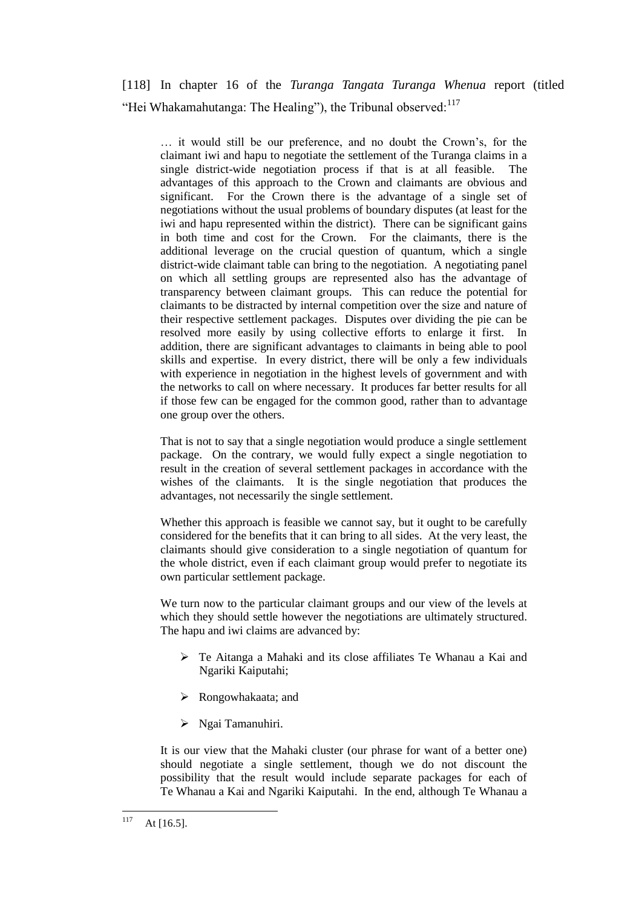[118] In chapter 16 of the *Turanga Tangata Turanga Whenua* report (titled "Hei Whakamahutanga: The Healing"), the Tribunal observed:<sup>117</sup>

… it would still be our preference, and no doubt the Crown's, for the claimant iwi and hapu to negotiate the settlement of the Turanga claims in a single district-wide negotiation process if that is at all feasible. The advantages of this approach to the Crown and claimants are obvious and significant. For the Crown there is the advantage of a single set of negotiations without the usual problems of boundary disputes (at least for the iwi and hapu represented within the district). There can be significant gains in both time and cost for the Crown. For the claimants, there is the additional leverage on the crucial question of quantum, which a single district-wide claimant table can bring to the negotiation. A negotiating panel on which all settling groups are represented also has the advantage of transparency between claimant groups. This can reduce the potential for claimants to be distracted by internal competition over the size and nature of their respective settlement packages. Disputes over dividing the pie can be resolved more easily by using collective efforts to enlarge it first. In addition, there are significant advantages to claimants in being able to pool skills and expertise. In every district, there will be only a few individuals with experience in negotiation in the highest levels of government and with the networks to call on where necessary. It produces far better results for all if those few can be engaged for the common good, rather than to advantage one group over the others.

That is not to say that a single negotiation would produce a single settlement package. On the contrary, we would fully expect a single negotiation to result in the creation of several settlement packages in accordance with the wishes of the claimants. It is the single negotiation that produces the advantages, not necessarily the single settlement.

Whether this approach is feasible we cannot say, but it ought to be carefully considered for the benefits that it can bring to all sides. At the very least, the claimants should give consideration to a single negotiation of quantum for the whole district, even if each claimant group would prefer to negotiate its own particular settlement package.

We turn now to the particular claimant groups and our view of the levels at which they should settle however the negotiations are ultimately structured. The hapu and iwi claims are advanced by:

- Te Aitanga a Mahaki and its close affiliates Te Whanau a Kai and Ngariki Kaiputahi;
- Rongowhakaata; and
- > Ngai Tamanuhiri.

It is our view that the Mahaki cluster (our phrase for want of a better one) should negotiate a single settlement, though we do not discount the possibility that the result would include separate packages for each of Te Whanau a Kai and Ngariki Kaiputahi. In the end, although Te Whanau a

<sup>117</sup> At  $[16.5]$ .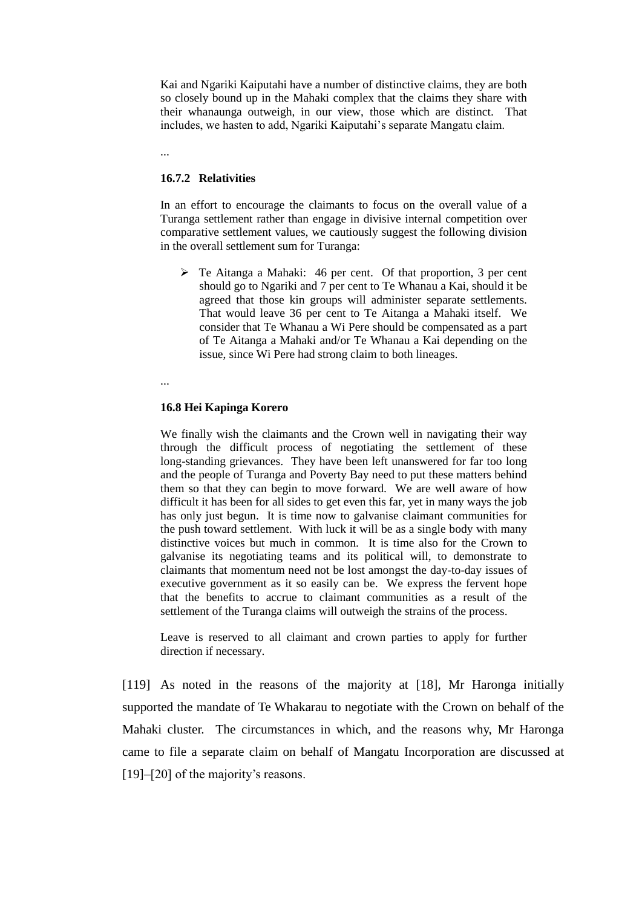Kai and Ngariki Kaiputahi have a number of distinctive claims, they are both so closely bound up in the Mahaki complex that the claims they share with their whanaunga outweigh, in our view, those which are distinct. That includes, we hasten to add, Ngariki Kaiputahi's separate Mangatu claim.

...

## **16.7.2 Relativities**

In an effort to encourage the claimants to focus on the overall value of a Turanga settlement rather than engage in divisive internal competition over comparative settlement values, we cautiously suggest the following division in the overall settlement sum for Turanga:

 Te Aitanga a Mahaki: 46 per cent. Of that proportion, 3 per cent should go to Ngariki and 7 per cent to Te Whanau a Kai, should it be agreed that those kin groups will administer separate settlements. That would leave 36 per cent to Te Aitanga a Mahaki itself. We consider that Te Whanau a Wi Pere should be compensated as a part of Te Aitanga a Mahaki and/or Te Whanau a Kai depending on the issue, since Wi Pere had strong claim to both lineages.

...

## **16.8 Hei Kapinga Korero**

We finally wish the claimants and the Crown well in navigating their way through the difficult process of negotiating the settlement of these long-standing grievances. They have been left unanswered for far too long and the people of Turanga and Poverty Bay need to put these matters behind them so that they can begin to move forward. We are well aware of how difficult it has been for all sides to get even this far, yet in many ways the job has only just begun. It is time now to galvanise claimant communities for the push toward settlement. With luck it will be as a single body with many distinctive voices but much in common. It is time also for the Crown to galvanise its negotiating teams and its political will, to demonstrate to claimants that momentum need not be lost amongst the day-to-day issues of executive government as it so easily can be. We express the fervent hope that the benefits to accrue to claimant communities as a result of the settlement of the Turanga claims will outweigh the strains of the process.

Leave is reserved to all claimant and crown parties to apply for further direction if necessary.

[119] As noted in the reasons of the majority at [18], Mr Haronga initially supported the mandate of Te Whakarau to negotiate with the Crown on behalf of the Mahaki cluster. The circumstances in which, and the reasons why, Mr Haronga came to file a separate claim on behalf of Mangatu Incorporation are discussed at [19]–[20] of the majority's reasons.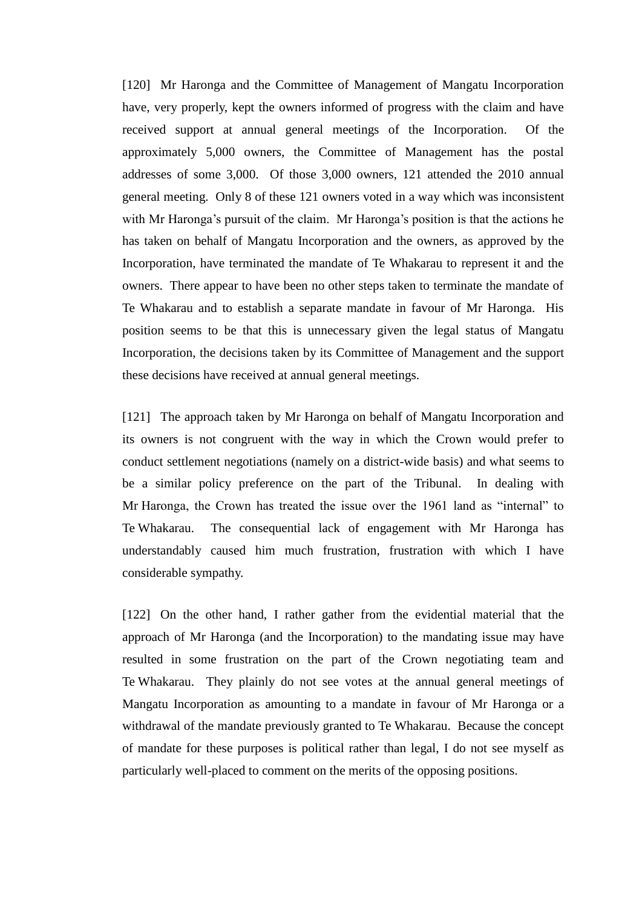[120] Mr Haronga and the Committee of Management of Mangatu Incorporation have, very properly, kept the owners informed of progress with the claim and have received support at annual general meetings of the Incorporation. Of the approximately 5,000 owners, the Committee of Management has the postal addresses of some 3,000. Of those 3,000 owners, 121 attended the 2010 annual general meeting. Only 8 of these 121 owners voted in a way which was inconsistent with Mr Haronga's pursuit of the claim. Mr Haronga's position is that the actions he has taken on behalf of Mangatu Incorporation and the owners, as approved by the Incorporation, have terminated the mandate of Te Whakarau to represent it and the owners. There appear to have been no other steps taken to terminate the mandate of Te Whakarau and to establish a separate mandate in favour of Mr Haronga. His position seems to be that this is unnecessary given the legal status of Mangatu Incorporation, the decisions taken by its Committee of Management and the support these decisions have received at annual general meetings.

[121] The approach taken by Mr Haronga on behalf of Mangatu Incorporation and its owners is not congruent with the way in which the Crown would prefer to conduct settlement negotiations (namely on a district-wide basis) and what seems to be a similar policy preference on the part of the Tribunal. In dealing with Mr Haronga, the Crown has treated the issue over the 1961 land as "internal" to Te Whakarau. The consequential lack of engagement with Mr Haronga has understandably caused him much frustration, frustration with which I have considerable sympathy.

[122] On the other hand, I rather gather from the evidential material that the approach of Mr Haronga (and the Incorporation) to the mandating issue may have resulted in some frustration on the part of the Crown negotiating team and Te Whakarau. They plainly do not see votes at the annual general meetings of Mangatu Incorporation as amounting to a mandate in favour of Mr Haronga or a withdrawal of the mandate previously granted to Te Whakarau. Because the concept of mandate for these purposes is political rather than legal, I do not see myself as particularly well-placed to comment on the merits of the opposing positions.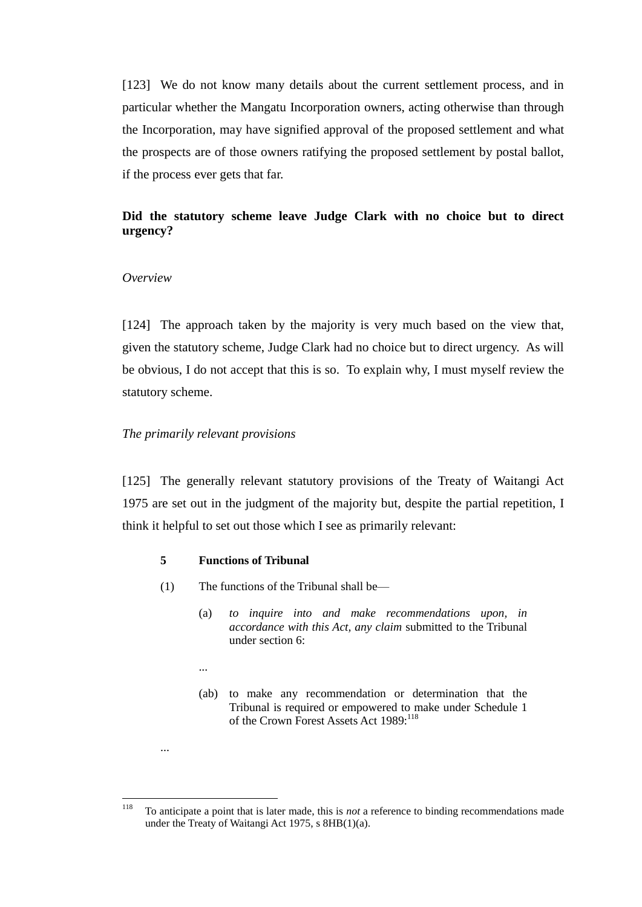[123] We do not know many details about the current settlement process, and in particular whether the Mangatu Incorporation owners, acting otherwise than through the Incorporation, may have signified approval of the proposed settlement and what the prospects are of those owners ratifying the proposed settlement by postal ballot, if the process ever gets that far.

# **Did the statutory scheme leave Judge Clark with no choice but to direct urgency?**

# *Overview*

[124] The approach taken by the majority is very much based on the view that, given the statutory scheme, Judge Clark had no choice but to direct urgency. As will be obvious, I do not accept that this is so. To explain why, I must myself review the statutory scheme.

## *The primarily relevant provisions*

[125] The generally relevant statutory provisions of the Treaty of Waitangi Act 1975 are set out in the judgment of the majority but, despite the partial repetition, I think it helpful to set out those which I see as primarily relevant:

## **5 Functions of Tribunal**

- (1) The functions of th[e Tribunal](http://www.lexisnexis.com/nz/legal/search/runRemoteLink.do?bct=A&risb=21_T11889249684&homeCsi=274497&A=0.06071234648728108&urlEnc=ISO-8859-1&&dpsi=0069&remotekey1=REFPTID&refpt=1975A114S2:TRIBUNAL&service=DOC-ID&origdpsi=0069) shall be—
	- (a) *to inquire into and make recommendations upon, in accordance with this Act, any claim* submitted to the Tribunal under [section 6:](http://www.lexisnexis.com/nz/legal/search/runRemoteLink.do?bct=A&risb=21_T11889249684&homeCsi=274497&A=0.06071234648728108&urlEnc=ISO-8859-1&&dpsi=0069&remotekey1=REFPTID&refpt=1975A114S6&service=DOC-ID&origdpsi=0069)
	- ...

...

(ab) to make any recommendation or determination that the Tribunal is required or empowered to make under Schedule 1 of the Crown Forest Assets Act 1989:<sup>118</sup>

<sup>118</sup> <sup>118</sup> To anticipate a point that is later made, this is *not* a reference to binding recommendations made under the Treaty of Waitangi Act 1975, s 8HB(1)(a).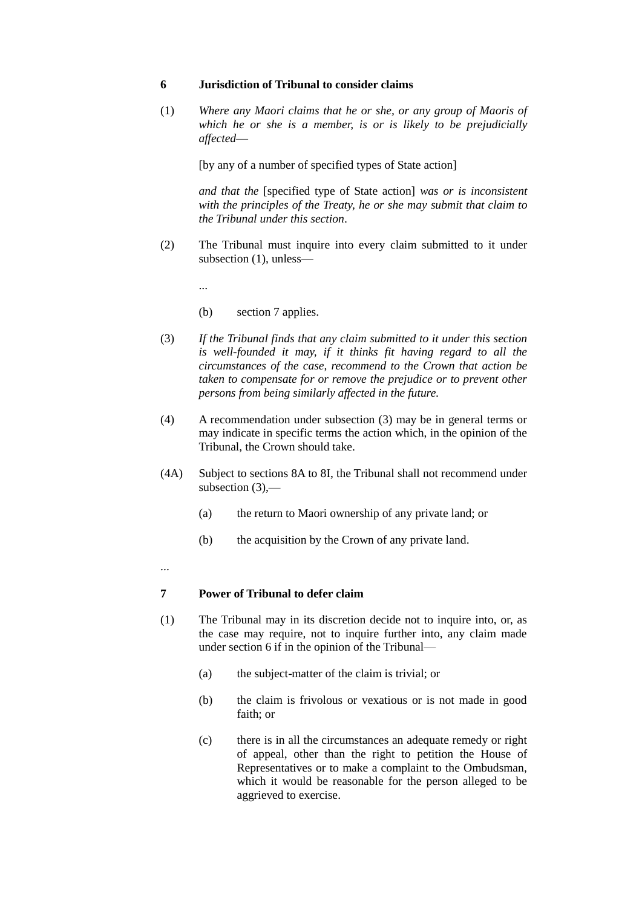#### **6 Jurisdiction of Tribunal to consider claims**

(1) *Where any [Maori](http://www.lexisnexis.com/nz/legal/search/runRemoteLink.do?bct=A&risb=21_T11881345860&homeCsi=274497&A=0.0270612393480677&urlEnc=ISO-8859-1&&dpsi=0069&remotekey1=REFPTID&refpt=1975A114S2:MAORI&service=DOC-ID&origdpsi=0069) claims that he or she, or any group of Maoris of which he or she is a member, is or is likely to be prejudicially affected*—

[by any of a number of specified types of State action]

*and that the* [specified type of State action] *was or is inconsistent with the principles of the [Treaty,](http://www.lexisnexis.com/nz/legal/search/runRemoteLink.do?bct=A&risb=21_T11881345860&homeCsi=274497&A=0.0270612393480677&urlEnc=ISO-8859-1&&dpsi=0069&remotekey1=REFPTID&refpt=1975A114S2:TREATY&service=DOC-ID&origdpsi=0069) he or she may [submit](http://www.lexisnexis.com/nz/legal/search/runRemoteLink.do?bct=A&risb=21_T11881345860&homeCsi=274497&A=0.0270612393480677&urlEnc=ISO-8859-1&&dpsi=0069&remotekey1=REFPTID&refpt=1975A114S2:SUBMIT&service=DOC-ID&origdpsi=0069) that claim to the [Tribunal](http://www.lexisnexis.com/nz/legal/search/runRemoteLink.do?bct=A&risb=21_T11881345860&homeCsi=274497&A=0.0270612393480677&urlEnc=ISO-8859-1&&dpsi=0069&remotekey1=REFPTID&refpt=1975A114S2:TRIBUNAL&service=DOC-ID&origdpsi=0069) under this section*.

(2) The [Tribunal](http://www.lexisnexis.com/nz/legal/search/runRemoteLink.do?bct=A&risb=21_T11881345860&homeCsi=274497&A=0.0270612393480677&urlEnc=ISO-8859-1&&dpsi=0069&remotekey1=REFPTID&refpt=1975A114S2:TRIBUNAL&service=DOC-ID&origdpsi=0069) must inquire into every claim submitted to it under subsection (1), unless—

...

- (b) [section 7](http://www.lexisnexis.com/nz/legal/search/runRemoteLink.do?bct=A&risb=21_T11881345860&homeCsi=274497&A=0.0270612393480677&urlEnc=ISO-8859-1&&dpsi=0069&remotekey1=REFPTID&refpt=1975A114S7&service=DOC-ID&origdpsi=0069) applies.
- (3) *If the [Tribunal](http://www.lexisnexis.com/nz/legal/search/runRemoteLink.do?bct=A&risb=21_T11881345860&homeCsi=274497&A=0.0270612393480677&urlEnc=ISO-8859-1&&dpsi=0069&remotekey1=REFPTID&refpt=1975A114S2:TRIBUNAL&service=DOC-ID&origdpsi=0069) finds that any claim submitted to it under this section is well-founded it may, if it thinks fit having regard to all the circumstances of the case, recommend to the Crown that action be taken to compensate for or remove the prejudice or to prevent other persons from being similarly affected in the future.*
- (4) A recommendation under subsection (3) may be in general terms or may indicate in specific terms the action which, in the opinion of the [Tribunal,](http://www.lexisnexis.com/nz/legal/search/runRemoteLink.do?bct=A&risb=21_T11881345860&homeCsi=274497&A=0.0270612393480677&urlEnc=ISO-8859-1&&dpsi=0069&remotekey1=REFPTID&refpt=1975A114S2:TRIBUNAL&service=DOC-ID&origdpsi=0069) the Crown should take.
- (4A) Subject to [sections 8A to 8I,](http://www.lexisnexis.com/nz/legal/search/runRemoteLink.do?bct=A&risb=21_T11881345860&homeCsi=274497&A=0.0270612393480677&urlEnc=ISO-8859-1&&dpsi=0069&remotekey1=REFPTID&refpt=1975A114S8A&service=DOC-ID&origdpsi=0069) the [Tribunal](http://www.lexisnexis.com/nz/legal/search/runRemoteLink.do?bct=A&risb=21_T11881345860&homeCsi=274497&A=0.0270612393480677&urlEnc=ISO-8859-1&&dpsi=0069&remotekey1=REFPTID&refpt=1975A114S2:TRIBUNAL&service=DOC-ID&origdpsi=0069) shall not recommend under subsection (3),—
	- (a) the return to Maori ownership of any [private land;](http://www.lexisnexis.com/nz/legal/search/runRemoteLink.do?bct=A&risb=21_T11881345860&homeCsi=274497&A=0.0270612393480677&urlEnc=ISO-8859-1&&dpsi=0069&remotekey1=REFPTID&refpt=1975A114S2:PRIVATE_LAND&service=DOC-ID&origdpsi=0069) or
	- (b) the acquisition by the Crown of any [private land.](http://www.lexisnexis.com/nz/legal/search/runRemoteLink.do?bct=A&risb=21_T11881345860&homeCsi=274497&A=0.0270612393480677&urlEnc=ISO-8859-1&&dpsi=0069&remotekey1=REFPTID&refpt=1975A114S2:PRIVATE_LAND&service=DOC-ID&origdpsi=0069)
- ...

### **7 Power of Tribunal to defer claim**

- (1) The Tribunal may in its discretion decide not to inquire into, or, as the case may require, not to inquire further into, any claim made under section 6 if in the opinion of the Tribunal—
	- (a) the subject-matter of the claim is trivial; or
	- (b) the claim is frivolous or vexatious or is not made in good faith; or
	- (c) there is in all the circumstances an adequate remedy or right of appeal, other than the right to petition the House of Representatives or to make a complaint to the Ombudsman, which it would be reasonable for the person alleged to be aggrieved to exercise.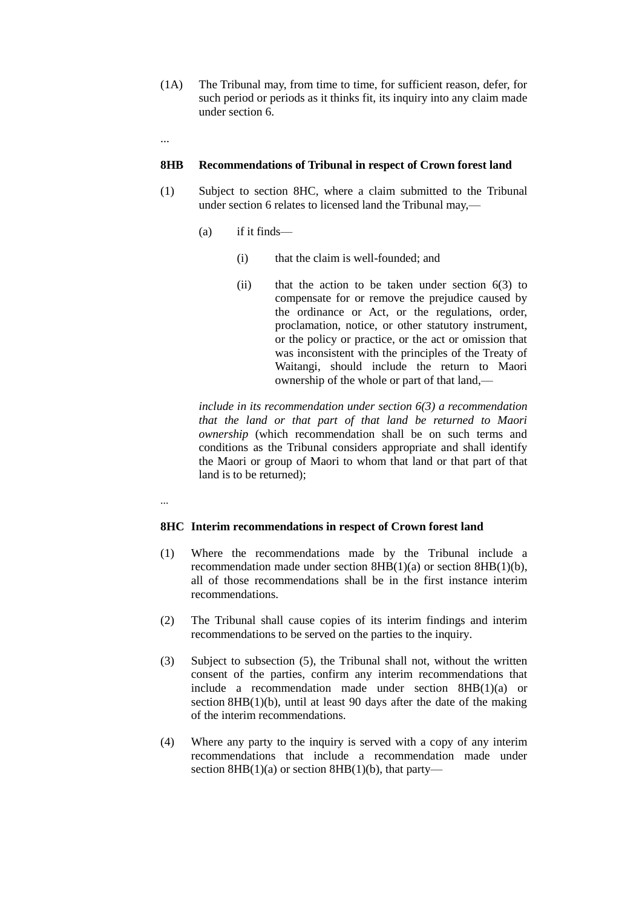- (1A) The Tribunal may, from time to time, for sufficient reason, defer, for such period or periods as it thinks fit, its inquiry into any claim made under section 6.
- ...

### **8HB Recommendations of Tribunal in respect of Crown forest land**

- (1) Subject to [section 8HC,](http://www.lexisnexis.com/nz/legal/search/runRemoteLink.do?bct=A&risb=21_T11881345860&homeCsi=274497&A=0.8578504554756018&urlEnc=ISO-8859-1&&dpsi=0069&remotekey1=REFPTID&refpt=1975A114S8HC&service=DOC-ID&origdpsi=0069) where a claim submitted to the [Tribunal](http://www.lexisnexis.com/nz/legal/search/runRemoteLink.do?bct=A&risb=21_T11881345860&homeCsi=274497&A=0.8578504554756018&urlEnc=ISO-8859-1&&dpsi=0069&remotekey1=REFPTID&refpt=1975A114S2:TRIBUNAL&service=DOC-ID&origdpsi=0069) under [section 6](http://www.lexisnexis.com/nz/legal/search/runRemoteLink.do?bct=A&risb=21_T11881345860&homeCsi=274497&A=0.8578504554756018&urlEnc=ISO-8859-1&&dpsi=0069&remotekey1=REFPTID&refpt=1975A114S6&service=DOC-ID&origdpsi=0069) relates to licensed land the Tribunal may,—
	- (a) if it finds—
		- (i) that the claim is well-founded; and
		- (ii) that the action to be taken under [section 6\(3\)](http://www.lexisnexis.com/nz/legal/search/runRemoteLink.do?bct=A&risb=21_T11881345860&homeCsi=274497&A=0.8578504554756018&urlEnc=ISO-8859-1&&dpsi=0069&remotekey1=REFPTID&refpt=1975A114S6&service=DOC-ID&origdpsi=0069) to compensate for or remove the prejudice caused by the ordinance or Act, or the regulations, order, proclamation, notice, or other statutory instrument, or the policy or practice, or the act or omission that was inconsistent with the principles of the Treaty of Waitangi, should include the return to Maori ownership of the whole or part of that land,—

*include in its recommendation under [section 6\(3\)](http://www.lexisnexis.com/nz/legal/search/runRemoteLink.do?bct=A&risb=21_T11881345860&homeCsi=274497&A=0.8578504554756018&urlEnc=ISO-8859-1&&dpsi=0069&remotekey1=REFPTID&refpt=1975A114S6&service=DOC-ID&origdpsi=0069) a recommendation that the land or that part of that land be returned to Maori ownership* (which recommendation shall be on such terms and conditions as the [Tribunal](http://www.lexisnexis.com/nz/legal/search/runRemoteLink.do?bct=A&risb=21_T11881345860&homeCsi=274497&A=0.8578504554756018&urlEnc=ISO-8859-1&&dpsi=0069&remotekey1=REFPTID&refpt=1975A114S2:TRIBUNAL&service=DOC-ID&origdpsi=0069) considers appropriate and shall identify the [Maori](http://www.lexisnexis.com/nz/legal/search/runRemoteLink.do?bct=A&risb=21_T11881345860&homeCsi=274497&A=0.8578504554756018&urlEnc=ISO-8859-1&&dpsi=0069&remotekey1=REFPTID&refpt=1975A114S2:MAORI&service=DOC-ID&origdpsi=0069) or group of Maori to whom that land or that part of that land is to be returned);

...

#### **8HC Interim recommendations in respect of Crown forest land**

- (1) Where the recommendations made by the [Tribunal](http://www.lexisnexis.com/nz/legal/search/runRemoteLink.do?bct=A&risb=21_T11190590795&homeCsi=274497&A=0.8046450630110924&urlEnc=ISO-8859-1&&dpsi=0069&remotekey1=REFPTID&refpt=1975A114S2:TRIBUNAL&service=DOC-ID&origdpsi=0069) include a recommendation made under [section 8HB\(1\)\(a\)](http://www.lexisnexis.com/nz/legal/search/runRemoteLink.do?bct=A&risb=21_T11190590795&homeCsi=274497&A=0.8046450630110924&urlEnc=ISO-8859-1&&dpsi=0069&remotekey1=REFPTID&refpt=1975A114S8HB&service=DOC-ID&origdpsi=0069) or [section 8HB\(1\)\(b\),](http://www.lexisnexis.com/nz/legal/search/runRemoteLink.do?bct=A&risb=21_T11190590795&homeCsi=274497&A=0.8046450630110924&urlEnc=ISO-8859-1&&dpsi=0069&remotekey1=REFPTID&refpt=1975A114S8HB&service=DOC-ID&origdpsi=0069) all of those recommendations shall be in the first instance interim recommendations.
- (2) The [Tribunal](http://www.lexisnexis.com/nz/legal/search/runRemoteLink.do?bct=A&risb=21_T11190590795&homeCsi=274497&A=0.8046450630110924&urlEnc=ISO-8859-1&&dpsi=0069&remotekey1=REFPTID&refpt=1975A114S2:TRIBUNAL&service=DOC-ID&origdpsi=0069) shall cause copies of its interim findings and interim recommendations to be served on the parties to the inquiry.
- (3) Subject to subsection (5), the [Tribunal](http://www.lexisnexis.com/nz/legal/search/runRemoteLink.do?bct=A&risb=21_T11190590795&homeCsi=274497&A=0.8046450630110924&urlEnc=ISO-8859-1&&dpsi=0069&remotekey1=REFPTID&refpt=1975A114S2:TRIBUNAL&service=DOC-ID&origdpsi=0069) shall not, without the written consent of the parties, confirm any interim recommendations that include a recommendation made under [section 8HB\(1\)\(a\)](http://www.lexisnexis.com/nz/legal/search/runRemoteLink.do?bct=A&risb=21_T11190590795&homeCsi=274497&A=0.8046450630110924&urlEnc=ISO-8859-1&&dpsi=0069&remotekey1=REFPTID&refpt=1975A114S8HB&service=DOC-ID&origdpsi=0069) or section [8HB\(1\)\(b\),](http://www.lexisnexis.com/nz/legal/search/runRemoteLink.do?bct=A&risb=21_T11190590795&homeCsi=274497&A=0.8046450630110924&urlEnc=ISO-8859-1&&dpsi=0069&remotekey1=REFPTID&refpt=1975A114S8HB&service=DOC-ID&origdpsi=0069) until at least 90 days after the date of the making of the interim recommendations.
- (4) Where any party to the inquiry is served with a copy of any interim recommendations that include a recommendation made under section [8HB\(1\)\(a\)](http://www.lexisnexis.com/nz/legal/search/runRemoteLink.do?bct=A&risb=21_T11190590795&homeCsi=274497&A=0.8046450630110924&urlEnc=ISO-8859-1&&dpsi=0069&remotekey1=REFPTID&refpt=1975A114S8HB&service=DOC-ID&origdpsi=0069) o[r section 8HB\(1\)\(b\),](http://www.lexisnexis.com/nz/legal/search/runRemoteLink.do?bct=A&risb=21_T11190590795&homeCsi=274497&A=0.8046450630110924&urlEnc=ISO-8859-1&&dpsi=0069&remotekey1=REFPTID&refpt=1975A114S8HB&service=DOC-ID&origdpsi=0069) that party—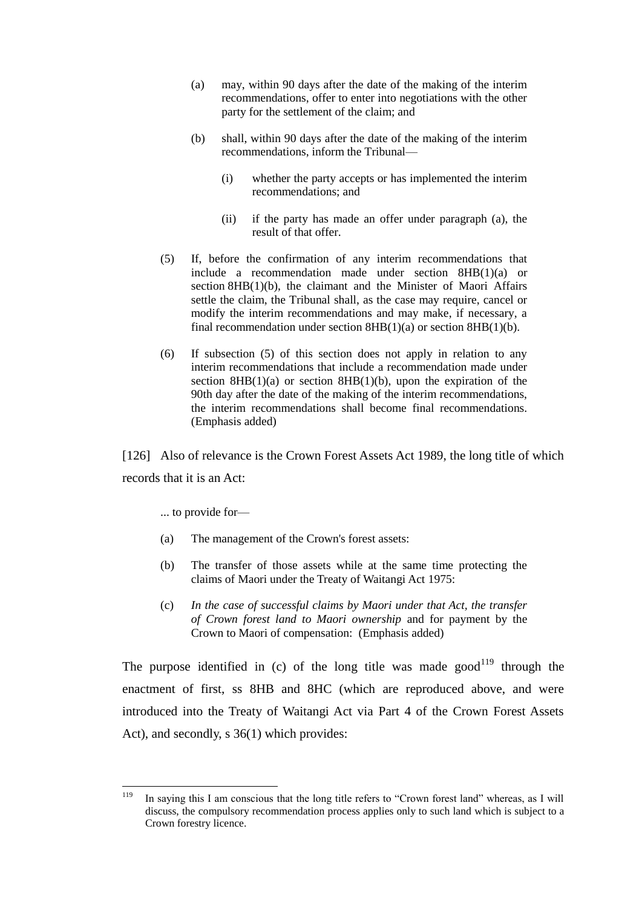- (a) may, within 90 days after the date of the making of the interim recommendations, offer to enter into negotiations with the other party for the settlement of the claim; and
- (b) shall, within 90 days after the date of the making of the interim recommendations, inform the [Tribunal—](http://www.lexisnexis.com/nz/legal/search/runRemoteLink.do?bct=A&risb=21_T11190590795&homeCsi=274497&A=0.8046450630110924&urlEnc=ISO-8859-1&&dpsi=0069&remotekey1=REFPTID&refpt=1975A114S2:TRIBUNAL&service=DOC-ID&origdpsi=0069)
	- (i) whether the party accepts or has implemented the interim recommendations; and
	- (ii) if the party has made an offer under paragraph (a), the result of that offer.
- (5) If, before the confirmation of any interim recommendations that include a recommendation made under [section 8HB\(1\)\(a\)](http://www.lexisnexis.com/nz/legal/search/runRemoteLink.do?bct=A&risb=21_T11190590795&homeCsi=274497&A=0.8046450630110924&urlEnc=ISO-8859-1&&dpsi=0069&remotekey1=REFPTID&refpt=1975A114S8HB&service=DOC-ID&origdpsi=0069) or section [8HB\(1\)\(b\),](http://www.lexisnexis.com/nz/legal/search/runRemoteLink.do?bct=A&risb=21_T11190590795&homeCsi=274497&A=0.8046450630110924&urlEnc=ISO-8859-1&&dpsi=0069&remotekey1=REFPTID&refpt=1975A114S8HB&service=DOC-ID&origdpsi=0069) the claimant and the Minister of Maori Affairs settle the claim, the [Tribunal](http://www.lexisnexis.com/nz/legal/search/runRemoteLink.do?bct=A&risb=21_T11190590795&homeCsi=274497&A=0.8046450630110924&urlEnc=ISO-8859-1&&dpsi=0069&remotekey1=REFPTID&refpt=1975A114S2:TRIBUNAL&service=DOC-ID&origdpsi=0069) shall, as the case may require, cancel or modify the interim recommendations and may make, if necessary, a final recommendation under section  $8HB(1)(a)$  or section  $8HB(1)(b)$ .
- (6) If subsection (5) of this section does not apply in relation to any interim recommendations that include a recommendation made under section  $8HB(1)(a)$  or section  $8HB(1)(b)$ , upon the expiration of the 90th day after the date of the making of the interim recommendations, the interim recommendations shall become final recommendations. (Emphasis added)

[126] Also of relevance is the Crown Forest Assets Act 1989, the long title of which records that it is an Act:

... to provide for—

- (a) The management of the Crown's forest assets:
- (b) The transfer of those assets while at the same time protecting the claims of Maori under the Treaty of Waitangi Act 1975:
- (c) *In the case of successful claims by Maori under that Act, the transfer of Crown forest land to Maori ownership* and for payment by the Crown to Maori of compensation: (Emphasis added)

The purpose identified in (c) of the long title was made good<sup>119</sup> through the enactment of first, ss 8HB and 8HC (which are reproduced above, and were introduced into the Treaty of Waitangi Act via Part 4 of the Crown Forest Assets Act), and secondly, s 36(1) which provides:

<sup>119</sup> In saying this I am conscious that the long title refers to "Crown forest land" whereas, as I will discuss, the compulsory recommendation process applies only to such land which is subject to a Crown forestry licence.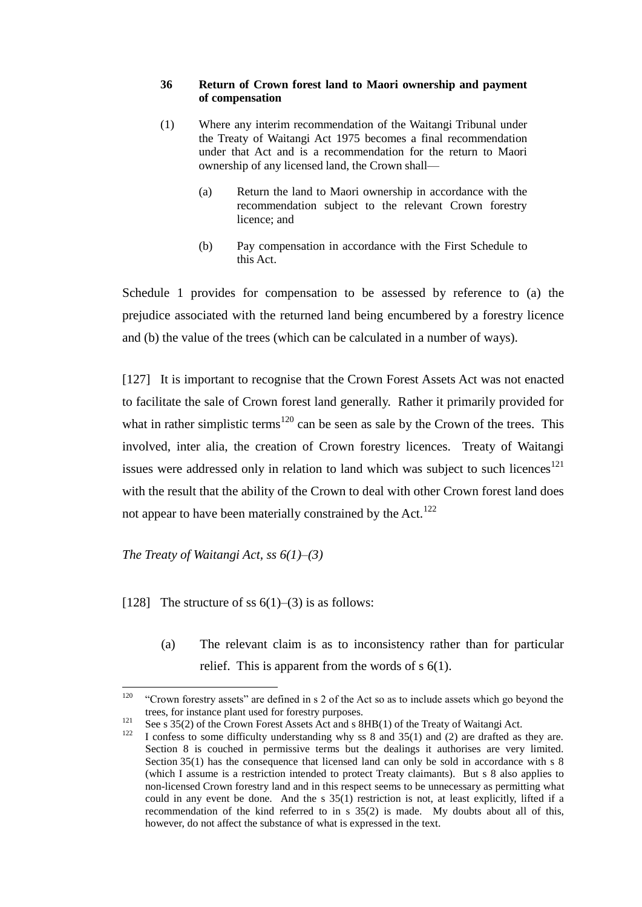#### **36 Return of Crown forest land to Maori ownership and payment of compensation**

- (1) Where any interim recommendation of the Waitangi Tribunal under the [Treaty of Waitangi Act 1975](http://www.brookersonline.co.nz/databases/modus/lawpart/statutes/link?id=ACT-NZL-PUB-Y.1975-114&si=57359&sid=sdtf1jwe5epc1hpiolms077bmtwr42pu&hli=0&sp=statutes) becomes a final recommendation under that Act and is a recommendation for the return to Maori ownership of any licensed land, the Crown shall—
	- (a) Return the land to Maori ownership in accordance with the recommendation subject to the relevant Crown forestry licence; and
	- (b) Pay compensation in accordance with the First Schedule to this Act.

Schedule 1 provides for compensation to be assessed by reference to (a) the prejudice associated with the returned land being encumbered by a forestry licence and (b) the value of the trees (which can be calculated in a number of ways).

[127] It is important to recognise that the Crown Forest Assets Act was not enacted to facilitate the sale of Crown forest land generally. Rather it primarily provided for what in rather simplistic terms<sup>120</sup> can be seen as sale by the Crown of the trees. This involved, inter alia, the creation of Crown forestry licences. Treaty of Waitangi issues were addressed only in relation to land which was subject to such licences<sup>121</sup> with the result that the ability of the Crown to deal with other Crown forest land does not appear to have been materially constrained by the Act.<sup>122</sup>

*The Treaty of Waitangi Act, ss 6(1)–(3)*

[128] The structure of ss  $6(1)$ –(3) is as follows:

(a) The relevant claim is as to inconsistency rather than for particular relief. This is apparent from the words of s 6(1).

<sup>120</sup> "Crown forestry assets" are defined in s 2 of the Act so as to include assets which go beyond the trees, for instance plant used for forestry purposes.

<sup>&</sup>lt;sup>121</sup> See s 35(2) of the Crown Forest Assets Act and s  $8HB(1)$  of the Treaty of Waitangi Act.

I confess to some difficulty understanding why ss  $8$  and  $35(1)$  and (2) are drafted as they are. Section 8 is couched in permissive terms but the dealings it authorises are very limited. Section 35(1) has the consequence that licensed land can only be sold in accordance with s 8 (which I assume is a restriction intended to protect Treaty claimants). But s 8 also applies to non-licensed Crown forestry land and in this respect seems to be unnecessary as permitting what could in any event be done. And the s 35(1) restriction is not, at least explicitly, lifted if a recommendation of the kind referred to in s 35(2) is made. My doubts about all of this, however, do not affect the substance of what is expressed in the text.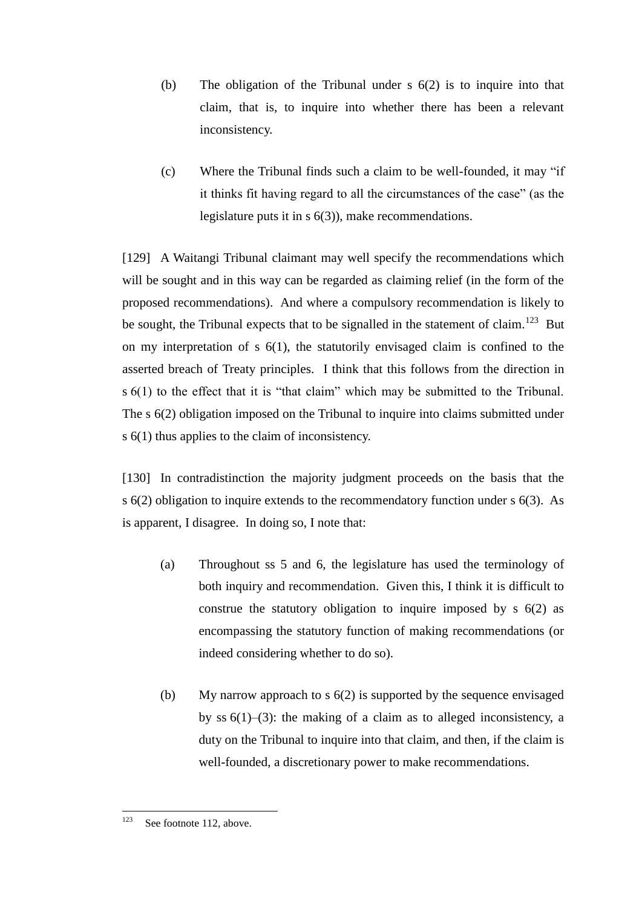- (b) The obligation of the Tribunal under s 6(2) is to inquire into that claim, that is, to inquire into whether there has been a relevant inconsistency.
- $(c)$  Where the Tribunal finds such a claim to be well-founded, it may "if it thinks fit having regard to all the circumstances of the case" (as the legislature puts it in s 6(3)), make recommendations.

[129] A Waitangi Tribunal claimant may well specify the recommendations which will be sought and in this way can be regarded as claiming relief (in the form of the proposed recommendations). And where a compulsory recommendation is likely to be sought, the Tribunal expects that to be signalled in the statement of claim.<sup>123</sup> But on my interpretation of s 6(1), the statutorily envisaged claim is confined to the asserted breach of Treaty principles. I think that this follows from the direction in  $s$  6(1) to the effect that it is "that claim" which may be submitted to the Tribunal. The s 6(2) obligation imposed on the Tribunal to inquire into claims submitted under s 6(1) thus applies to the claim of inconsistency.

[130] In contradistinction the majority judgment proceeds on the basis that the s 6(2) obligation to inquire extends to the recommendatory function under s 6(3). As is apparent, I disagree. In doing so, I note that:

- (a) Throughout ss 5 and 6, the legislature has used the terminology of both inquiry and recommendation. Given this, I think it is difficult to construe the statutory obligation to inquire imposed by s 6(2) as encompassing the statutory function of making recommendations (or indeed considering whether to do so).
- (b) My narrow approach to s 6(2) is supported by the sequence envisaged by ss 6(1)–(3): the making of a claim as to alleged inconsistency, a duty on the Tribunal to inquire into that claim, and then, if the claim is well-founded, a discretionary power to make recommendations.

<sup>123</sup> See footnote [112,](#page-45-0) above.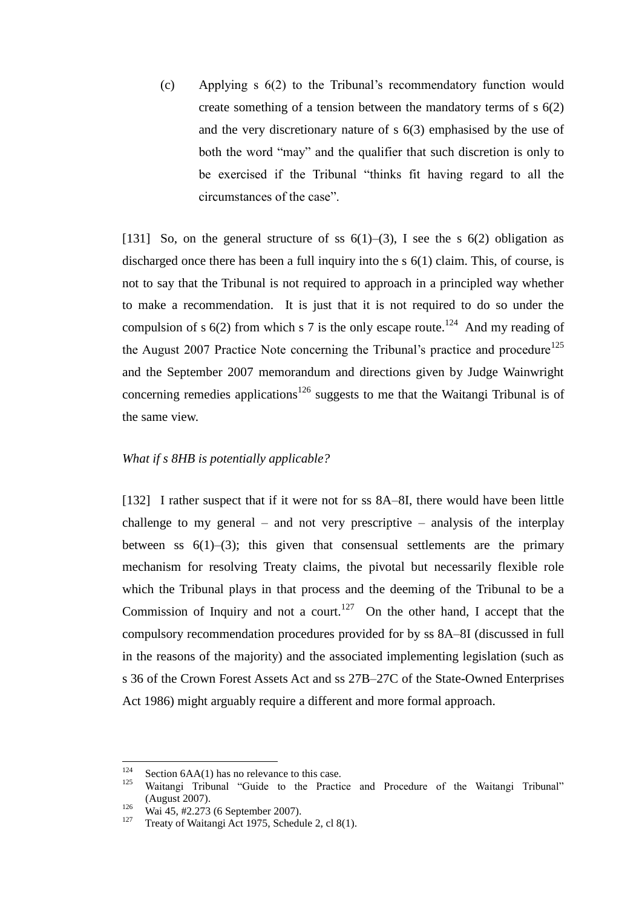(c) Applying s 6(2) to the Tribunal's recommendatory function would create something of a tension between the mandatory terms of s 6(2) and the very discretionary nature of s 6(3) emphasised by the use of both the word "may" and the qualifier that such discretion is only to be exercised if the Tribunal "thinks fit having regard to all the circumstances of the case"

[131] So, on the general structure of ss  $6(1)$ –(3), I see the s  $6(2)$  obligation as discharged once there has been a full inquiry into the s 6(1) claim. This, of course, is not to say that the Tribunal is not required to approach in a principled way whether to make a recommendation. It is just that it is not required to do so under the compulsion of s  $6(2)$  from which s 7 is the only escape route.<sup>124</sup> And my reading of the August 2007 Practice Note concerning the Tribunal's practice and procedure<sup>125</sup> and the September 2007 memorandum and directions given by Judge Wainwright concerning remedies applications<sup>126</sup> suggests to me that the Waitangi Tribunal is of the same view.

# *What if s 8HB is potentially applicable?*

[132] I rather suspect that if it were not for ss 8A–8I, there would have been little challenge to my general – and not very prescriptive – analysis of the interplay between ss  $6(1)$ – $(3)$ ; this given that consensual settlements are the primary mechanism for resolving Treaty claims, the pivotal but necessarily flexible role which the Tribunal plays in that process and the deeming of the Tribunal to be a Commission of Inquiry and not a court.<sup>127</sup> On the other hand, I accept that the compulsory recommendation procedures provided for by ss 8A–8I (discussed in full in the reasons of the majority) and the associated implementing legislation (such as s 36 of the Crown Forest Assets Act and ss 27B–27C of the State-Owned Enterprises Act 1986) might arguably require a different and more formal approach.

<sup>124</sup> <sup>124</sup> Section 6AA(1) has no relevance to this case.<br><sup>125</sup> Waitangi, Tribunal, "Cuida, to the Practic

Waitangi Tribunal "Guide to the Practice and Procedure of the Waitangi Tribunal" (August 2007).

 $\frac{126}{127}$  Wai 45, #2.273 (6 September 2007).

Treaty of Waitangi Act 1975, Schedule 2, cl 8(1).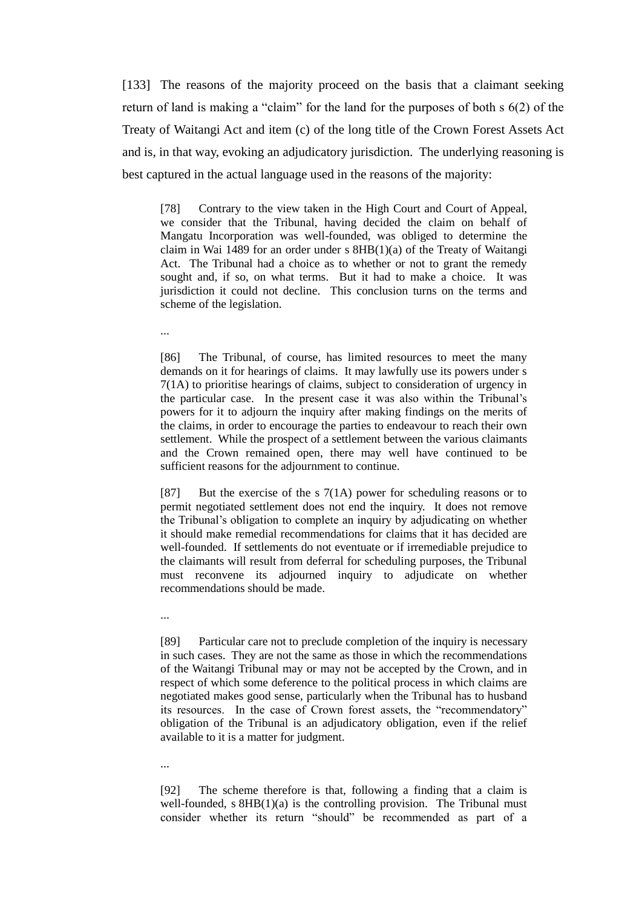[133] The reasons of the majority proceed on the basis that a claimant seeking return of land is making a "claim" for the land for the purposes of both  $s$  6(2) of the Treaty of Waitangi Act and item (c) of the long title of the Crown Forest Assets Act and is, in that way, evoking an adjudicatory jurisdiction. The underlying reasoning is best captured in the actual language used in the reasons of the majority:

[78] Contrary to the view taken in the High Court and Court of Appeal, we consider that the Tribunal, having decided the claim on behalf of Mangatu Incorporation was well-founded, was obliged to determine the claim in Wai 1489 for an order under s 8HB(1)(a) of the Treaty of Waitangi Act. The Tribunal had a choice as to whether or not to grant the remedy sought and, if so, on what terms. But it had to make a choice. It was jurisdiction it could not decline. This conclusion turns on the terms and scheme of the legislation.

...

[86] The Tribunal, of course, has limited resources to meet the many demands on it for hearings of claims. It may lawfully use its powers under s 7(1A) to prioritise hearings of claims, subject to consideration of urgency in the particular case. In the present case it was also within the Tribunal's powers for it to adjourn the inquiry after making findings on the merits of the claims, in order to encourage the parties to endeavour to reach their own settlement. While the prospect of a settlement between the various claimants and the Crown remained open, there may well have continued to be sufficient reasons for the adjournment to continue.

[87] But the exercise of the s  $7(1A)$  power for scheduling reasons or to permit negotiated settlement does not end the inquiry. It does not remove the Tribunal's obligation to complete an inquiry by adjudicating on whether it should make remedial recommendations for claims that it has decided are well-founded. If settlements do not eventuate or if irremediable prejudice to the claimants will result from deferral for scheduling purposes, the Tribunal must reconvene its adjourned inquiry to adjudicate on whether recommendations should be made.

...

...

[89] Particular care not to preclude completion of the inquiry is necessary in such cases. They are not the same as those in which the recommendations of the Waitangi Tribunal may or may not be accepted by the Crown, and in respect of which some deference to the political process in which claims are negotiated makes good sense, particularly when the Tribunal has to husband its resources. In the case of Crown forest assets, the "recommendatory" obligation of the Tribunal is an adjudicatory obligation, even if the relief available to it is a matter for judgment.

[92] The scheme therefore is that, following a finding that a claim is well-founded,  $s$   $8HB(1)(a)$  is the controlling provision. The Tribunal must consider whether its return "should" be recommended as part of a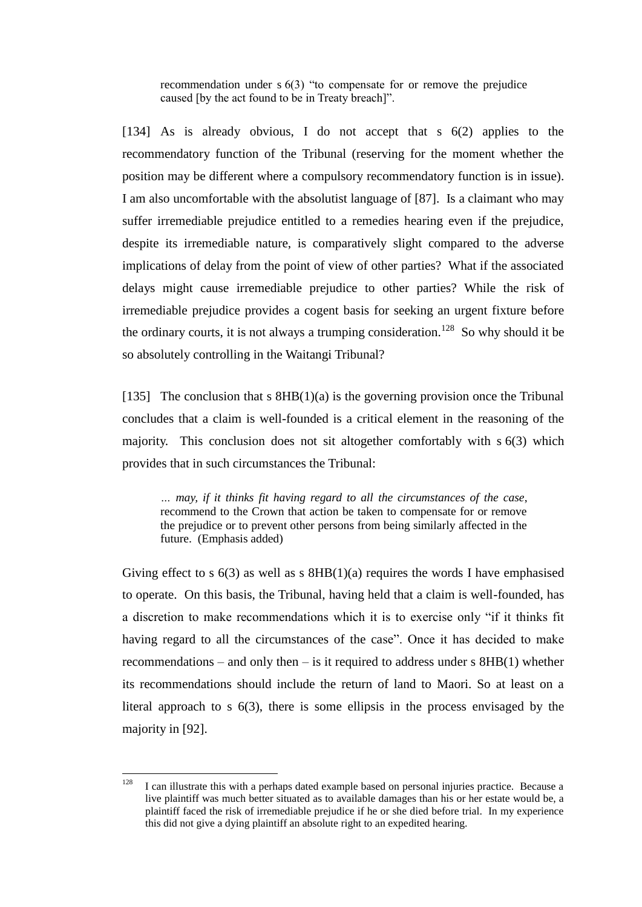recommendation under  $s(3)$  "to compensate for or remove the prejudice caused [by the act found to be in Treaty breach]".

[134] As is already obvious, I do not accept that s  $6(2)$  applies to the recommendatory function of the Tribunal (reserving for the moment whether the position may be different where a compulsory recommendatory function is in issue). I am also uncomfortable with the absolutist language of [87]. Is a claimant who may suffer irremediable prejudice entitled to a remedies hearing even if the prejudice, despite its irremediable nature, is comparatively slight compared to the adverse implications of delay from the point of view of other parties? What if the associated delays might cause irremediable prejudice to other parties? While the risk of irremediable prejudice provides a cogent basis for seeking an urgent fixture before the ordinary courts, it is not always a trumping consideration.<sup>128</sup> So why should it be so absolutely controlling in the Waitangi Tribunal?

[135] The conclusion that s  $8HB(1)(a)$  is the governing provision once the Tribunal concludes that a claim is well-founded is a critical element in the reasoning of the majority. This conclusion does not sit altogether comfortably with s 6(3) which provides that in such circumstances the Tribunal:

*… may, if it thinks fit having regard to all the circumstances of the case*, recommend to the Crown that action be taken to compensate for or remove the prejudice or to prevent other persons from being similarly affected in the future. (Emphasis added)

Giving effect to s  $6(3)$  as well as s  $8HB(1)(a)$  requires the words I have emphasised to operate. On this basis, the Tribunal, having held that a claim is well-founded, has a discretion to make recommendations which it is to exercise only "if it thinks fit having regard to all the circumstances of the case". Once it has decided to make recommendations – and only then – is it required to address under  $s$  8HB(1) whether its recommendations should include the return of land to Maori. So at least on a literal approach to s 6(3), there is some ellipsis in the process envisaged by the majority in [92].

<sup>128</sup> <sup>128</sup> I can illustrate this with a perhaps dated example based on personal injuries practice. Because a live plaintiff was much better situated as to available damages than his or her estate would be, a plaintiff faced the risk of irremediable prejudice if he or she died before trial. In my experience this did not give a dying plaintiff an absolute right to an expedited hearing.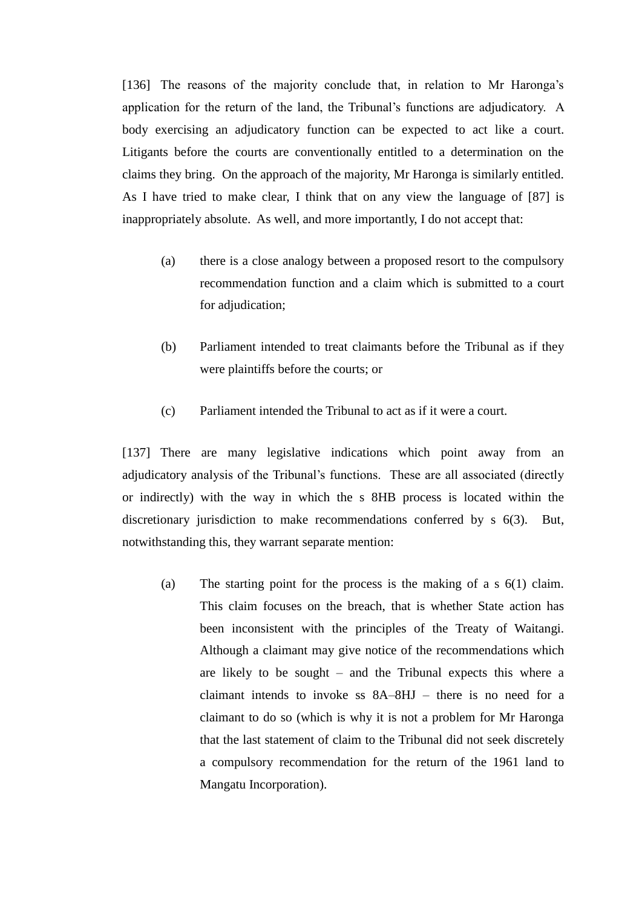[136] The reasons of the majority conclude that, in relation to Mr Haronga's application for the return of the land, the Tribunal's functions are adjudicatory. A body exercising an adjudicatory function can be expected to act like a court. Litigants before the courts are conventionally entitled to a determination on the claims they bring. On the approach of the majority, Mr Haronga is similarly entitled. As I have tried to make clear, I think that on any view the language of [87] is inappropriately absolute. As well, and more importantly, I do not accept that:

- (a) there is a close analogy between a proposed resort to the compulsory recommendation function and a claim which is submitted to a court for adjudication;
- (b) Parliament intended to treat claimants before the Tribunal as if they were plaintiffs before the courts; or
- (c) Parliament intended the Tribunal to act as if it were a court.

[137] There are many legislative indications which point away from an adjudicatory analysis of the Tribunal's functions. These are all associated (directly or indirectly) with the way in which the s 8HB process is located within the discretionary jurisdiction to make recommendations conferred by s 6(3). But, notwithstanding this, they warrant separate mention:

(a) The starting point for the process is the making of a s 6(1) claim. This claim focuses on the breach, that is whether State action has been inconsistent with the principles of the Treaty of Waitangi. Although a claimant may give notice of the recommendations which are likely to be sought – and the Tribunal expects this where a claimant intends to invoke ss 8A–8HJ – there is no need for a claimant to do so (which is why it is not a problem for Mr Haronga that the last statement of claim to the Tribunal did not seek discretely a compulsory recommendation for the return of the 1961 land to Mangatu Incorporation).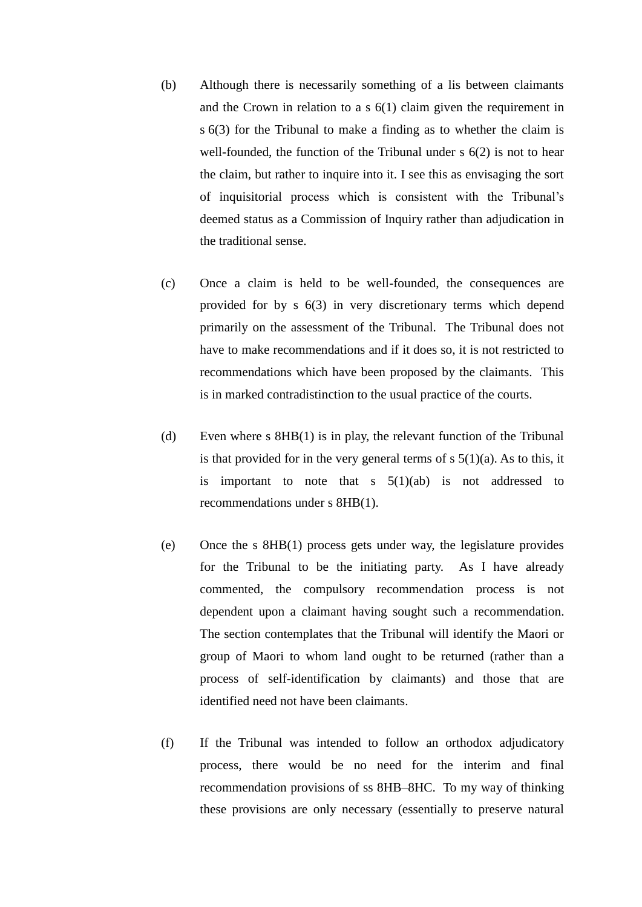- (b) Although there is necessarily something of a lis between claimants and the Crown in relation to a s 6(1) claim given the requirement in s 6(3) for the Tribunal to make a finding as to whether the claim is well-founded, the function of the Tribunal under s 6(2) is not to hear the claim, but rather to inquire into it. I see this as envisaging the sort of inquisitorial process which is consistent with the Tribunal's deemed status as a Commission of Inquiry rather than adjudication in the traditional sense.
- (c) Once a claim is held to be well-founded, the consequences are provided for by s 6(3) in very discretionary terms which depend primarily on the assessment of the Tribunal. The Tribunal does not have to make recommendations and if it does so, it is not restricted to recommendations which have been proposed by the claimants. This is in marked contradistinction to the usual practice of the courts.
- (d) Even where s 8HB(1) is in play, the relevant function of the Tribunal is that provided for in the very general terms of  $s \, 5(1)(a)$ . As to this, it is important to note that s  $5(1)(ab)$  is not addressed to recommendations under s 8HB(1).
- (e) Once the s 8HB(1) process gets under way, the legislature provides for the Tribunal to be the initiating party. As I have already commented, the compulsory recommendation process is not dependent upon a claimant having sought such a recommendation. The section contemplates that the Tribunal will identify the Maori or group of Maori to whom land ought to be returned (rather than a process of self-identification by claimants) and those that are identified need not have been claimants.
- (f) If the Tribunal was intended to follow an orthodox adjudicatory process, there would be no need for the interim and final recommendation provisions of ss 8HB–8HC. To my way of thinking these provisions are only necessary (essentially to preserve natural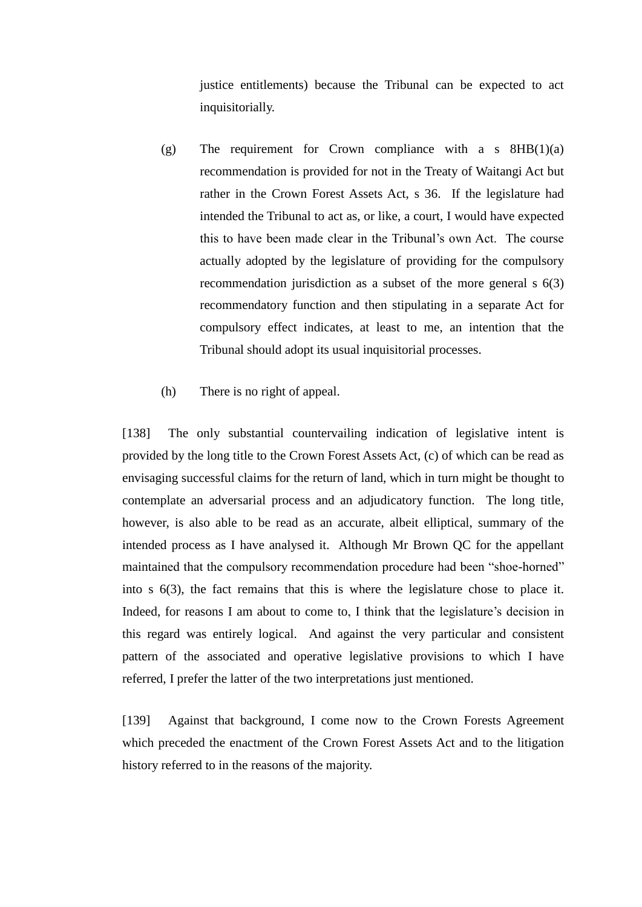justice entitlements) because the Tribunal can be expected to act inquisitorially.

- (g) The requirement for Crown compliance with a s  $8HB(1)(a)$ recommendation is provided for not in the Treaty of Waitangi Act but rather in the Crown Forest Assets Act, s 36. If the legislature had intended the Tribunal to act as, or like, a court, I would have expected this to have been made clear in the Tribunal's own Act. The course actually adopted by the legislature of providing for the compulsory recommendation jurisdiction as a subset of the more general s 6(3) recommendatory function and then stipulating in a separate Act for compulsory effect indicates, at least to me, an intention that the Tribunal should adopt its usual inquisitorial processes.
- (h) There is no right of appeal.

[138] The only substantial countervailing indication of legislative intent is provided by the long title to the Crown Forest Assets Act, (c) of which can be read as envisaging successful claims for the return of land, which in turn might be thought to contemplate an adversarial process and an adjudicatory function. The long title, however, is also able to be read as an accurate, albeit elliptical, summary of the intended process as I have analysed it. Although Mr Brown QC for the appellant maintained that the compulsory recommendation procedure had been "shoe-horned" into s 6(3), the fact remains that this is where the legislature chose to place it. Indeed, for reasons I am about to come to, I think that the legislature's decision in this regard was entirely logical. And against the very particular and consistent pattern of the associated and operative legislative provisions to which I have referred, I prefer the latter of the two interpretations just mentioned.

[139] Against that background, I come now to the Crown Forests Agreement which preceded the enactment of the Crown Forest Assets Act and to the litigation history referred to in the reasons of the majority.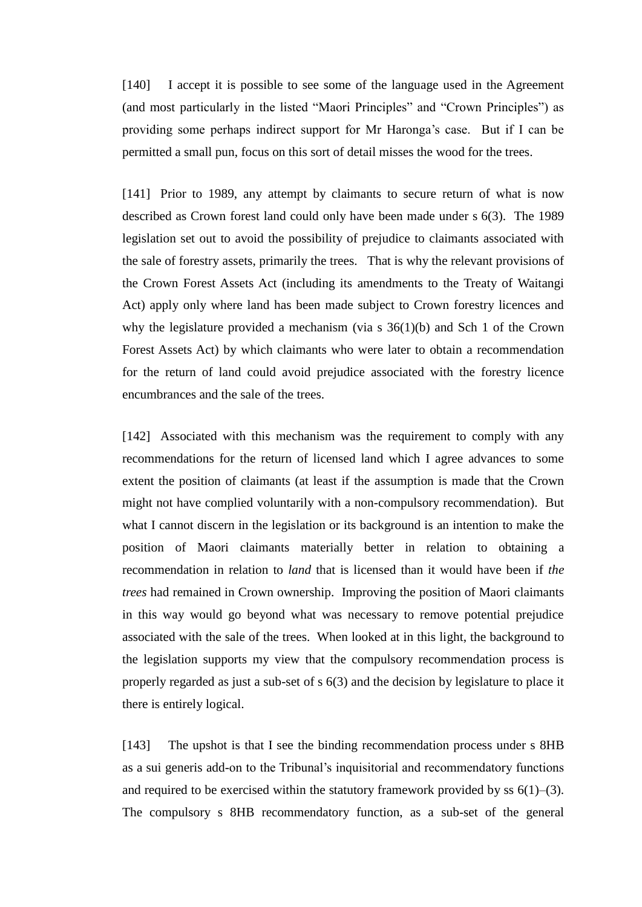[140] I accept it is possible to see some of the language used in the Agreement (and most particularly in the listed "Maori Principles" and "Crown Principles") as providing some perhaps indirect support for Mr Haronga's case. But if I can be permitted a small pun, focus on this sort of detail misses the wood for the trees.

[141] Prior to 1989, any attempt by claimants to secure return of what is now described as Crown forest land could only have been made under s 6(3). The 1989 legislation set out to avoid the possibility of prejudice to claimants associated with the sale of forestry assets, primarily the trees. That is why the relevant provisions of the Crown Forest Assets Act (including its amendments to the Treaty of Waitangi Act) apply only where land has been made subject to Crown forestry licences and why the legislature provided a mechanism (via s 36(1)(b) and Sch 1 of the Crown Forest Assets Act) by which claimants who were later to obtain a recommendation for the return of land could avoid prejudice associated with the forestry licence encumbrances and the sale of the trees.

[142] Associated with this mechanism was the requirement to comply with any recommendations for the return of licensed land which I agree advances to some extent the position of claimants (at least if the assumption is made that the Crown might not have complied voluntarily with a non-compulsory recommendation). But what I cannot discern in the legislation or its background is an intention to make the position of Maori claimants materially better in relation to obtaining a recommendation in relation to *land* that is licensed than it would have been if *the trees* had remained in Crown ownership. Improving the position of Maori claimants in this way would go beyond what was necessary to remove potential prejudice associated with the sale of the trees. When looked at in this light, the background to the legislation supports my view that the compulsory recommendation process is properly regarded as just a sub-set of s 6(3) and the decision by legislature to place it there is entirely logical.

[143] The upshot is that I see the binding recommendation process under s 8HB as a sui generis add-on to the Tribunal's inquisitorial and recommendatory functions and required to be exercised within the statutory framework provided by ss  $6(1)$ – $(3)$ . The compulsory s 8HB recommendatory function, as a sub-set of the general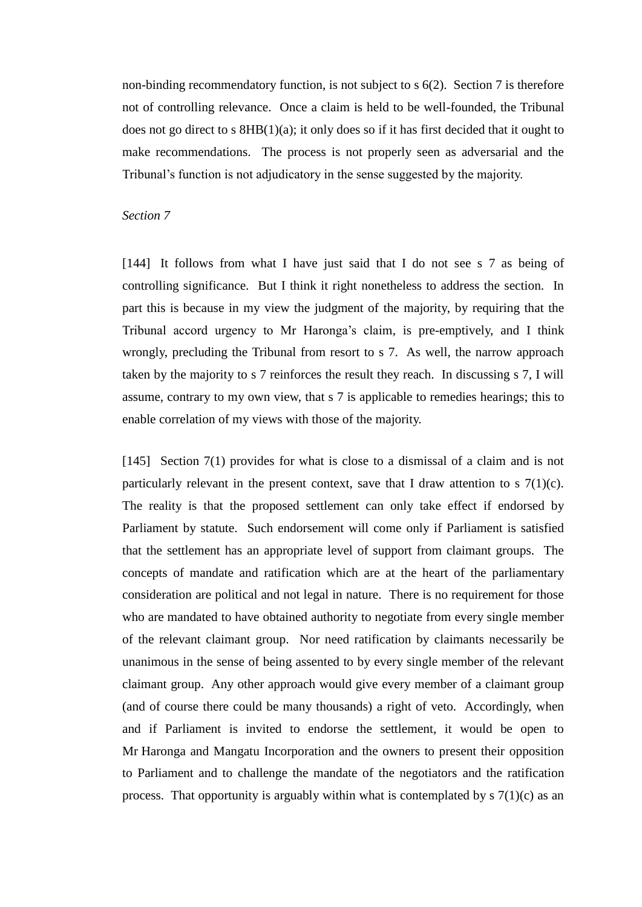non-binding recommendatory function, is not subject to s 6(2). Section 7 is therefore not of controlling relevance. Once a claim is held to be well-founded, the Tribunal does not go direct to s  $8HB(1)(a)$ ; it only does so if it has first decided that it ought to make recommendations. The process is not properly seen as adversarial and the Tribunal's function is not adjudicatory in the sense suggested by the majority.

#### *Section 7*

[144] It follows from what I have just said that I do not see s 7 as being of controlling significance. But I think it right nonetheless to address the section. In part this is because in my view the judgment of the majority, by requiring that the Tribunal accord urgency to Mr Haronga's claim, is pre-emptively, and I think wrongly, precluding the Tribunal from resort to s 7. As well, the narrow approach taken by the majority to s 7 reinforces the result they reach. In discussing s 7, I will assume, contrary to my own view, that s 7 is applicable to remedies hearings; this to enable correlation of my views with those of the majority.

[145] Section 7(1) provides for what is close to a dismissal of a claim and is not particularly relevant in the present context, save that I draw attention to s  $7(1)(c)$ . The reality is that the proposed settlement can only take effect if endorsed by Parliament by statute. Such endorsement will come only if Parliament is satisfied that the settlement has an appropriate level of support from claimant groups. The concepts of mandate and ratification which are at the heart of the parliamentary consideration are political and not legal in nature. There is no requirement for those who are mandated to have obtained authority to negotiate from every single member of the relevant claimant group. Nor need ratification by claimants necessarily be unanimous in the sense of being assented to by every single member of the relevant claimant group. Any other approach would give every member of a claimant group (and of course there could be many thousands) a right of veto. Accordingly, when and if Parliament is invited to endorse the settlement, it would be open to Mr Haronga and Mangatu Incorporation and the owners to present their opposition to Parliament and to challenge the mandate of the negotiators and the ratification process. That opportunity is arguably within what is contemplated by  $\frac{s}{1}(1)(c)$  as an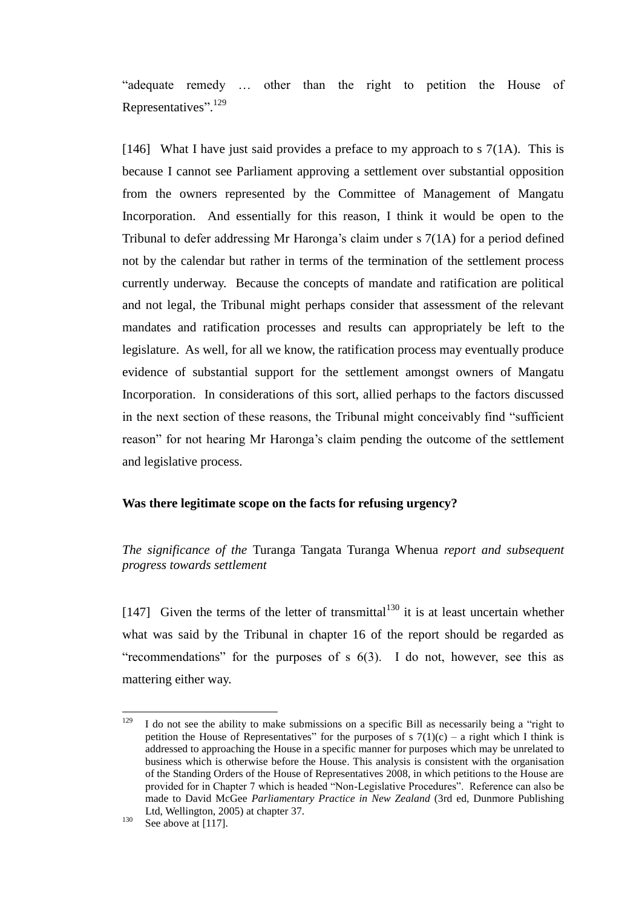"adequate remedy ... other than the right to petition the House of Representatives".<sup>129</sup>

[146] What I have just said provides a preface to my approach to s  $7(1A)$ . This is because I cannot see Parliament approving a settlement over substantial opposition from the owners represented by the Committee of Management of Mangatu Incorporation. And essentially for this reason, I think it would be open to the Tribunal to defer addressing Mr Haronga's claim under s 7(1A) for a period defined not by the calendar but rather in terms of the termination of the settlement process currently underway. Because the concepts of mandate and ratification are political and not legal, the Tribunal might perhaps consider that assessment of the relevant mandates and ratification processes and results can appropriately be left to the legislature. As well, for all we know, the ratification process may eventually produce evidence of substantial support for the settlement amongst owners of Mangatu Incorporation. In considerations of this sort, allied perhaps to the factors discussed in the next section of these reasons, the Tribunal might conceivably find "sufficient" reason" for not hearing Mr Haronga's claim pending the outcome of the settlement and legislative process.

# **Was there legitimate scope on the facts for refusing urgency?**

*The significance of the* Turanga Tangata Turanga Whenua *report and subsequent progress towards settlement*

[147] Given the terms of the letter of transmittal<sup>130</sup> it is at least uncertain whether what was said by the Tribunal in chapter 16 of the report should be regarded as "recommendations" for the purposes of s  $6(3)$ . I do not, however, see this as mattering either way.

<sup>129</sup> I do not see the ability to make submissions on a specific Bill as necessarily being a "right to petition the House of Representatives" for the purposes of s  $7(1)(c)$  – a right which I think is addressed to approaching the House in a specific manner for purposes which may be unrelated to business which is otherwise before the House. This analysis is consistent with the organisation of the Standing Orders of the House of Representatives 2008, in which petitions to the House are provided for in Chapter 7 which is headed "Non-Legislative Procedures". Reference can also be made to David McGee *Parliamentary Practice in New Zealand* (3rd ed, Dunmore Publishing Ltd, Wellington, 2005) at chapter 37.

 $130$  See above a[t \[117\].](#page-46-0)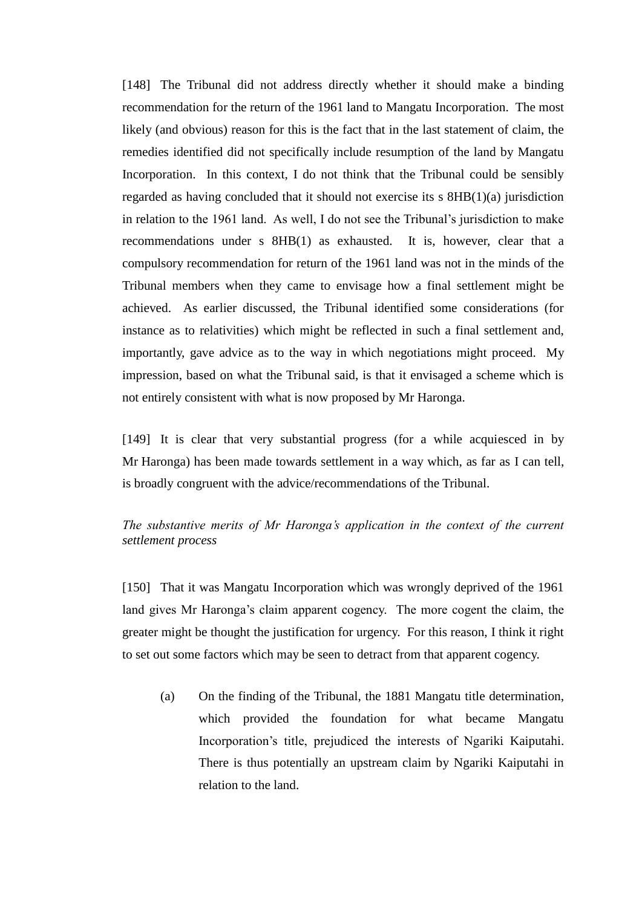[148] The Tribunal did not address directly whether it should make a binding recommendation for the return of the 1961 land to Mangatu Incorporation. The most likely (and obvious) reason for this is the fact that in the last statement of claim, the remedies identified did not specifically include resumption of the land by Mangatu Incorporation. In this context, I do not think that the Tribunal could be sensibly regarded as having concluded that it should not exercise its s 8HB(1)(a) jurisdiction in relation to the 1961 land. As well, I do not see the Tribunal's jurisdiction to make recommendations under s 8HB(1) as exhausted. It is, however, clear that a compulsory recommendation for return of the 1961 land was not in the minds of the Tribunal members when they came to envisage how a final settlement might be achieved. As earlier discussed, the Tribunal identified some considerations (for instance as to relativities) which might be reflected in such a final settlement and, importantly, gave advice as to the way in which negotiations might proceed. My impression, based on what the Tribunal said, is that it envisaged a scheme which is not entirely consistent with what is now proposed by Mr Haronga.

[149] It is clear that very substantial progress (for a while acquiesced in by Mr Haronga) has been made towards settlement in a way which, as far as I can tell, is broadly congruent with the advice/recommendations of the Tribunal.

# *The substantive merits of Mr Haronga's application in the context of the current settlement process*

[150] That it was Mangatu Incorporation which was wrongly deprived of the 1961 land gives Mr Haronga's claim apparent cogency. The more cogent the claim, the greater might be thought the justification for urgency. For this reason, I think it right to set out some factors which may be seen to detract from that apparent cogency.

(a) On the finding of the Tribunal, the 1881 Mangatu title determination, which provided the foundation for what became Mangatu Incorporation's title, prejudiced the interests of Ngariki Kaiputahi. There is thus potentially an upstream claim by Ngariki Kaiputahi in relation to the land.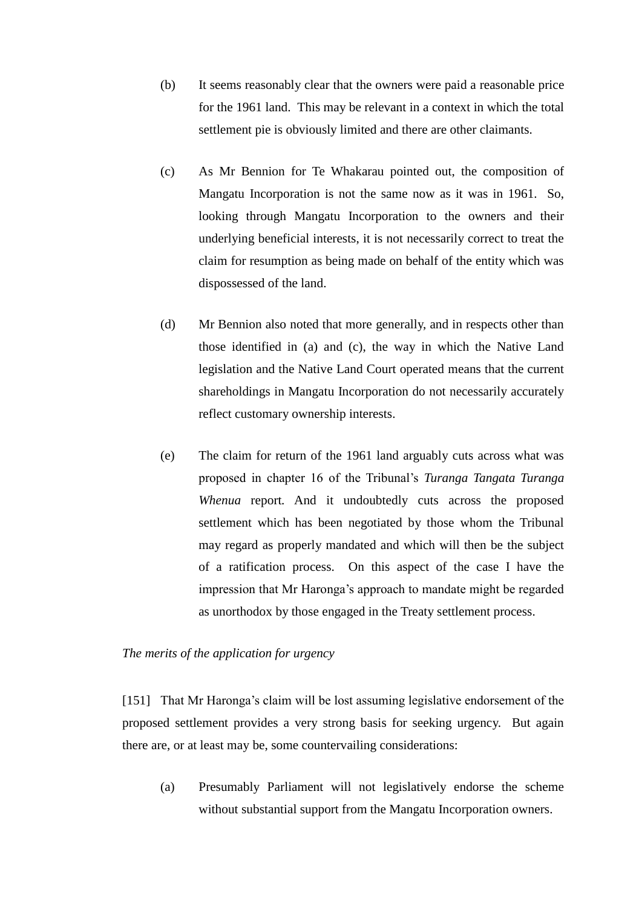- (b) It seems reasonably clear that the owners were paid a reasonable price for the 1961 land. This may be relevant in a context in which the total settlement pie is obviously limited and there are other claimants.
- (c) As Mr Bennion for Te Whakarau pointed out, the composition of Mangatu Incorporation is not the same now as it was in 1961. So, looking through Mangatu Incorporation to the owners and their underlying beneficial interests, it is not necessarily correct to treat the claim for resumption as being made on behalf of the entity which was dispossessed of the land.
- (d) Mr Bennion also noted that more generally, and in respects other than those identified in (a) and (c), the way in which the Native Land legislation and the Native Land Court operated means that the current shareholdings in Mangatu Incorporation do not necessarily accurately reflect customary ownership interests.
- (e) The claim for return of the 1961 land arguably cuts across what was proposed in chapter 16 of the Tribunal's *Turanga Tangata Turanga Whenua* report*.* And it undoubtedly cuts across the proposed settlement which has been negotiated by those whom the Tribunal may regard as properly mandated and which will then be the subject of a ratification process. On this aspect of the case I have the impression that Mr Haronga's approach to mandate might be regarded as unorthodox by those engaged in the Treaty settlement process.

# *The merits of the application for urgency*

[151] That Mr Haronga's claim will be lost assuming legislative endorsement of the proposed settlement provides a very strong basis for seeking urgency. But again there are, or at least may be, some countervailing considerations:

(a) Presumably Parliament will not legislatively endorse the scheme without substantial support from the Mangatu Incorporation owners.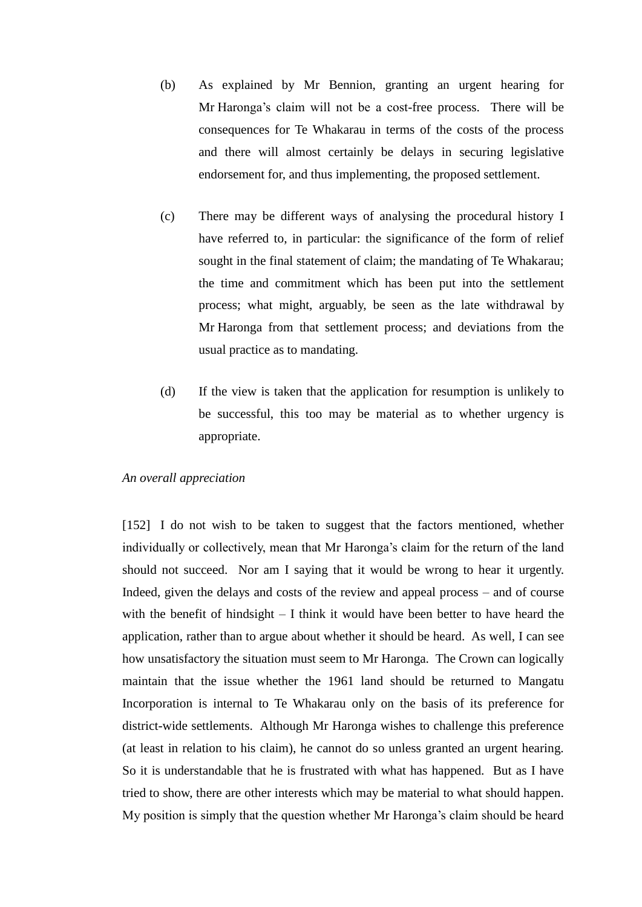- (b) As explained by Mr Bennion, granting an urgent hearing for Mr Haronga's claim will not be a cost-free process. There will be consequences for Te Whakarau in terms of the costs of the process and there will almost certainly be delays in securing legislative endorsement for, and thus implementing, the proposed settlement.
- (c) There may be different ways of analysing the procedural history I have referred to, in particular: the significance of the form of relief sought in the final statement of claim; the mandating of Te Whakarau; the time and commitment which has been put into the settlement process; what might, arguably, be seen as the late withdrawal by Mr Haronga from that settlement process; and deviations from the usual practice as to mandating.
- (d) If the view is taken that the application for resumption is unlikely to be successful, this too may be material as to whether urgency is appropriate.

### *An overall appreciation*

[152] I do not wish to be taken to suggest that the factors mentioned, whether individually or collectively, mean that Mr Haronga's claim for the return of the land should not succeed. Nor am I saying that it would be wrong to hear it urgently. Indeed, given the delays and costs of the review and appeal process – and of course with the benefit of hindsight – I think it would have been better to have heard the application, rather than to argue about whether it should be heard. As well, I can see how unsatisfactory the situation must seem to Mr Haronga. The Crown can logically maintain that the issue whether the 1961 land should be returned to Mangatu Incorporation is internal to Te Whakarau only on the basis of its preference for district-wide settlements. Although Mr Haronga wishes to challenge this preference (at least in relation to his claim), he cannot do so unless granted an urgent hearing. So it is understandable that he is frustrated with what has happened. But as I have tried to show, there are other interests which may be material to what should happen. My position is simply that the question whether Mr Haronga's claim should be heard